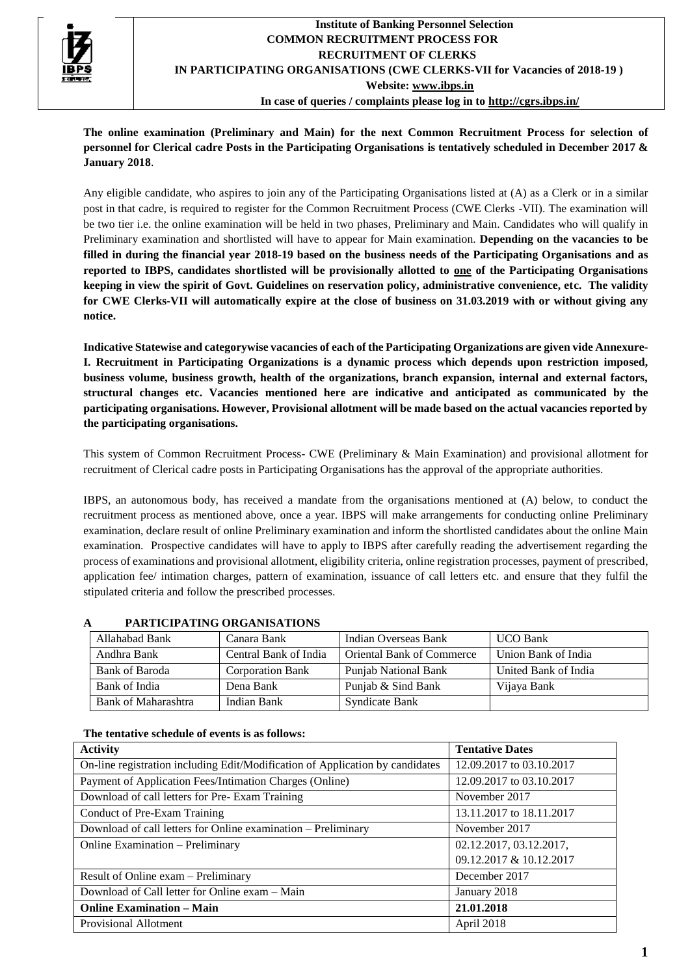

**The online examination (Preliminary and Main) for the next Common Recruitment Process for selection of personnel for Clerical cadre Posts in the Participating Organisations is tentatively scheduled in December 2017 & January 2018**.

Any eligible candidate, who aspires to join any of the Participating Organisations listed at (A) as a Clerk or in a similar post in that cadre, is required to register for the Common Recruitment Process (CWE Clerks -VII). The examination will be two tier i.e. the online examination will be held in two phases, Preliminary and Main. Candidates who will qualify in Preliminary examination and shortlisted will have to appear for Main examination. **Depending on the vacancies to be filled in during the financial year 2018-19 based on the business needs of the Participating Organisations and as reported to IBPS, candidates shortlisted will be provisionally allotted to one of the Participating Organisations keeping in view the spirit of Govt. Guidelines on reservation policy, administrative convenience, etc. The validity for CWE Clerks-VII will automatically expire at the close of business on 31.03.2019 with or without giving any notice.**

**Indicative Statewise and categorywise vacancies of each of the Participating Organizations are given vide Annexure-I. Recruitment in Participating Organizations is a dynamic process which depends upon restriction imposed, business volume, business growth, health of the organizations, branch expansion, internal and external factors, structural changes etc. Vacancies mentioned here are indicative and anticipated as communicated by the participating organisations. However, Provisional allotment will be made based on the actual vacancies reported by the participating organisations.**

This system of Common Recruitment Process- CWE (Preliminary & Main Examination) and provisional allotment for recruitment of Clerical cadre posts in Participating Organisations has the approval of the appropriate authorities.

IBPS, an autonomous body, has received a mandate from the organisations mentioned at (A) below, to conduct the recruitment process as mentioned above, once a year. IBPS will make arrangements for conducting online Preliminary examination, declare result of online Preliminary examination and inform the shortlisted candidates about the online Main examination. Prospective candidates will have to apply to IBPS after carefully reading the advertisement regarding the process of examinations and provisional allotment, eligibility criteria, online registration processes, payment of prescribed, application fee/ intimation charges, pattern of examination, issuance of call letters etc. and ensure that they fulfil the stipulated criteria and follow the prescribed processes.

| Allahabad Bank      | Canara Bank             | Indian Overseas Bank             | <b>UCO Bank</b>      |
|---------------------|-------------------------|----------------------------------|----------------------|
| Andhra Bank         | Central Bank of India   | <b>Oriental Bank of Commerce</b> | Union Bank of India  |
| Bank of Baroda      | <b>Corporation Bank</b> | Punjab National Bank             | United Bank of India |
| Bank of India       | Dena Bank               | Punjab & Sind Bank               | Vijaya Bank          |
| Bank of Maharashtra | Indian Bank             | <b>Syndicate Bank</b>            |                      |

## **A PARTICIPATING ORGANISATIONS**

#### **The tentative schedule of events is as follows:**

| <b>Activity</b>                                                               | <b>Tentative Dates</b>   |
|-------------------------------------------------------------------------------|--------------------------|
| On-line registration including Edit/Modification of Application by candidates | 12.09.2017 to 03.10.2017 |
| Payment of Application Fees/Intimation Charges (Online)                       | 12.09.2017 to 03.10.2017 |
| Download of call letters for Pre-Exam Training                                | November 2017            |
| Conduct of Pre-Exam Training                                                  | 13.11.2017 to 18.11.2017 |
| Download of call letters for Online examination – Preliminary                 | November 2017            |
| Online Examination - Preliminary                                              | 02.12.2017, 03.12.2017,  |
|                                                                               | 09.12.2017 & 10.12.2017  |
| Result of Online exam - Preliminary                                           | December 2017            |
| Download of Call letter for Online exam – Main                                | January 2018             |
| <b>Online Examination - Main</b>                                              | 21.01.2018               |
| Provisional Allotment                                                         | April 2018               |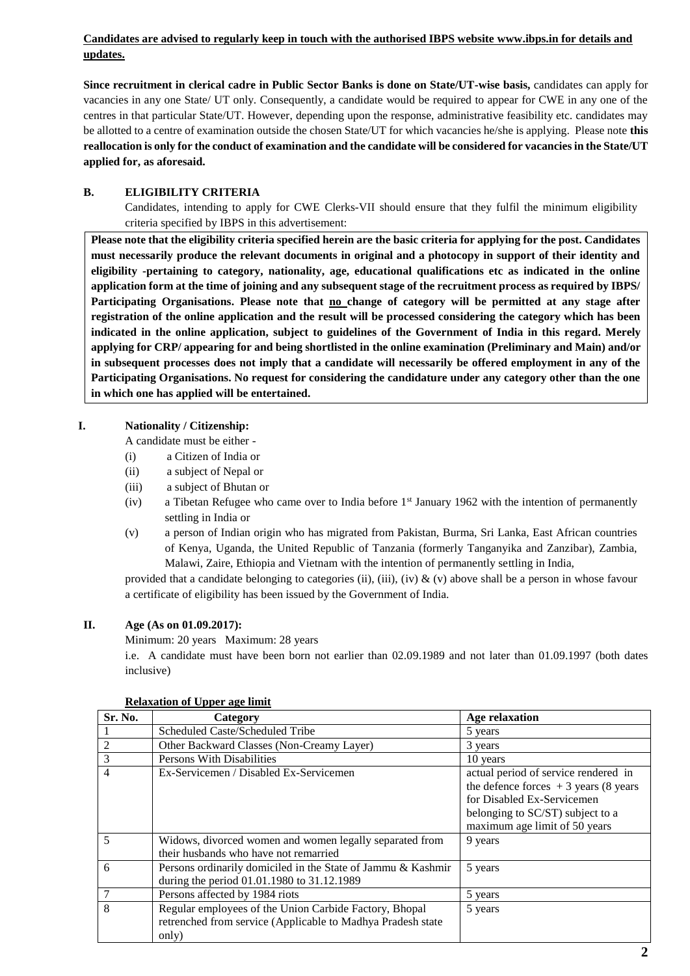# **Candidates are advised to regularly keep in touch with the authorised IBPS website [www.ibps.in](http://www.ibps.in/) for details and updates.**

**Since recruitment in clerical cadre in Public Sector Banks is done on State/UT-wise basis,** candidates can apply for vacancies in any one State/ UT only. Consequently, a candidate would be required to appear for CWE in any one of the centres in that particular State/UT. However, depending upon the response, administrative feasibility etc. candidates may be allotted to a centre of examination outside the chosen State/UT for which vacancies he/she is applying. Please note **this reallocation is only for the conduct of examination and the candidate will be considered for vacancies in the State/UT applied for, as aforesaid.**

# **B. ELIGIBILITY CRITERIA**

Candidates, intending to apply for CWE Clerks-VII should ensure that they fulfil the minimum eligibility criteria specified by IBPS in this advertisement:

**Please note that the eligibility criteria specified herein are the basic criteria for applying for the post. Candidates must necessarily produce the relevant documents in original and a photocopy in support of their identity and eligibility -pertaining to category, nationality, age, educational qualifications etc as indicated in the online application form at the time of joining and any subsequent stage of the recruitment process as required by IBPS/ Participating Organisations. Please note that no change of category will be permitted at any stage after registration of the online application and the result will be processed considering the category which has been indicated in the online application, subject to guidelines of the Government of India in this regard. Merely applying for CRP/ appearing for and being shortlisted in the online examination (Preliminary and Main) and/or in subsequent processes does not imply that a candidate will necessarily be offered employment in any of the Participating Organisations. No request for considering the candidature under any category other than the one in which one has applied will be entertained.**

# **I. Nationality / Citizenship:**

A candidate must be either -

- (i) a Citizen of India or
- (ii) a subject of Nepal or
- (iii) a subject of Bhutan or
- (iv) a Tibetan Refugee who came over to India before 1st January 1962 with the intention of permanently settling in India or
- (v) a person of Indian origin who has migrated from Pakistan, Burma, Sri Lanka, East African countries of Kenya, Uganda, the United Republic of Tanzania (formerly Tanganyika and Zanzibar), Zambia, Malawi, Zaire, Ethiopia and Vietnam with the intention of permanently settling in India,

provided that a candidate belonging to categories (ii), (iii), (iv) & (v) above shall be a person in whose favour a certificate of eligibility has been issued by the Government of India.

## **II. Age (As on 01.09.2017):**

Minimum: 20 years Maximum: 28 years

i.e. A candidate must have been born not earlier than 02.09.1989 and not later than 01.09.1997 (both dates inclusive)

| Sr. No.        | Category                                                                                                                       | <b>Age relaxation</b>                                                                                                                                                             |
|----------------|--------------------------------------------------------------------------------------------------------------------------------|-----------------------------------------------------------------------------------------------------------------------------------------------------------------------------------|
|                | Scheduled Caste/Scheduled Tribe                                                                                                | 5 years                                                                                                                                                                           |
| $\overline{c}$ | Other Backward Classes (Non-Creamy Layer)                                                                                      | 3 years                                                                                                                                                                           |
| 3              | Persons With Disabilities                                                                                                      | 10 years                                                                                                                                                                          |
| 4              | Ex-Servicemen / Disabled Ex-Servicemen                                                                                         | actual period of service rendered in<br>the defence forces $+3$ years (8 years<br>for Disabled Ex-Servicemen<br>belonging to SC/ST) subject to a<br>maximum age limit of 50 years |
| 5              | Widows, divorced women and women legally separated from<br>their husbands who have not remarried                               | 9 years                                                                                                                                                                           |
| 6              | Persons ordinarily domiciled in the State of Jammu & Kashmir<br>during the period 01.01.1980 to 31.12.1989                     | 5 years                                                                                                                                                                           |
|                | Persons affected by 1984 riots                                                                                                 | 5 years                                                                                                                                                                           |
| 8              | Regular employees of the Union Carbide Factory, Bhopal<br>retrenched from service (Applicable to Madhya Pradesh state<br>only) | 5 years                                                                                                                                                                           |

#### **Relaxation of Upper age limit**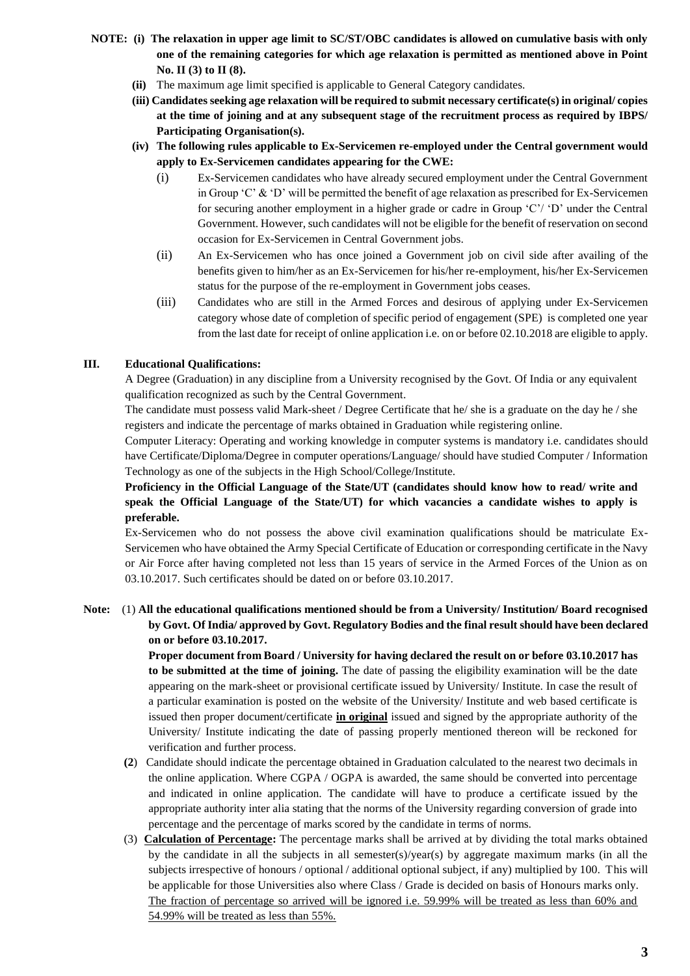- **NOTE: (i) The relaxation in upper age limit to SC/ST/OBC candidates is allowed on cumulative basis with only one of the remaining categories for which age relaxation is permitted as mentioned above in Point No. II (3) to II (8).**
	- **(ii)** The maximum age limit specified is applicable to General Category candidates.
	- **(iii) Candidates seeking age relaxation will be required to submit necessary certificate(s) in original/ copies at the time of joining and at any subsequent stage of the recruitment process as required by IBPS/ Participating Organisation(s).**
	- **(iv) The following rules applicable to Ex-Servicemen re-employed under the Central government would apply to Ex-Servicemen candidates appearing for the CWE:** 
		- (i) Ex-Servicemen candidates who have already secured employment under the Central Government in Group 'C'  $\&$  'D' will be permitted the benefit of age relaxation as prescribed for Ex-Servicemen for securing another employment in a higher grade or cadre in Group 'C'/ 'D' under the Central Government. However, such candidates will not be eligible for the benefit of reservation on second occasion for Ex-Servicemen in Central Government jobs.
		- (ii) An Ex-Servicemen who has once joined a Government job on civil side after availing of the benefits given to him/her as an Ex-Servicemen for his/her re-employment, his/her Ex-Servicemen status for the purpose of the re-employment in Government jobs ceases.
		- (iii) Candidates who are still in the Armed Forces and desirous of applying under Ex-Servicemen category whose date of completion of specific period of engagement (SPE) is completed one year from the last date for receipt of online application i.e. on or before 02.10.2018 are eligible to apply.

## **III. Educational Qualifications:**

A Degree (Graduation) in any discipline from a University recognised by the Govt. Of India or any equivalent qualification recognized as such by the Central Government.

The candidate must possess valid Mark-sheet / Degree Certificate that he/ she is a graduate on the day he / she registers and indicate the percentage of marks obtained in Graduation while registering online.

Computer Literacy: Operating and working knowledge in computer systems is mandatory i.e. candidates should have Certificate/Diploma/Degree in computer operations/Language/ should have studied Computer / Information Technology as one of the subjects in the High School/College/Institute.

**Proficiency in the Official Language of the State/UT (candidates should know how to read/ write and speak the Official Language of the State/UT) for which vacancies a candidate wishes to apply is preferable.** 

Ex-Servicemen who do not possess the above civil examination qualifications should be matriculate Ex-Servicemen who have obtained the Army Special Certificate of Education or corresponding certificate in the Navy or Air Force after having completed not less than 15 years of service in the Armed Forces of the Union as on 03.10.2017. Such certificates should be dated on or before 03.10.2017.

## **Note:** (1) **All the educational qualifications mentioned should be from a University/ Institution/ Board recognised by Govt. Of India/ approved by Govt. Regulatory Bodies and the final result should have been declared on or before 03.10.2017.**

**Proper document from Board / University for having declared the result on or before 03.10.2017 has to be submitted at the time of joining.** The date of passing the eligibility examination will be the date appearing on the mark-sheet or provisional certificate issued by University/ Institute. In case the result of a particular examination is posted on the website of the University/ Institute and web based certificate is issued then proper document/certificate **in original** issued and signed by the appropriate authority of the University/ Institute indicating the date of passing properly mentioned thereon will be reckoned for verification and further process.

- **(2**) Candidate should indicate the percentage obtained in Graduation calculated to the nearest two decimals in the online application. Where CGPA / OGPA is awarded, the same should be converted into percentage and indicated in online application. The candidate will have to produce a certificate issued by the appropriate authority inter alia stating that the norms of the University regarding conversion of grade into percentage and the percentage of marks scored by the candidate in terms of norms.
- (3) **Calculation of Percentage:** The percentage marks shall be arrived at by dividing the total marks obtained by the candidate in all the subjects in all semester(s)/year(s) by aggregate maximum marks (in all the subjects irrespective of honours / optional / additional optional subject, if any) multiplied by 100. This will be applicable for those Universities also where Class / Grade is decided on basis of Honours marks only. The fraction of percentage so arrived will be ignored i.e. 59.99% will be treated as less than 60% and 54.99% will be treated as less than 55%.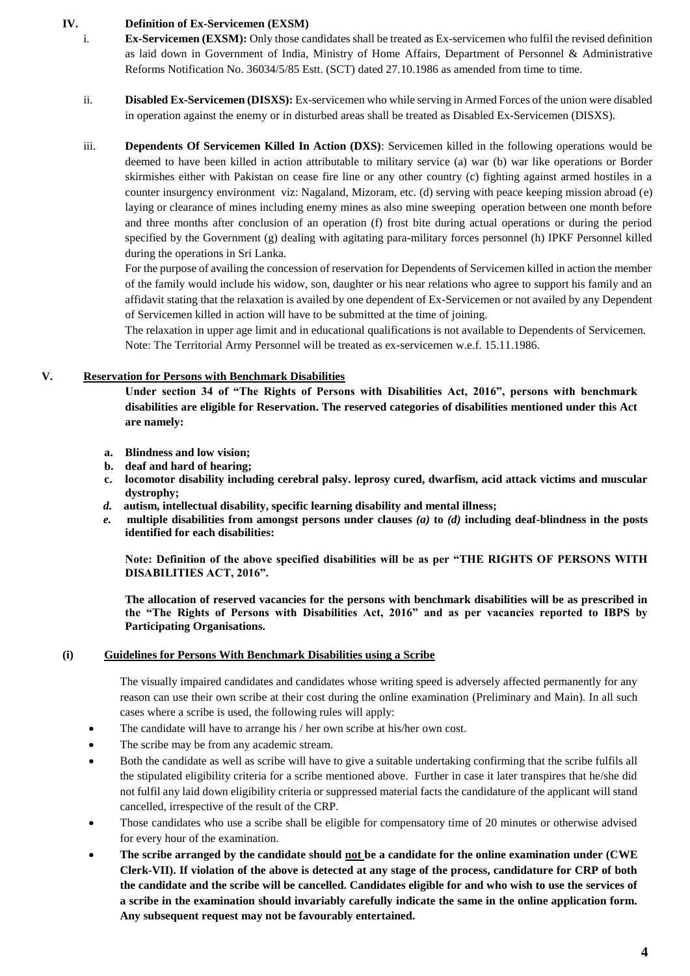### **IV. Definition of Ex-Servicemen (EXSM)**

- i. **Ex-Servicemen (EXSM):** Only those candidates shall be treated as Ex-servicemen who fulfil the revised definition as laid down in Government of India, Ministry of Home Affairs, Department of Personnel & Administrative Reforms Notification No. 36034/5/85 Estt. (SCT) dated 27.10.1986 as amended from time to time.
- ii. **Disabled Ex-Servicemen (DISXS):** Ex-servicemen who while serving in Armed Forces of the union were disabled in operation against the enemy or in disturbed areas shall be treated as Disabled Ex-Servicemen (DISXS).
- iii. **Dependents Of Servicemen Killed In Action (DXS)**: Servicemen killed in the following operations would be deemed to have been killed in action attributable to military service (a) war (b) war like operations or Border skirmishes either with Pakistan on cease fire line or any other country (c) fighting against armed hostiles in a counter insurgency environment viz: Nagaland, Mizoram, etc. (d) serving with peace keeping mission abroad (e) laying or clearance of mines including enemy mines as also mine sweeping operation between one month before and three months after conclusion of an operation (f) frost bite during actual operations or during the period specified by the Government (g) dealing with agitating para-military forces personnel (h) IPKF Personnel killed during the operations in Sri Lanka.

For the purpose of availing the concession of reservation for Dependents of Servicemen killed in action the member of the family would include his widow, son, daughter or his near relations who agree to support his family and an affidavit stating that the relaxation is availed by one dependent of Ex-Servicemen or not availed by any Dependent of Servicemen killed in action will have to be submitted at the time of joining.

The relaxation in upper age limit and in educational qualifications is not available to Dependents of Servicemen. Note: The Territorial Army Personnel will be treated as ex-servicemen w.e.f. 15.11.1986.

### **V. Reservation for Persons with Benchmark Disabilities**

**Under section 34 of "The Rights of Persons with Disabilities Act, 2016", persons with benchmark disabilities are eligible for Reservation. The reserved categories of disabilities mentioned under this Act are namely:**

- **a. Blindness and low vision;**
- **b. deaf and hard of hearing;**
- **c. locomotor disability including cerebral palsy. leprosy cured, dwarfism, acid attack victims and muscular dystrophy;**
- *d.* **autism, intellectual disability, specific learning disability and mental illness;**
- *e.* **multiple disabilities from amongst persons under clauses** *(a)* **to** *(d)* **including deaf-blindness in the posts identified for each disabilities:**

**Note: Definition of the above specified disabilities will be as per "THE RIGHTS OF PERSONS WITH DISABILITIES ACT, 2016".**

**The allocation of reserved vacancies for the persons with benchmark disabilities will be as prescribed in the "The Rights of Persons with Disabilities Act, 2016" and as per vacancies reported to IBPS by Participating Organisations.**

#### **(i) Guidelines for Persons With Benchmark Disabilities using a Scribe**

The visually impaired candidates and candidates whose writing speed is adversely affected permanently for any reason can use their own scribe at their cost during the online examination (Preliminary and Main). In all such cases where a scribe is used, the following rules will apply:

- The candidate will have to arrange his / her own scribe at his/her own cost.
- The scribe may be from any academic stream.
- Both the candidate as well as scribe will have to give a suitable undertaking confirming that the scribe fulfils all the stipulated eligibility criteria for a scribe mentioned above. Further in case it later transpires that he/she did not fulfil any laid down eligibility criteria or suppressed material facts the candidature of the applicant will stand cancelled, irrespective of the result of the CRP.
- Those candidates who use a scribe shall be eligible for compensatory time of 20 minutes or otherwise advised for every hour of the examination.
- **The scribe arranged by the candidate should not be a candidate for the online examination under (CWE Clerk-VII). If violation of the above is detected at any stage of the process, candidature for CRP of both the candidate and the scribe will be cancelled. Candidates eligible for and who wish to use the services of a scribe in the examination should invariably carefully indicate the same in the online application form. Any subsequent request may not be favourably entertained.**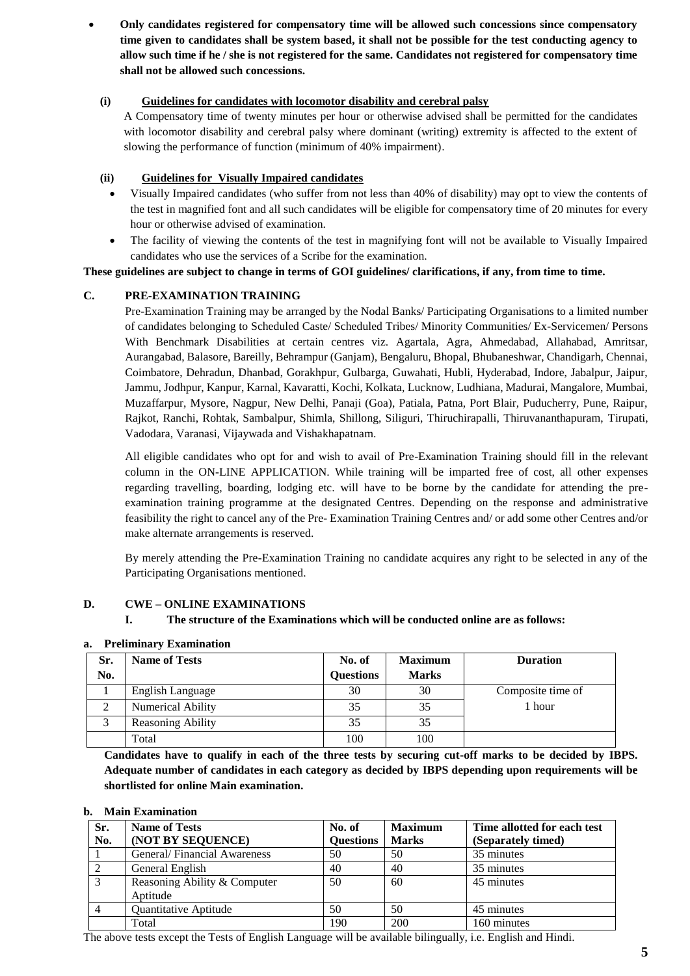**Only candidates registered for compensatory time will be allowed such concessions since compensatory time given to candidates shall be system based, it shall not be possible for the test conducting agency to allow such time if he / she is not registered for the same. Candidates not registered for compensatory time shall not be allowed such concessions.** 

### **(i) Guidelines for candidates with locomotor disability and cerebral palsy**

A Compensatory time of twenty minutes per hour or otherwise advised shall be permitted for the candidates with locomotor disability and cerebral palsy where dominant (writing) extremity is affected to the extent of slowing the performance of function (minimum of 40% impairment).

# **(ii) Guidelines for Visually Impaired candidates**

- Visually Impaired candidates (who suffer from not less than 40% of disability) may opt to view the contents of the test in magnified font and all such candidates will be eligible for compensatory time of 20 minutes for every hour or otherwise advised of examination.
- The facility of viewing the contents of the test in magnifying font will not be available to Visually Impaired candidates who use the services of a Scribe for the examination.

## **These guidelines are subject to change in terms of GOI guidelines/ clarifications, if any, from time to time.**

# **C. PRE-EXAMINATION TRAINING**

Pre-Examination Training may be arranged by the Nodal Banks/ Participating Organisations to a limited number of candidates belonging to Scheduled Caste/ Scheduled Tribes/ Minority Communities/ Ex-Servicemen/ Persons With Benchmark Disabilities at certain centres viz. Agartala, Agra, Ahmedabad, Allahabad, Amritsar, Aurangabad, Balasore, Bareilly, Behrampur (Ganjam), Bengaluru, Bhopal, Bhubaneshwar, Chandigarh, Chennai, Coimbatore, Dehradun, Dhanbad, Gorakhpur, Gulbarga, Guwahati, Hubli, Hyderabad, Indore, Jabalpur, Jaipur, Jammu, Jodhpur, Kanpur, Karnal, Kavaratti, Kochi, Kolkata, Lucknow, Ludhiana, Madurai, Mangalore, Mumbai, Muzaffarpur, Mysore, Nagpur, New Delhi, Panaji (Goa), Patiala, Patna, Port Blair, Puducherry, Pune, Raipur, Rajkot, Ranchi, Rohtak, Sambalpur, Shimla, Shillong, Siliguri, Thiruchirapalli, Thiruvananthapuram, Tirupati, Vadodara, Varanasi, Vijaywada and Vishakhapatnam.

All eligible candidates who opt for and wish to avail of Pre-Examination Training should fill in the relevant column in the ON-LINE APPLICATION. While training will be imparted free of cost, all other expenses regarding travelling, boarding, lodging etc. will have to be borne by the candidate for attending the preexamination training programme at the designated Centres. Depending on the response and administrative feasibility the right to cancel any of the Pre- Examination Training Centres and/ or add some other Centres and/or make alternate arrangements is reserved.

By merely attending the Pre-Examination Training no candidate acquires any right to be selected in any of the Participating Organisations mentioned.

## **D. CWE – ONLINE EXAMINATIONS**

# **I. The structure of the Examinations which will be conducted online are as follows:**

| Sr. | <b>Name of Tests</b>     | No. of           | <b>Maximum</b> | <b>Duration</b>   |
|-----|--------------------------|------------------|----------------|-------------------|
| No. |                          | <b>Questions</b> | <b>Marks</b>   |                   |
|     | English Language         | 30               | 30             | Composite time of |
| 2   | <b>Numerical Ability</b> | 35               | 35             | 1 hour            |
|     | Reasoning Ability        | 35               | 35             |                   |
|     | Total                    | 100              | 100            |                   |

#### **a. Preliminary Examination**

**Candidates have to qualify in each of the three tests by securing cut-off marks to be decided by IBPS. Adequate number of candidates in each category as decided by IBPS depending upon requirements will be shortlisted for online Main examination.**

## **b. Main Examination**

| Sr.<br>No. | <b>Name of Tests</b><br>(NOT BY SEQUENCE) | No. of<br><b>Questions</b> | <b>Maximum</b><br><b>Marks</b> | Time allotted for each test<br>(Separately timed) |
|------------|-------------------------------------------|----------------------------|--------------------------------|---------------------------------------------------|
|            | General/Financial Awareness               | 50                         | 50                             | 35 minutes                                        |
|            | General English                           | 40                         | 40                             | 35 minutes                                        |
|            | Reasoning Ability & Computer              | 50                         | 60                             | 45 minutes                                        |
|            | Aptitude                                  |                            |                                |                                                   |
|            | Quantitative Aptitude                     | 50                         | 50                             | 45 minutes                                        |
|            | Total                                     | 190                        | 200                            | 160 minutes                                       |

The above tests except the Tests of English Language will be available bilingually, i.e. English and Hindi.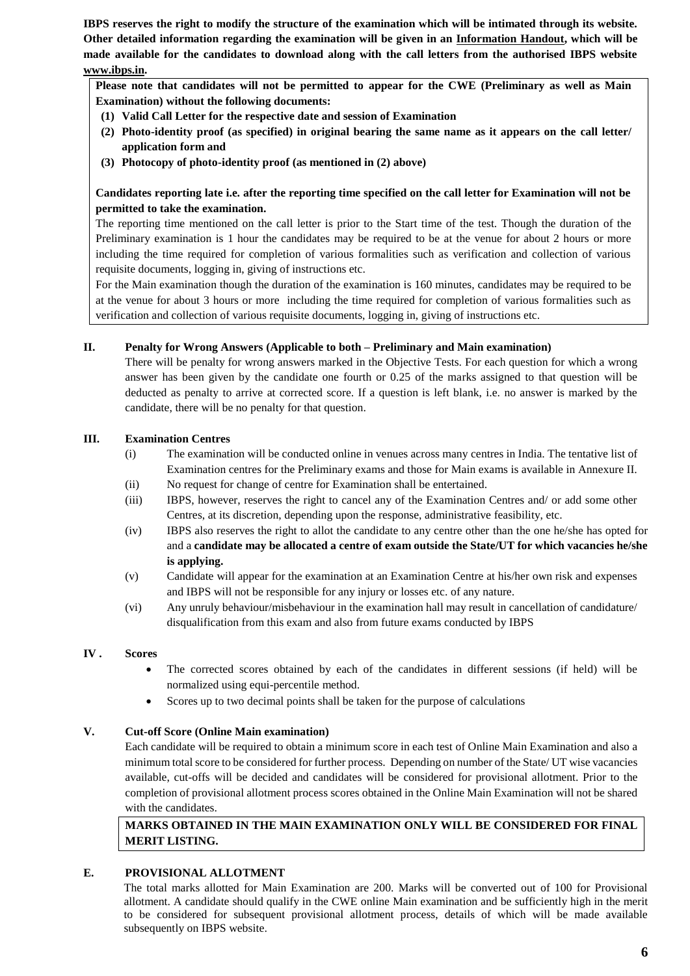**IBPS reserves the right to modify the structure of the examination which will be intimated through its website. Other detailed information regarding the examination will be given in an Information Handout, which will be made available for the candidates to download along with the call letters from the authorised IBPS website [www.ibps.in.](http://www.ibps.in/)**

**Please note that candidates will not be permitted to appear for the CWE (Preliminary as well as Main Examination) without the following documents:** 

- **(1) Valid Call Letter for the respective date and session of Examination**
- **(2) Photo-identity proof (as specified) in original bearing the same name as it appears on the call letter/ application form and**
- **(3) Photocopy of photo-identity proof (as mentioned in (2) above)**

## **Candidates reporting late i.e. after the reporting time specified on the call letter for Examination will not be permitted to take the examination.**

The reporting time mentioned on the call letter is prior to the Start time of the test. Though the duration of the Preliminary examination is 1 hour the candidates may be required to be at the venue for about 2 hours or more including the time required for completion of various formalities such as verification and collection of various requisite documents, logging in, giving of instructions etc.

For the Main examination though the duration of the examination is 160 minutes, candidates may be required to be at the venue for about 3 hours or more including the time required for completion of various formalities such as verification and collection of various requisite documents, logging in, giving of instructions etc.

### **II. Penalty for Wrong Answers (Applicable to both – Preliminary and Main examination)**

There will be penalty for wrong answers marked in the Objective Tests. For each question for which a wrong answer has been given by the candidate one fourth or 0.25 of the marks assigned to that question will be deducted as penalty to arrive at corrected score. If a question is left blank, i.e. no answer is marked by the candidate, there will be no penalty for that question.

### **III. Examination Centres**

- (i) The examination will be conducted online in venues across many centres in India. The tentative list of Examination centres for the Preliminary exams and those for Main exams is available in Annexure II.
- (ii) No request for change of centre for Examination shall be entertained.
- (iii) IBPS, however, reserves the right to cancel any of the Examination Centres and/ or add some other Centres, at its discretion, depending upon the response, administrative feasibility, etc.
- (iv) IBPS also reserves the right to allot the candidate to any centre other than the one he/she has opted for and a **candidate may be allocated a centre of exam outside the State/UT for which vacancies he/she is applying.**
- (v) Candidate will appear for the examination at an Examination Centre at his/her own risk and expenses and IBPS will not be responsible for any injury or losses etc. of any nature.
- (vi) Any unruly behaviour/misbehaviour in the examination hall may result in cancellation of candidature/ disqualification from this exam and also from future exams conducted by IBPS

## **IV . Scores**

- The corrected scores obtained by each of the candidates in different sessions (if held) will be normalized using equi-percentile method.
- Scores up to two decimal points shall be taken for the purpose of calculations

## **V. Cut-off Score (Online Main examination)**

Each candidate will be required to obtain a minimum score in each test of Online Main Examination and also a minimum total score to be considered for further process. Depending on number of the State/ UT wise vacancies available, cut-offs will be decided and candidates will be considered for provisional allotment. Prior to the completion of provisional allotment process scores obtained in the Online Main Examination will not be shared with the candidates.

# **MARKS OBTAINED IN THE MAIN EXAMINATION ONLY WILL BE CONSIDERED FOR FINAL MERIT LISTING.**

## **E. PROVISIONAL ALLOTMENT**

The total marks allotted for Main Examination are 200. Marks will be converted out of 100 for Provisional allotment. A candidate should qualify in the CWE online Main examination and be sufficiently high in the merit to be considered for subsequent provisional allotment process, details of which will be made available subsequently on IBPS website.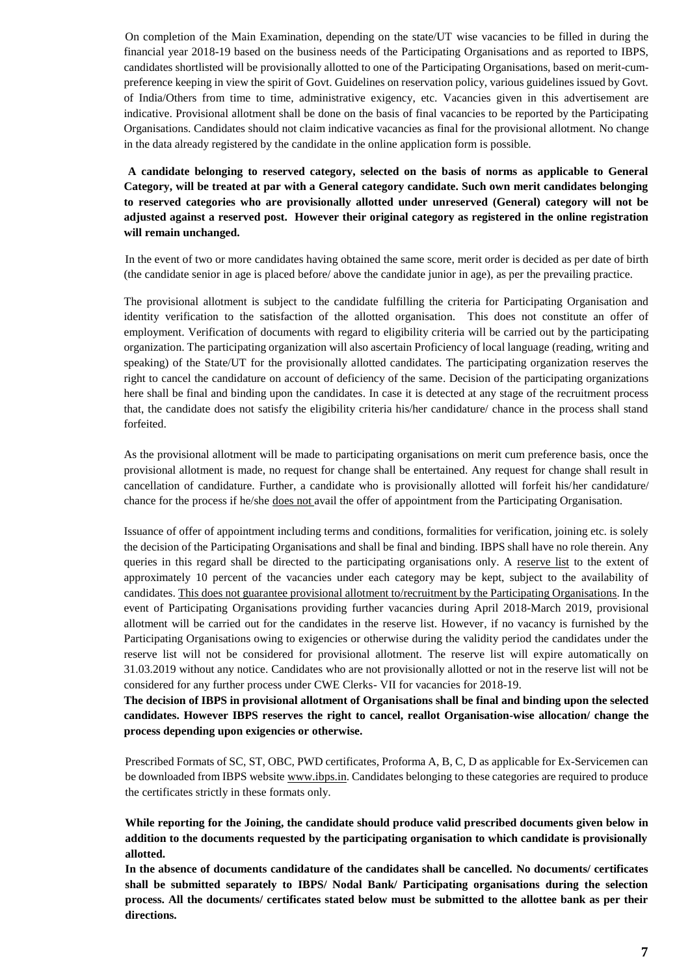On completion of the Main Examination, depending on the state/UT wise vacancies to be filled in during the financial year 2018-19 based on the business needs of the Participating Organisations and as reported to IBPS, candidates shortlisted will be provisionally allotted to one of the Participating Organisations, based on merit-cumpreference keeping in view the spirit of Govt. Guidelines on reservation policy, various guidelines issued by Govt. of India/Others from time to time, administrative exigency, etc. Vacancies given in this advertisement are indicative. Provisional allotment shall be done on the basis of final vacancies to be reported by the Participating Organisations. Candidates should not claim indicative vacancies as final for the provisional allotment. No change in the data already registered by the candidate in the online application form is possible.

**A candidate belonging to reserved category, selected on the basis of norms as applicable to General Category, will be treated at par with a General category candidate. Such own merit candidates belonging to reserved categories who are provisionally allotted under unreserved (General) category will not be adjusted against a reserved post. However their original category as registered in the online registration will remain unchanged.**

In the event of two or more candidates having obtained the same score, merit order is decided as per date of birth (the candidate senior in age is placed before/ above the candidate junior in age), as per the prevailing practice.

The provisional allotment is subject to the candidate fulfilling the criteria for Participating Organisation and identity verification to the satisfaction of the allotted organisation. This does not constitute an offer of employment. Verification of documents with regard to eligibility criteria will be carried out by the participating organization. The participating organization will also ascertain Proficiency of local language (reading, writing and speaking) of the State/UT for the provisionally allotted candidates. The participating organization reserves the right to cancel the candidature on account of deficiency of the same. Decision of the participating organizations here shall be final and binding upon the candidates. In case it is detected at any stage of the recruitment process that, the candidate does not satisfy the eligibility criteria his/her candidature/ chance in the process shall stand forfeited.

As the provisional allotment will be made to participating organisations on merit cum preference basis, once the provisional allotment is made, no request for change shall be entertained. Any request for change shall result in cancellation of candidature. Further, a candidate who is provisionally allotted will forfeit his/her candidature/ chance for the process if he/she does not avail the offer of appointment from the Participating Organisation.

Issuance of offer of appointment including terms and conditions, formalities for verification, joining etc. is solely the decision of the Participating Organisations and shall be final and binding. IBPS shall have no role therein. Any queries in this regard shall be directed to the participating organisations only. A reserve list to the extent of approximately 10 percent of the vacancies under each category may be kept, subject to the availability of candidates. This does not guarantee provisional allotment to/recruitment by the Participating Organisations. In the event of Participating Organisations providing further vacancies during April 2018-March 2019, provisional allotment will be carried out for the candidates in the reserve list. However, if no vacancy is furnished by the Participating Organisations owing to exigencies or otherwise during the validity period the candidates under the reserve list will not be considered for provisional allotment. The reserve list will expire automatically on 31.03.2019 without any notice. Candidates who are not provisionally allotted or not in the reserve list will not be considered for any further process under CWE Clerks- VII for vacancies for 2018-19.

**The decision of IBPS in provisional allotment of Organisations shall be final and binding upon the selected candidates. However IBPS reserves the right to cancel, reallot Organisation-wise allocation/ change the process depending upon exigencies or otherwise.**

Prescribed Formats of SC, ST, OBC, PWD certificates, Proforma A, B, C, D as applicable for Ex-Servicemen can be downloaded from IBPS website [www.ibps.in.](http://www.ibps.in/) Candidates belonging to these categories are required to produce the certificates strictly in these formats only.

**While reporting for the Joining, the candidate should produce valid prescribed documents given below in addition to the documents requested by the participating organisation to which candidate is provisionally allotted.**

**In the absence of documents candidature of the candidates shall be cancelled. No documents/ certificates shall be submitted separately to IBPS/ Nodal Bank/ Participating organisations during the selection process. All the documents/ certificates stated below must be submitted to the allottee bank as per their directions.**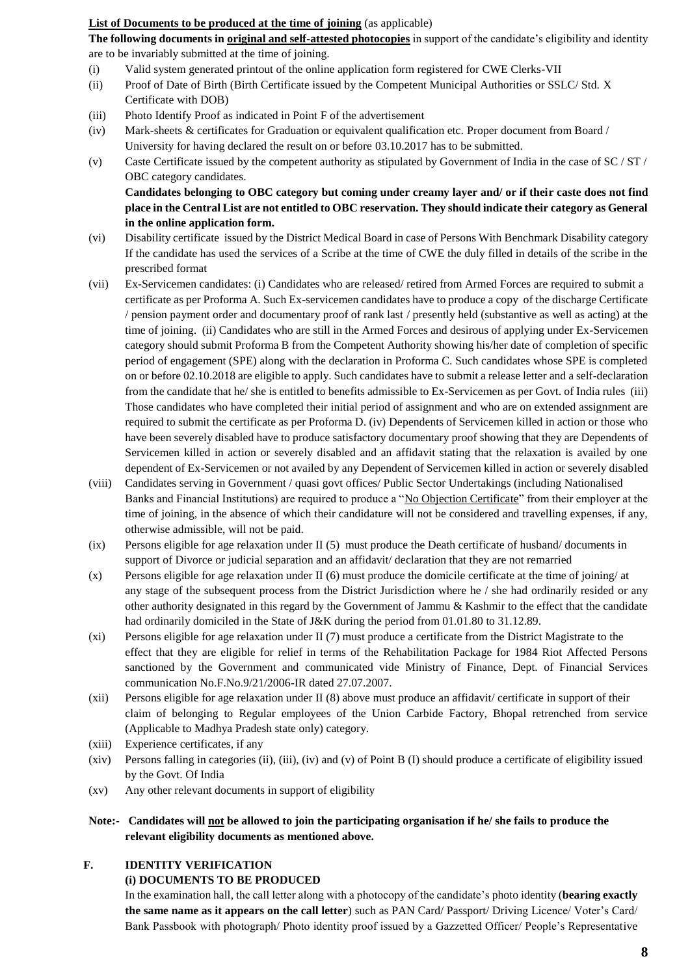### **List of Documents to be produced at the time of joining** (as applicable)

**The following documents in original and self-attested photocopies** in support of the candidate's eligibility and identity are to be invariably submitted at the time of joining.

- (i) Valid system generated printout of the online application form registered for CWE Clerks-VII
- (ii) Proof of Date of Birth (Birth Certificate issued by the Competent Municipal Authorities or SSLC/ Std. X Certificate with DOB)
- (iii) Photo Identify Proof as indicated in Point F of the advertisement
- (iv) Mark-sheets & certificates for Graduation or equivalent qualification etc. Proper document from Board / University for having declared the result on or before 03.10.2017 has to be submitted.
- (v) Caste Certificate issued by the competent authority as stipulated by Government of India in the case of SC / ST / OBC category candidates.

**Candidates belonging to OBC category but coming under creamy layer and/ or if their caste does not find place in the Central List are not entitled to OBC reservation. They should indicate their category as General in the online application form.**

- (vi) Disability certificate issued by the District Medical Board in case of Persons With Benchmark Disability category If the candidate has used the services of a Scribe at the time of CWE the duly filled in details of the scribe in the prescribed format
- (vii) Ex-Servicemen candidates: (i) Candidates who are released/ retired from Armed Forces are required to submit a certificate as per Proforma A. Such Ex-servicemen candidates have to produce a copy of the discharge Certificate / pension payment order and documentary proof of rank last / presently held (substantive as well as acting) at the time of joining. (ii) Candidates who are still in the Armed Forces and desirous of applying under Ex-Servicemen category should submit Proforma B from the Competent Authority showing his/her date of completion of specific period of engagement (SPE) along with the declaration in Proforma C. Such candidates whose SPE is completed on or before 02.10.2018 are eligible to apply. Such candidates have to submit a release letter and a self-declaration from the candidate that he/ she is entitled to benefits admissible to Ex-Servicemen as per Govt. of India rules (iii) Those candidates who have completed their initial period of assignment and who are on extended assignment are required to submit the certificate as per Proforma D. (iv) Dependents of Servicemen killed in action or those who have been severely disabled have to produce satisfactory documentary proof showing that they are Dependents of Servicemen killed in action or severely disabled and an affidavit stating that the relaxation is availed by one dependent of Ex-Servicemen or not availed by any Dependent of Servicemen killed in action or severely disabled
- (viii) Candidates serving in Government / quasi govt offices/ Public Sector Undertakings (including Nationalised Banks and Financial Institutions) are required to produce a "No Objection Certificate" from their employer at the time of joining, in the absence of which their candidature will not be considered and travelling expenses, if any, otherwise admissible, will not be paid.
- (ix) Persons eligible for age relaxation under II (5) must produce the Death certificate of husband/ documents in support of Divorce or judicial separation and an affidavit/ declaration that they are not remarried
- (x) Persons eligible for age relaxation under II (6) must produce the domicile certificate at the time of joining/ at any stage of the subsequent process from the District Jurisdiction where he / she had ordinarily resided or any other authority designated in this regard by the Government of Jammu & Kashmir to the effect that the candidate had ordinarily domiciled in the State of J&K during the period from 01.01.80 to 31.12.89.
- (xi) Persons eligible for age relaxation under II (7) must produce a certificate from the District Magistrate to the effect that they are eligible for relief in terms of the Rehabilitation Package for 1984 Riot Affected Persons sanctioned by the Government and communicated vide Ministry of Finance, Dept. of Financial Services communication No.F.No.9/21/2006-IR dated 27.07.2007.
- (xii) Persons eligible for age relaxation under II (8) above must produce an affidavit/ certificate in support of their claim of belonging to Regular employees of the Union Carbide Factory, Bhopal retrenched from service (Applicable to Madhya Pradesh state only) category.
- (xiii) Experience certificates, if any
- (xiv) Persons falling in categories (ii), (iii), (iv) and (v) of Point B (I) should produce a certificate of eligibility issued by the Govt. Of India
- (xv) Any other relevant documents in support of eligibility

## **Note:- Candidates will not be allowed to join the participating organisation if he/ she fails to produce the relevant eligibility documents as mentioned above.**

#### **F. IDENTITY VERIFICATION**

#### **(i) DOCUMENTS TO BE PRODUCED**

In the examination hall, the call letter along with a photocopy of the candidate's photo identity (**bearing exactly the same name as it appears on the call letter**) such as PAN Card/ Passport/ Driving Licence/ Voter's Card/ Bank Passbook with photograph/ Photo identity proof issued by a Gazzetted Officer/ People's Representative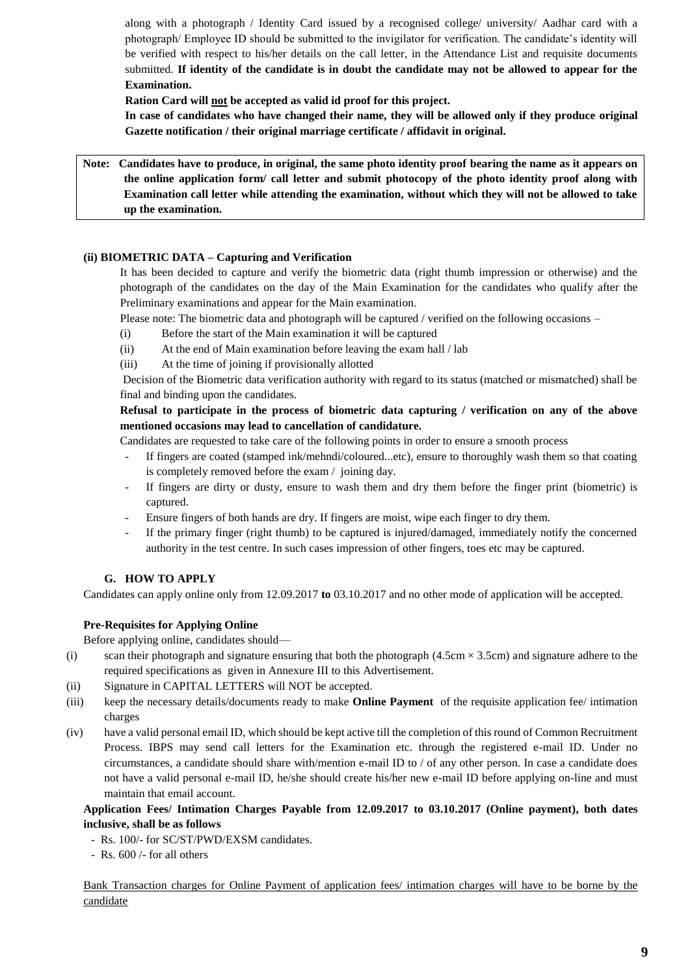along with a photograph / Identity Card issued by a recognised college/ university/ Aadhar card with a photograph/ Employee ID should be submitted to the invigilator for verification. The candidate's identity will be verified with respect to his/her details on the call letter, in the Attendance List and requisite documents submitted. **If identity of the candidate is in doubt the candidate may not be allowed to appear for the Examination.**

**Ration Card will not be accepted as valid id proof for this project.**

**In case of candidates who have changed their name, they will be allowed only if they produce original Gazette notification / their original marriage certificate / affidavit in original.**

**Note: Candidates have to produce, in original, the same photo identity proof bearing the name as it appears on the online application form/ call letter and submit photocopy of the photo identity proof along with Examination call letter while attending the examination, without which they will not be allowed to take up the examination.**

### **(ii) BIOMETRIC DATA – Capturing and Verification**

It has been decided to capture and verify the biometric data (right thumb impression or otherwise) and the photograph of the candidates on the day of the Main Examination for the candidates who qualify after the Preliminary examinations and appear for the Main examination.

Please note: The biometric data and photograph will be captured / verified on the following occasions –

- (i) Before the start of the Main examination it will be captured
- (ii) At the end of Main examination before leaving the exam hall / lab
- (iii) At the time of joining if provisionally allotted

Decision of the Biometric data verification authority with regard to its status (matched or mismatched) shall be final and binding upon the candidates.

## **Refusal to participate in the process of biometric data capturing / verification on any of the above mentioned occasions may lead to cancellation of candidature.**

Candidates are requested to take care of the following points in order to ensure a smooth process

- If fingers are coated (stamped ink/mehndi/coloured...etc), ensure to thoroughly wash them so that coating is completely removed before the exam / joining day.
- If fingers are dirty or dusty, ensure to wash them and dry them before the finger print (biometric) is captured.
- Ensure fingers of both hands are dry. If fingers are moist, wipe each finger to dry them.
- If the primary finger (right thumb) to be captured is injured/damaged, immediately notify the concerned authority in the test centre. In such cases impression of other fingers, toes etc may be captured.

#### **G. HOW TO APPLY**

Candidates can apply online only from 12.09.2017 **to** 03.10.2017 and no other mode of application will be accepted.

#### **Pre-Requisites for Applying Online**

Before applying online, candidates should—

- (i) scan their photograph and signature ensuring that both the photograph  $(4.5cm \times 3.5cm)$  and signature adhere to the required specifications as given in Annexure III to this Advertisement.
- (ii) Signature in CAPITAL LETTERS will NOT be accepted.
- (iii) keep the necessary details/documents ready to make **Online Payment** of the requisite application fee/ intimation charges
- (iv) have a valid personal email ID, which should be kept active till the completion of this round of Common Recruitment Process. IBPS may send call letters for the Examination etc. through the registered e-mail ID. Under no circumstances, a candidate should share with/mention e-mail ID to / of any other person. In case a candidate does not have a valid personal e-mail ID, he/she should create his/her new e-mail ID before applying on-line and must maintain that email account.

**Application Fees/ Intimation Charges Payable from 12.09.2017 to 03.10.2017 (Online payment), both dates inclusive, shall be as follows**

- Rs. 100/- for SC/ST/PWD/EXSM candidates.
- Rs. 600 /- for all others

Bank Transaction charges for Online Payment of application fees/ intimation charges will have to be borne by the candidate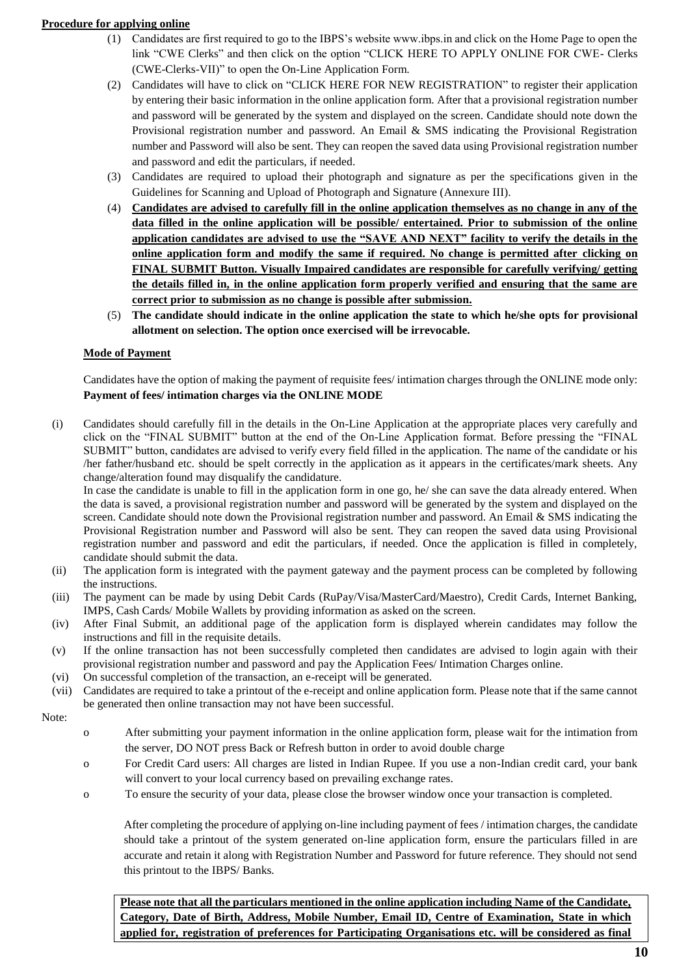## **Procedure for applying online**

- (1) Candidates are first required to go to the IBPS's website www.ibps.in and click on the Home Page to open the link "CWE Clerks" and then click on the option "CLICK HERE TO APPLY ONLINE FOR CWE- Clerks (CWE-Clerks-VII)" to open the On-Line Application Form.
- (2) Candidates will have to click on "CLICK HERE FOR NEW REGISTRATION" to register their application by entering their basic information in the online application form. After that a provisional registration number and password will be generated by the system and displayed on the screen. Candidate should note down the Provisional registration number and password. An Email & SMS indicating the Provisional Registration number and Password will also be sent. They can reopen the saved data using Provisional registration number and password and edit the particulars, if needed.
- (3) Candidates are required to upload their photograph and signature as per the specifications given in the Guidelines for Scanning and Upload of Photograph and Signature (Annexure III).
- (4) **Candidates are advised to carefully fill in the online application themselves as no change in any of the data filled in the online application will be possible/ entertained. Prior to submission of the online application candidates are advised to use the "SAVE AND NEXT" facility to verify the details in the online application form and modify the same if required. No change is permitted after clicking on FINAL SUBMIT Button. Visually Impaired candidates are responsible for carefully verifying/ getting the details filled in, in the online application form properly verified and ensuring that the same are correct prior to submission as no change is possible after submission.**
- (5) **The candidate should indicate in the online application the state to which he/she opts for provisional allotment on selection. The option once exercised will be irrevocable.**

## **Mode of Payment**

Candidates have the option of making the payment of requisite fees/ intimation charges through the ONLINE mode only: **Payment of fees/ intimation charges via the ONLINE MODE** 

(i) Candidates should carefully fill in the details in the On-Line Application at the appropriate places very carefully and click on the "FINAL SUBMIT" button at the end of the On-Line Application format. Before pressing the "FINAL SUBMIT" button, candidates are advised to verify every field filled in the application. The name of the candidate or his /her father/husband etc. should be spelt correctly in the application as it appears in the certificates/mark sheets. Any change/alteration found may disqualify the candidature.

In case the candidate is unable to fill in the application form in one go, he/ she can save the data already entered. When the data is saved, a provisional registration number and password will be generated by the system and displayed on the screen. Candidate should note down the Provisional registration number and password. An Email & SMS indicating the Provisional Registration number and Password will also be sent. They can reopen the saved data using Provisional registration number and password and edit the particulars, if needed. Once the application is filled in completely, candidate should submit the data.

- (ii) The application form is integrated with the payment gateway and the payment process can be completed by following the instructions.
- (iii) The payment can be made by using Debit Cards (RuPay/Visa/MasterCard/Maestro), Credit Cards, Internet Banking, IMPS, Cash Cards/ Mobile Wallets by providing information as asked on the screen.
- (iv) After Final Submit, an additional page of the application form is displayed wherein candidates may follow the instructions and fill in the requisite details.
- (v) If the online transaction has not been successfully completed then candidates are advised to login again with their provisional registration number and password and pay the Application Fees/ Intimation Charges online.
- (vi) On successful completion of the transaction, an e-receipt will be generated.
- (vii) Candidates are required to take a printout of the e-receipt and online application form. Please note that if the same cannot be generated then online transaction may not have been successful.
- Note:
- o After submitting your payment information in the online application form, please wait for the intimation from the server, DO NOT press Back or Refresh button in order to avoid double charge
- o For Credit Card users: All charges are listed in Indian Rupee. If you use a non-Indian credit card, your bank will convert to your local currency based on prevailing exchange rates.
- o To ensure the security of your data, please close the browser window once your transaction is completed.

After completing the procedure of applying on-line including payment of fees / intimation charges, the candidate should take a printout of the system generated on-line application form, ensure the particulars filled in are accurate and retain it along with Registration Number and Password for future reference. They should not send this printout to the IBPS/ Banks.

**Please note that all the particulars mentioned in the online application including Name of the Candidate, Category, Date of Birth, Address, Mobile Number, Email ID, Centre of Examination, State in which applied for, registration of preferences for Participating Organisations etc. will be considered as final**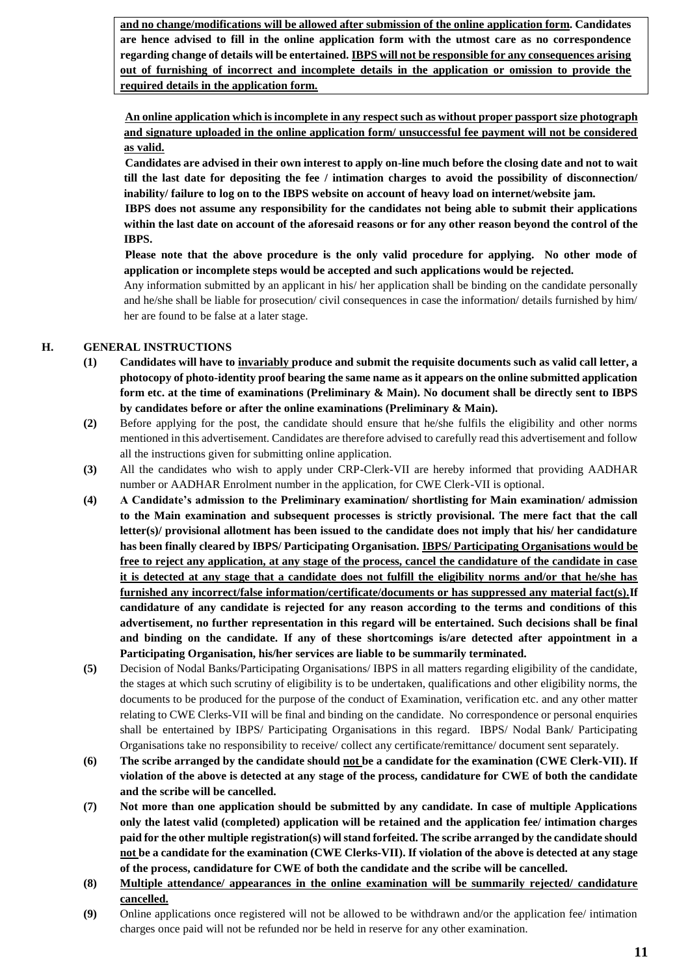**and no change/modifications will be allowed after submission of the online application form. Candidates are hence advised to fill in the online application form with the utmost care as no correspondence regarding change of details will be entertained. IBPS will not be responsible for any consequences arising out of furnishing of incorrect and incomplete details in the application or omission to provide the required details in the application form.**

**An online application which is incomplete in any respect such as without proper passport size photograph and signature uploaded in the online application form/ unsuccessful fee payment will not be considered as valid.**

**Candidates are advised in their own interest to apply on-line much before the closing date and not to wait till the last date for depositing the fee / intimation charges to avoid the possibility of disconnection/ inability/ failure to log on to the IBPS website on account of heavy load on internet/website jam.** 

**IBPS does not assume any responsibility for the candidates not being able to submit their applications within the last date on account of the aforesaid reasons or for any other reason beyond the control of the IBPS.** 

**Please note that the above procedure is the only valid procedure for applying. No other mode of application or incomplete steps would be accepted and such applications would be rejected.**

Any information submitted by an applicant in his/ her application shall be binding on the candidate personally and he/she shall be liable for prosecution/ civil consequences in case the information/ details furnished by him/ her are found to be false at a later stage.

## **H. GENERAL INSTRUCTIONS**

- **(1) Candidates will have to invariably produce and submit the requisite documents such as valid call letter, a photocopy of photo-identity proof bearing the same name as it appears on the online submitted application form etc. at the time of examinations (Preliminary & Main). No document shall be directly sent to IBPS by candidates before or after the online examinations (Preliminary & Main).**
- **(2)** Before applying for the post, the candidate should ensure that he/she fulfils the eligibility and other norms mentioned in this advertisement. Candidates are therefore advised to carefully read this advertisement and follow all the instructions given for submitting online application.
- **(3)** All the candidates who wish to apply under CRP-Clerk-VII are hereby informed that providing AADHAR number or AADHAR Enrolment number in the application, for CWE Clerk-VII is optional.
- **(4) A Candidate's admission to the Preliminary examination/ shortlisting for Main examination/ admission to the Main examination and subsequent processes is strictly provisional. The mere fact that the call letter(s)/ provisional allotment has been issued to the candidate does not imply that his/ her candidature has been finally cleared by IBPS/ Participating Organisation. IBPS/ Participating Organisations would be free to reject any application, at any stage of the process, cancel the candidature of the candidate in case it is detected at any stage that a candidate does not fulfill the eligibility norms and/or that he/she has furnished any incorrect/false information/certificate/documents or has suppressed any material fact(s).If candidature of any candidate is rejected for any reason according to the terms and conditions of this advertisement, no further representation in this regard will be entertained. Such decisions shall be final and binding on the candidate. If any of these shortcomings is/are detected after appointment in a Participating Organisation, his/her services are liable to be summarily terminated.**
- **(5)** Decision of Nodal Banks/Participating Organisations/ IBPS in all matters regarding eligibility of the candidate, the stages at which such scrutiny of eligibility is to be undertaken, qualifications and other eligibility norms, the documents to be produced for the purpose of the conduct of Examination, verification etc. and any other matter relating to CWE Clerks-VII will be final and binding on the candidate. No correspondence or personal enquiries shall be entertained by IBPS/ Participating Organisations in this regard. IBPS/ Nodal Bank/ Participating Organisations take no responsibility to receive/ collect any certificate/remittance/ document sent separately.
- **(6) The scribe arranged by the candidate should not be a candidate for the examination (CWE Clerk-VII). If violation of the above is detected at any stage of the process, candidature for CWE of both the candidate and the scribe will be cancelled.**
- **(7) Not more than one application should be submitted by any candidate. In case of multiple Applications only the latest valid (completed) application will be retained and the application fee/ intimation charges paid for the other multiple registration(s) will stand forfeited. The scribe arranged by the candidate should not be a candidate for the examination (CWE Clerks-VII). If violation of the above is detected at any stage of the process, candidature for CWE of both the candidate and the scribe will be cancelled.**
- **(8) Multiple attendance/ appearances in the online examination will be summarily rejected/ candidature cancelled.**
- **(9)** Online applications once registered will not be allowed to be withdrawn and/or the application fee/ intimation charges once paid will not be refunded nor be held in reserve for any other examination.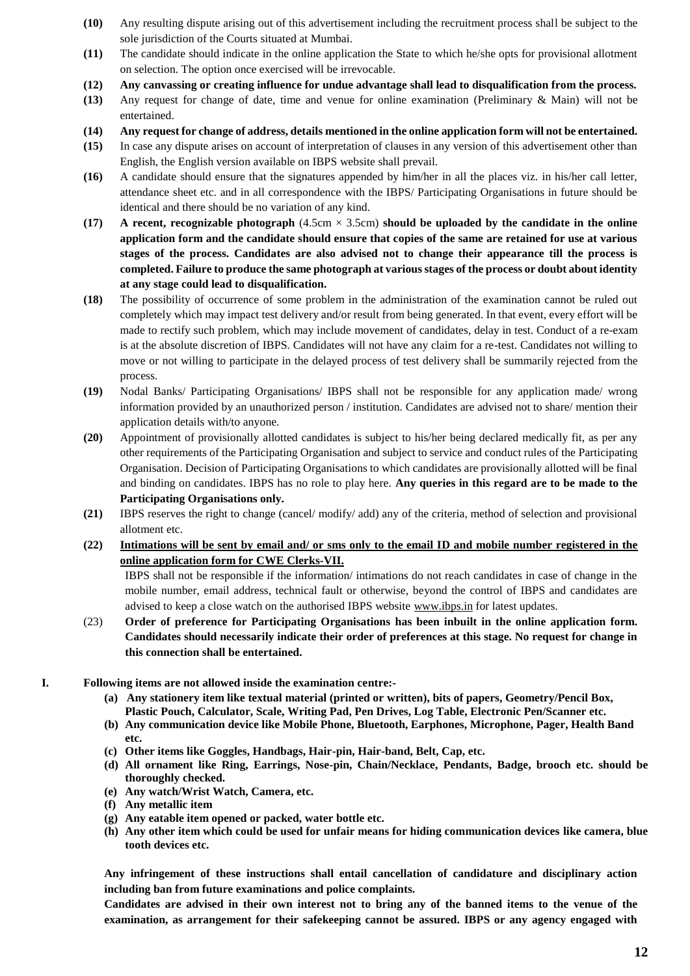- **(10)** Any resulting dispute arising out of this advertisement including the recruitment process shall be subject to the sole jurisdiction of the Courts situated at Mumbai.
- **(11)** The candidate should indicate in the online application the State to which he/she opts for provisional allotment on selection. The option once exercised will be irrevocable.
- **(12) Any canvassing or creating influence for undue advantage shall lead to disqualification from the process.**
- **(13)** Any request for change of date, time and venue for online examination (Preliminary & Main) will not be entertained.
- **(14) Any request for change of address, details mentioned in the online application form will not be entertained.**
- **(15)** In case any dispute arises on account of interpretation of clauses in any version of this advertisement other than English, the English version available on IBPS website shall prevail.
- **(16)** A candidate should ensure that the signatures appended by him/her in all the places viz. in his/her call letter, attendance sheet etc. and in all correspondence with the IBPS/ Participating Organisations in future should be identical and there should be no variation of any kind.
- **(17) A recent, recognizable photograph** (4.5cm × 3.5cm) **should be uploaded by the candidate in the online application form and the candidate should ensure that copies of the same are retained for use at various stages of the process. Candidates are also advised not to change their appearance till the process is completed. Failure to produce the same photograph at various stages of the process or doubt about identity at any stage could lead to disqualification.**
- **(18)** The possibility of occurrence of some problem in the administration of the examination cannot be ruled out completely which may impact test delivery and/or result from being generated. In that event, every effort will be made to rectify such problem, which may include movement of candidates, delay in test. Conduct of a re-exam is at the absolute discretion of IBPS. Candidates will not have any claim for a re-test. Candidates not willing to move or not willing to participate in the delayed process of test delivery shall be summarily rejected from the process.
- **(19)** Nodal Banks/ Participating Organisations/ IBPS shall not be responsible for any application made/ wrong information provided by an unauthorized person / institution. Candidates are advised not to share/ mention their application details with/to anyone.
- **(20)** Appointment of provisionally allotted candidates is subject to his/her being declared medically fit, as per any other requirements of the Participating Organisation and subject to service and conduct rules of the Participating Organisation. Decision of Participating Organisations to which candidates are provisionally allotted will be final and binding on candidates. IBPS has no role to play here. **Any queries in this regard are to be made to the Participating Organisations only.**
- **(21)** IBPS reserves the right to change (cancel/ modify/ add) any of the criteria, method of selection and provisional allotment etc.
- **(22) Intimations will be sent by email and/ or sms only to the email ID and mobile number registered in the online application form for CWE Clerks-VII.**

IBPS shall not be responsible if the information/ intimations do not reach candidates in case of change in the mobile number, email address, technical fault or otherwise, beyond the control of IBPS and candidates are advised to keep a close watch on the authorised IBPS website [www.ibps.in](http://www.ibps.in/) for latest updates.

- (23) **Order of preference for Participating Organisations has been inbuilt in the online application form. Candidates should necessarily indicate their order of preferences at this stage. No request for change in this connection shall be entertained.**
- **I. Following items are not allowed inside the examination centre:-**
	- **(a) Any stationery item like textual material (printed or written), bits of papers, Geometry/Pencil Box, Plastic Pouch, Calculator, Scale, Writing Pad, Pen Drives, Log Table, Electronic Pen/Scanner etc.**
	- **(b) Any communication device like Mobile Phone, Bluetooth, Earphones, Microphone, Pager, Health Band etc.**
	- **(c) Other items like Goggles, Handbags, Hair-pin, Hair-band, Belt, Cap, etc.**
	- **(d) All ornament like Ring, Earrings, Nose-pin, Chain/Necklace, Pendants, Badge, brooch etc. should be thoroughly checked.**
	- **(e) Any watch/Wrist Watch, Camera, etc.**
	- **(f) Any metallic item**
	- **(g) Any eatable item opened or packed, water bottle etc.**
	- **(h) Any other item which could be used for unfair means for hiding communication devices like camera, blue tooth devices etc.**

**Any infringement of these instructions shall entail cancellation of candidature and disciplinary action including ban from future examinations and police complaints.** 

**Candidates are advised in their own interest not to bring any of the banned items to the venue of the examination, as arrangement for their safekeeping cannot be assured. IBPS or any agency engaged with**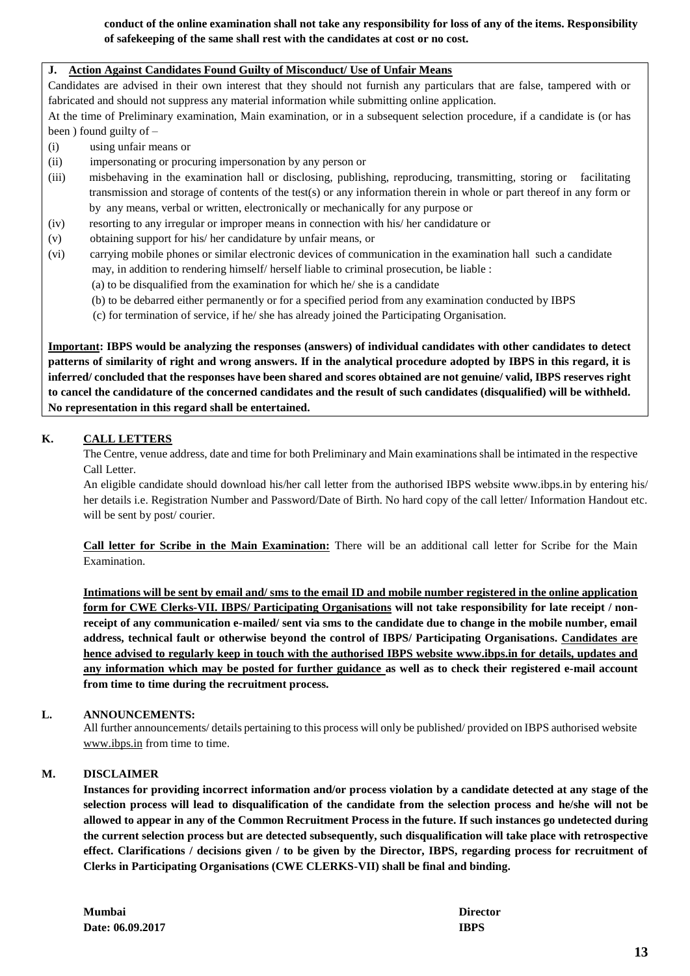**conduct of the online examination shall not take any responsibility for loss of any of the items. Responsibility of safekeeping of the same shall rest with the candidates at cost or no cost.**

### **J. Action Against Candidates Found Guilty of Misconduct/ Use of Unfair Means**

Candidates are advised in their own interest that they should not furnish any particulars that are false, tampered with or fabricated and should not suppress any material information while submitting online application.

At the time of Preliminary examination, Main examination, or in a subsequent selection procedure, if a candidate is (or has been ) found guilty of –

- (i) using unfair means or
- (ii) impersonating or procuring impersonation by any person or
- (iii) misbehaving in the examination hall or disclosing, publishing, reproducing, transmitting, storing or facilitating transmission and storage of contents of the test(s) or any information therein in whole or part thereof in any form or by any means, verbal or written, electronically or mechanically for any purpose or
- (iv) resorting to any irregular or improper means in connection with his/ her candidature or
- (v) obtaining support for his/ her candidature by unfair means, or
- (vi) carrying mobile phones or similar electronic devices of communication in the examination hall such a candidate may, in addition to rendering himself/ herself liable to criminal prosecution, be liable :
	- (a) to be disqualified from the examination for which he/ she is a candidate
	- (b) to be debarred either permanently or for a specified period from any examination conducted by IBPS
	- (c) for termination of service, if he/ she has already joined the Participating Organisation.

**Important: IBPS would be analyzing the responses (answers) of individual candidates with other candidates to detect patterns of similarity of right and wrong answers. If in the analytical procedure adopted by IBPS in this regard, it is inferred/ concluded that the responses have been shared and scores obtained are not genuine/ valid, IBPS reserves right to cancel the candidature of the concerned candidates and the result of such candidates (disqualified) will be withheld. No representation in this regard shall be entertained.**

## **K. CALL LETTERS**

The Centre, venue address, date and time for both Preliminary and Main examinations shall be intimated in the respective Call Letter.

An eligible candidate should download his/her call letter from the authorised IBPS website www.ibps.in by entering his/ her details i.e. Registration Number and Password/Date of Birth. No hard copy of the call letter/ Information Handout etc. will be sent by post/courier.

**Call letter for Scribe in the Main Examination:** There will be an additional call letter for Scribe for the Main Examination.

**Intimations will be sent by email and/ sms to the email ID and mobile number registered in the online application form for CWE Clerks-VII. IBPS/ Participating Organisations will not take responsibility for late receipt / nonreceipt of any communication e-mailed/ sent via sms to the candidate due to change in the mobile number, email address, technical fault or otherwise beyond the control of IBPS/ Participating Organisations. Candidates are hence advised to regularly keep in touch with the authorised IBPS website [www.ibps.in](http://www.ibps.in/) for details, updates and any information which may be posted for further guidance as well as to check their registered e-mail account from time to time during the recruitment process.**

## **L. ANNOUNCEMENTS:**

All further announcements/ details pertaining to this process will only be published/ provided on IBPS authorised website [www.ibps.in](http://www.ibps.in/) from time to time.

## **M. DISCLAIMER**

**Instances for providing incorrect information and/or process violation by a candidate detected at any stage of the selection process will lead to disqualification of the candidate from the selection process and he/she will not be allowed to appear in any of the Common Recruitment Process in the future. If such instances go undetected during the current selection process but are detected subsequently, such disqualification will take place with retrospective effect. Clarifications / decisions given / to be given by the Director, IBPS, regarding process for recruitment of Clerks in Participating Organisations (CWE CLERKS-VII) shall be final and binding.**

| <b>Mumbai</b>    | Director    |
|------------------|-------------|
| Date: 06.09.2017 | <b>IBPS</b> |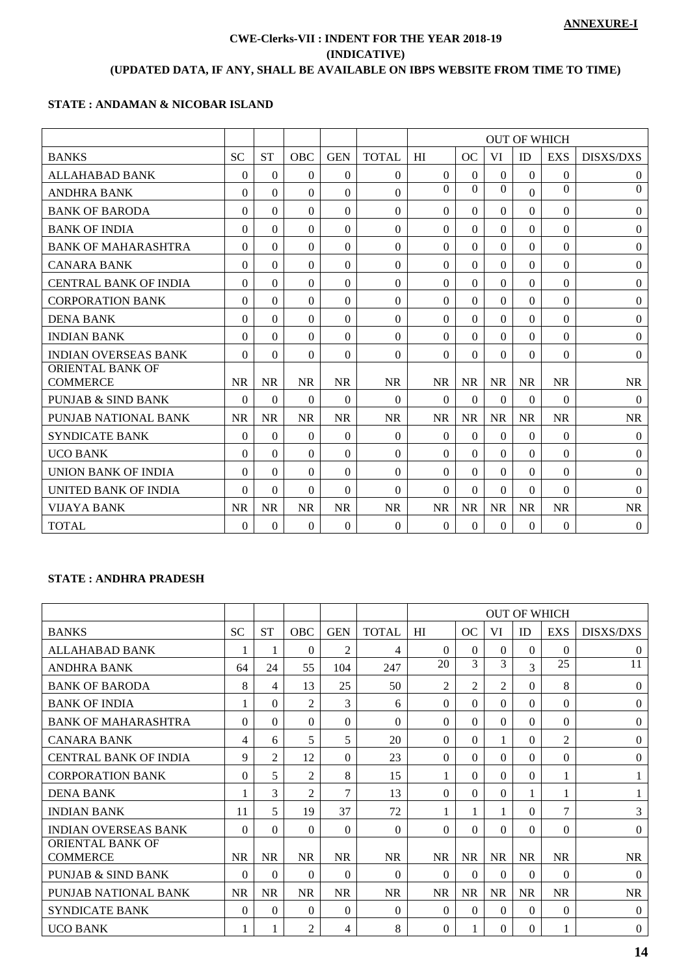# **CWE-Clerks-VII : INDENT FOR THE YEAR 2018-19 (INDICATIVE) (UPDATED DATA, IF ANY, SHALL BE AVAILABLE ON IBPS WEBSITE FROM TIME TO TIME)**

## **STATE : ANDAMAN & NICOBAR ISLAND**

|                                            |           |           |            |            |              | <b>OUT OF WHICH</b> |           |           |              |                |                  |  |
|--------------------------------------------|-----------|-----------|------------|------------|--------------|---------------------|-----------|-----------|--------------|----------------|------------------|--|
|                                            |           |           |            |            |              |                     |           |           |              |                |                  |  |
| <b>BANKS</b>                               | <b>SC</b> | <b>ST</b> | <b>OBC</b> | <b>GEN</b> | <b>TOTAL</b> | HI                  | <b>OC</b> | VI        | <b>ID</b>    | <b>EXS</b>     | <b>DISXS/DXS</b> |  |
| <b>ALLAHABAD BANK</b>                      | 0         | $\Omega$  | $\Omega$   | $\Omega$   | $\Omega$     | $\Omega$            | $\Omega$  | $\Omega$  | $\theta$     | $\Omega$       | $\theta$         |  |
| <b>ANDHRA BANK</b>                         | $\Omega$  | $\Omega$  | $\Omega$   | $\Omega$   | $\Omega$     | $\Omega$            | $\Omega$  | $\Omega$  | $\Omega$     | $\Omega$       | $\mathbf{0}$     |  |
| <b>BANK OF BARODA</b>                      | $\Omega$  | $\Omega$  | $\Omega$   | $\Omega$   | $\Omega$     | $\Omega$            | $\Omega$  | $\Omega$  | $\mathbf{0}$ | $\overline{0}$ | $\boldsymbol{0}$ |  |
| <b>BANK OF INDIA</b>                       | $\Omega$  | $\theta$  | $\Omega$   | $\Omega$   | $\theta$     | $\theta$            | $\Omega$  | $\Omega$  | $\Omega$     | $\Omega$       | $\boldsymbol{0}$ |  |
| <b>BANK OF MAHARASHTRA</b>                 | $\Omega$  | $\Omega$  | 0          | $\Omega$   | $\Omega$     | $\Omega$            | $\Omega$  | $\Omega$  | $\Omega$     | $\Omega$       | $\Omega$         |  |
| <b>CANARA BANK</b>                         | $\Omega$  | $\Omega$  | $\Omega$   | $\Omega$   | $\Omega$     | $\Omega$            | $\Omega$  | $\Omega$  | $\Omega$     | $\Omega$       | $\boldsymbol{0}$ |  |
| <b>CENTRAL BANK OF INDIA</b>               | $\Omega$  | $\theta$  | $\Omega$   | $\Omega$   | $\theta$     | $\theta$            | $\Omega$  | $\Omega$  | $\Omega$     | $\Omega$       | $\Omega$         |  |
| <b>CORPORATION BANK</b>                    | $\Omega$  | $\Omega$  | $\Omega$   | $\Omega$   | $\Omega$     | $\Omega$            | $\Omega$  | $\Omega$  | $\Omega$     | $\Omega$       | $\Omega$         |  |
| <b>DENA BANK</b>                           | $\Omega$  | $\Omega$  | $\Omega$   | $\Omega$   | $\Omega$     | $\Omega$            | $\Omega$  | $\Omega$  | $\Omega$     | $\Omega$       | $\boldsymbol{0}$ |  |
| <b>INDIAN BANK</b>                         | 0         | $\Omega$  | $\Omega$   | $\Omega$   | $\Omega$     | $\Omega$            | $\Omega$  | $\Omega$  | $\Omega$     | 0              | $\boldsymbol{0}$ |  |
| <b>INDIAN OVERSEAS BANK</b>                | $\Omega$  | $\theta$  | $\Omega$   | $\Omega$   | $\Omega$     | $\theta$            | $\Omega$  | $\Omega$  | $\Omega$     | $\theta$       | $\Omega$         |  |
| <b>ORIENTAL BANK OF</b><br><b>COMMERCE</b> | <b>NR</b> | <b>NR</b> | <b>NR</b>  | <b>NR</b>  | <b>NR</b>    | <b>NR</b>           | <b>NR</b> | <b>NR</b> | <b>NR</b>    | <b>NR</b>      | <b>NR</b>        |  |
| PUNJAB & SIND BANK                         | $\Omega$  | $\Omega$  | 0          | $\Omega$   | $\Omega$     | $\Omega$            | $\Omega$  | $\Omega$  | $\Omega$     | 0              | $\Omega$         |  |
| PUNJAB NATIONAL BANK                       | <b>NR</b> | <b>NR</b> | <b>NR</b>  | <b>NR</b>  | <b>NR</b>    | <b>NR</b>           | <b>NR</b> | <b>NR</b> | <b>NR</b>    | <b>NR</b>      | <b>NR</b>        |  |
| <b>SYNDICATE BANK</b>                      | $\Omega$  | $\theta$  | $\Omega$   | $\Omega$   | $\theta$     | $\Omega$            | $\Omega$  | $\theta$  | $\Omega$     | $\Omega$       | $\mathbf{0}$     |  |
| <b>UCO BANK</b>                            | $\Omega$  | $\Omega$  | $\Omega$   | $\Omega$   | $\Omega$     | $\Omega$            | $\Omega$  | $\Omega$  | $\Omega$     | $\Omega$       | $\Omega$         |  |
| <b>UNION BANK OF INDIA</b>                 | $\Omega$  | $\Omega$  | $\Omega$   | $\Omega$   | $\Omega$     | $\Omega$            | $\Omega$  | $\Omega$  | $\Omega$     | $\Omega$       | $\mathbf{0}$     |  |
| UNITED BANK OF INDIA                       | 0         | 0         | 0          | $\Omega$   | $\Omega$     | $\Omega$            | $\Omega$  | $\Omega$  | $\Omega$     | $\Omega$       | $\Omega$         |  |
| VIJAYA BANK                                | <b>NR</b> | <b>NR</b> | <b>NR</b>  | <b>NR</b>  | <b>NR</b>    | <b>NR</b>           | <b>NR</b> | <b>NR</b> | <b>NR</b>    | <b>NR</b>      | <b>NR</b>        |  |
| <b>TOTAL</b>                               | $\Omega$  | $\Omega$  | $\Omega$   | $\Omega$   | $\Omega$     | $\theta$            | $\Omega$  | $\theta$  | $\theta$     | $\Omega$       | $\mathbf{0}$     |  |

# **STATE : ANDHRA PRADESH**

|                                     |           |           |                |            |              |           |           |                |           | <b>OUT OF WHICH</b> |                  |
|-------------------------------------|-----------|-----------|----------------|------------|--------------|-----------|-----------|----------------|-----------|---------------------|------------------|
| <b>BANKS</b>                        | <b>SC</b> | <b>ST</b> | <b>OBC</b>     | <b>GEN</b> | <b>TOTAL</b> | HI        | OC        | VI             | <b>ID</b> | <b>EXS</b>          | <b>DISXS/DXS</b> |
| <b>ALLAHABAD BANK</b>               | 1         | 1         | $\Omega$       | 2          | 4            | $\Omega$  | $\Omega$  | $\theta$       | 0         | $\theta$            | $\Omega$         |
| <b>ANDHRA BANK</b>                  | 64        | 24        | 55             | 104        | 247          | 20        | 3         | 3              | 3         | 25                  | 11               |
| <b>BANK OF BARODA</b>               | 8         | 4         | 13             | 25         | 50           | 2         | 2         | $\overline{2}$ | 0         | 8                   | $\Omega$         |
| <b>BANK OF INDIA</b>                |           | $\Omega$  | $\mathfrak{D}$ | 3          | 6            | $\Omega$  | 0         | $\Omega$       | 0         | $\theta$            | $\Omega$         |
| <b>BANK OF MAHARASHTRA</b>          | $\Omega$  | $\Omega$  | $\Omega$       | 0          | $\Omega$     | $\Omega$  | 0         | $\Omega$       | $\Omega$  | $\theta$            | $\Omega$         |
| <b>CANARA BANK</b>                  | 4         | 6         | 5              | 5          | 20           | $\Omega$  | 0         |                | $\Omega$  | 2                   | $\Omega$         |
| <b>CENTRAL BANK OF INDIA</b>        | 9         | 2         | 12             | $\Omega$   | 23           | $\Omega$  | 0         | $\Omega$       | $\Omega$  | $\theta$            | $\Omega$         |
| <b>CORPORATION BANK</b>             | $\Omega$  | 5         | 2              | 8          | 15           | 1         | 0         | $\Omega$       | $\Omega$  | 1                   |                  |
| <b>DENA BANK</b>                    |           | 3         | $\mathfrak{D}$ | 7          | 13           | $\Omega$  | 0         | $\Omega$       | 1         | 1                   |                  |
| <b>INDIAN BANK</b>                  | 11        | 5         | 19             | 37         | 72           |           |           |                | 0         | 7                   | 3                |
| <b>INDIAN OVERSEAS BANK</b>         | $\Omega$  | $\Omega$  | $\Omega$       | 0          | $\Omega$     | $\Omega$  | 0         | $\Omega$       | 0         | $\Omega$            | $\Omega$         |
| ORIENTAL BANK OF<br><b>COMMERCE</b> | <b>NR</b> | <b>NR</b> | <b>NR</b>      | <b>NR</b>  | <b>NR</b>    | <b>NR</b> | NR.       | <b>NR</b>      | <b>NR</b> | <b>NR</b>           | <b>NR</b>        |
| <b>PUNJAB &amp; SIND BANK</b>       | $\Omega$  | $\Omega$  | $\Omega$       | 0          | $\Omega$     | $\Omega$  | 0         | $\Omega$       | $\Omega$  | $\Omega$            | $\Omega$         |
| PUNJAB NATIONAL BANK                | <b>NR</b> | <b>NR</b> | <b>NR</b>      | <b>NR</b>  | <b>NR</b>    | <b>NR</b> | <b>NR</b> | <b>NR</b>      | <b>NR</b> | <b>NR</b>           | <b>NR</b>        |
| <b>SYNDICATE BANK</b>               | $\Omega$  | $\Omega$  | $\Omega$       | $\Omega$   | $\theta$     | $\Omega$  | 0         | $\Omega$       | $\Omega$  | $\theta$            | $\Omega$         |
| <b>UCO BANK</b>                     |           |           | 2              | 4          | 8            | $\Omega$  |           | 0              | $\Omega$  | 1                   | $\Omega$         |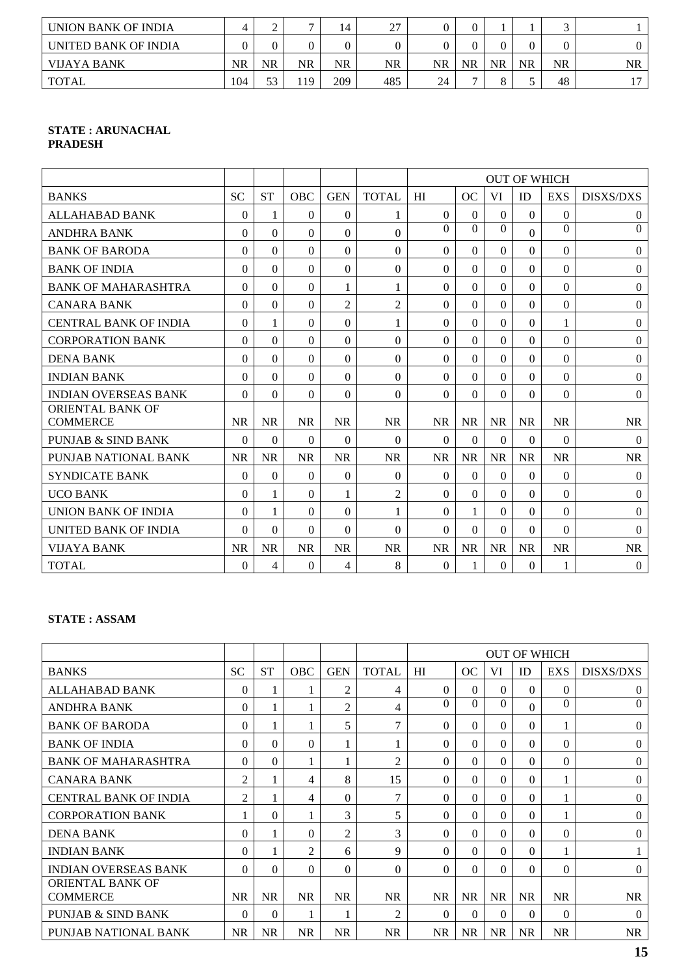| UNION BANK OF INDIA  |     | ∸  |     |     | $\mathcal{L}$ |           |    |    |           |           |       |
|----------------------|-----|----|-----|-----|---------------|-----------|----|----|-----------|-----------|-------|
| UNITED BANK OF INDIA |     |    |     |     |               |           |    |    |           |           |       |
| VIJAYA BANK          | NR  | NR | NR  | NR  | NR            | <b>NR</b> | NR | NR | <b>NR</b> | <b>NR</b> | NR    |
| TOTAL                | 104 | 53 | 119 | 209 | 485           | 24        |    |    |           | 48        | $1 -$ |

#### **STATE : ARUNACHAL PRADESH**

|                                            |           |           |            |                |                |           |           |           | <b>OUT OF WHICH</b> |              |                  |
|--------------------------------------------|-----------|-----------|------------|----------------|----------------|-----------|-----------|-----------|---------------------|--------------|------------------|
| <b>BANKS</b>                               | <b>SC</b> | <b>ST</b> | <b>OBC</b> | <b>GEN</b>     | <b>TOTAL</b>   | HI        | OC        | VI        | <b>ID</b>           | <b>EXS</b>   | <b>DISXS/DXS</b> |
| <b>ALLAHABAD BANK</b>                      | 0         | 1         | 0          | $\Omega$       |                | $\theta$  | $\Omega$  | $\Omega$  | $\Omega$            | $\Omega$     | $\mathbf{0}$     |
| <b>ANDHRA BANK</b>                         | $\Omega$  | $\Omega$  | $\Omega$   | $\Omega$       | $\Omega$       | $\Omega$  | $\Omega$  | $\Omega$  | $\Omega$            | $\Omega$     | $\overline{0}$   |
| <b>BANK OF BARODA</b>                      | 0         | $\Omega$  | $\Omega$   | $\Omega$       | $\Omega$       | $\theta$  | $\Omega$  | $\theta$  | $\Omega$            | 0            | $\mathbf{0}$     |
| <b>BANK OF INDIA</b>                       | $\Omega$  | $\Omega$  | 0          | $\Omega$       | $\theta$       | $\Omega$  | $\Omega$  | $\Omega$  | $\Omega$            | 0            | $\boldsymbol{0}$ |
| <b>BANK OF MAHARASHTRA</b>                 | $\Omega$  | $\Omega$  | $\theta$   | 1              | 1              | $\Omega$  | $\Omega$  | $\Omega$  | $\Omega$            | $\Omega$     | $\boldsymbol{0}$ |
| <b>CANARA BANK</b>                         | 0         | $\Omega$  | $\Omega$   | $\overline{2}$ | $\overline{2}$ | $\theta$  | $\Omega$  | $\theta$  | $\Omega$            | $\Omega$     | $\mathbf{0}$     |
| <b>CENTRAL BANK OF INDIA</b>               | $\Omega$  | 1         | 0          | $\Omega$       | 1              | $\theta$  | $\Omega$  | $\Omega$  | $\Omega$            | 1            | $\mathbf{0}$     |
| <b>CORPORATION BANK</b>                    | $\Omega$  | $\Omega$  | $\Omega$   | $\Omega$       | $\Omega$       | $\Omega$  | $\Omega$  | $\Omega$  | $\Omega$            | $\Omega$     | $\boldsymbol{0}$ |
| <b>DENA BANK</b>                           | $\Omega$  | $\theta$  | $\theta$   | $\Omega$       | $\theta$       | $\theta$  | $\Omega$  | $\theta$  | $\Omega$            | $\Omega$     | $\mathbf{0}$     |
| <b>INDIAN BANK</b>                         | $\Omega$  | $\Omega$  | 0          | $\Omega$       | $\Omega$       | $\Omega$  | $\Omega$  | $\Omega$  | $\Omega$            | $\Omega$     | $\mathbf{0}$     |
| <b>INDIAN OVERSEAS BANK</b>                | $\Omega$  | $\Omega$  | $\Omega$   | $\Omega$       | $\Omega$       | $\Omega$  | $\Omega$  | $\Omega$  | $\Omega$            | $\mathbf{0}$ | $\mathbf{0}$     |
| <b>ORIENTAL BANK OF</b><br><b>COMMERCE</b> | <b>NR</b> | <b>NR</b> | <b>NR</b>  | <b>NR</b>      | <b>NR</b>      | <b>NR</b> | <b>NR</b> | <b>NR</b> | <b>NR</b>           | <b>NR</b>    | <b>NR</b>        |
| PUNJAB & SIND BANK                         | $\Omega$  | $\Omega$  | 0          | $\Omega$       | $\theta$       | $\Omega$  | $\Omega$  | $\Omega$  | $\Omega$            | $\Omega$     | $\theta$         |
| PUNJAB NATIONAL BANK                       | <b>NR</b> | <b>NR</b> | <b>NR</b>  | <b>NR</b>      | <b>NR</b>      | <b>NR</b> | <b>NR</b> | <b>NR</b> | <b>NR</b>           | <b>NR</b>    | <b>NR</b>        |
| <b>SYNDICATE BANK</b>                      | $\Omega$  | $\theta$  | $\Omega$   | $\Omega$       | $\theta$       | $\theta$  | $\Omega$  | $\theta$  | $\Omega$            | $\Omega$     | $\mathbf{0}$     |
| <b>UCO BANK</b>                            | 0         | 1         | $\Omega$   | 1              | $\overline{2}$ | $\theta$  | $\Omega$  | $\Omega$  | $\Omega$            | $\Omega$     | $\mathbf{0}$     |
| <b>UNION BANK OF INDIA</b>                 | 0         | 1         | $\Omega$   | $\Omega$       |                | $\Omega$  |           | $\Omega$  | $\Omega$            | 0            | $\mathbf{0}$     |
| UNITED BANK OF INDIA                       | $\Omega$  | $\Omega$  | $\Omega$   | $\Omega$       | $\Omega$       | $\Omega$  | $\Omega$  | $\Omega$  | $\Omega$            | $\Omega$     | $\theta$         |
| VIJAYA BANK                                | <b>NR</b> | <b>NR</b> | <b>NR</b>  | <b>NR</b>      | <b>NR</b>      | <b>NR</b> | <b>NR</b> | <b>NR</b> | <b>NR</b>           | <b>NR</b>    | <b>NR</b>        |
| <b>TOTAL</b>                               | $\Omega$  | 4         | $\Omega$   | 4              | 8              | $\Omega$  | 1         | $\theta$  | $\Omega$            | 1            | $\mathbf{0}$     |

# **STATE : ASSAM**

|                               |           |           |                |                |                | <b>OUT OF WHICH</b> |           |           |           |              |                  |  |
|-------------------------------|-----------|-----------|----------------|----------------|----------------|---------------------|-----------|-----------|-----------|--------------|------------------|--|
| <b>BANKS</b>                  | <b>SC</b> | <b>ST</b> | OBC            | <b>GEN</b>     | <b>TOTAL</b>   | HI                  | <b>OC</b> | VI        | ID        | <b>EXS</b>   | <b>DISXS/DXS</b> |  |
| <b>ALLAHABAD BANK</b>         | $\Omega$  |           |                | $\overline{2}$ | 4              | $\Omega$            | $\Omega$  | $\Omega$  | $\Omega$  | $\Omega$     | $\theta$         |  |
| <b>ANDHRA BANK</b>            | 0         |           |                | $\overline{c}$ | $\overline{4}$ | $\Omega$            | $\Omega$  | $\Omega$  | $\Omega$  | $\Omega$     | $\Omega$         |  |
| <b>BANK OF BARODA</b>         | $\Omega$  | 1         |                | 5              | $\tau$         | $\Omega$            | $\Omega$  | $\Omega$  | $\Omega$  | 1            | $\Omega$         |  |
| <b>BANK OF INDIA</b>          | 0         | 0         | 0              |                |                | $\Omega$            | 0         | $\Omega$  | $\Omega$  | $\Omega$     | $\Omega$         |  |
| <b>BANK OF MAHARASHTRA</b>    | 0         | $\Omega$  |                |                | $\overline{2}$ | $\Omega$            | $\Omega$  | $\Omega$  | $\Omega$  | $\mathbf{0}$ | $\mathbf{0}$     |  |
| <b>CANARA BANK</b>            | 2         | 1         | 4              | 8              | 15             | $\Omega$            | $\Omega$  | $\Omega$  | $\Omega$  |              | $\theta$         |  |
| <b>CENTRAL BANK OF INDIA</b>  | 2         | 1         | 4              | $\Omega$       | $\tau$         | $\Omega$            | $\Omega$  | $\Omega$  | $\Omega$  | 1            | $\theta$         |  |
| <b>CORPORATION BANK</b>       |           | 0         |                | 3              | 5              | $\Omega$            | $\Omega$  | $\Omega$  | $\Omega$  |              | $\Omega$         |  |
| <b>DENA BANK</b>              | 0         |           | 0              | $\overline{c}$ | 3              | $\Omega$            | 0         | $\theta$  | $\theta$  | $\Omega$     | $\Omega$         |  |
| <b>INDIAN BANK</b>            | $\Omega$  |           | $\overline{c}$ | 6              | 9              | $\Omega$            | $\Omega$  | $\Omega$  | $\Omega$  |              |                  |  |
| <b>INDIAN OVERSEAS BANK</b>   | $\Omega$  | $\Omega$  | $\Omega$       | $\Omega$       | $\Omega$       | $\Omega$            | $\Omega$  | $\Omega$  | $\Omega$  | $\Omega$     | $\Omega$         |  |
| <b>ORIENTAL BANK OF</b>       |           |           |                |                |                |                     |           |           |           |              |                  |  |
| <b>COMMERCE</b>               | <b>NR</b> | <b>NR</b> | <b>NR</b>      | <b>NR</b>      | <b>NR</b>      | <b>NR</b>           | <b>NR</b> | <b>NR</b> | <b>NR</b> | <b>NR</b>    | <b>NR</b>        |  |
| <b>PUNJAB &amp; SIND BANK</b> | $\Omega$  | $\Omega$  |                |                | $\overline{2}$ | $\Omega$            | $\Omega$  | $\Omega$  | $\Omega$  | $\Omega$     | $\theta$         |  |
| PUNJAB NATIONAL BANK          | <b>NR</b> | <b>NR</b> | <b>NR</b>      | <b>NR</b>      | <b>NR</b>      | <b>NR</b>           | <b>NR</b> | <b>NR</b> | <b>NR</b> | <b>NR</b>    | <b>NR</b>        |  |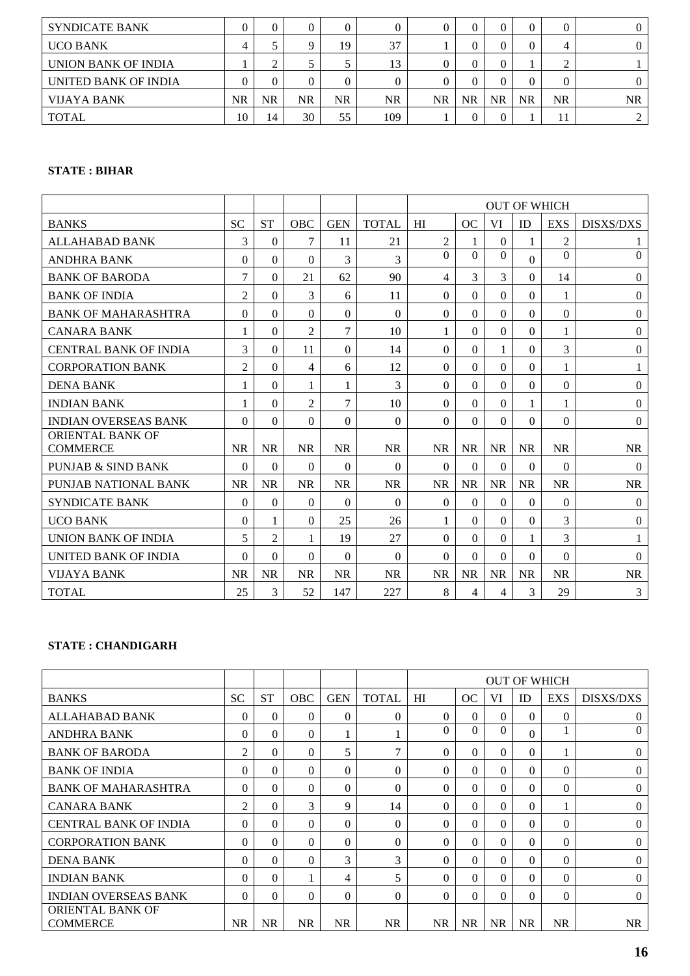| <b>SYNDICATE BANK</b> |           |    |     | 0  |           |    |    |           | $\theta$  |           |           |
|-----------------------|-----------|----|-----|----|-----------|----|----|-----------|-----------|-----------|-----------|
| <b>UCO BANK</b>       |           |    |     | 19 | 37        |    |    |           | $\Omega$  | 4         |           |
| UNION BANK OF INDIA   |           | ◠  |     |    | 13        |    |    |           |           | $\sim$    |           |
| UNITED BANK OF INDIA  |           |    |     | 0  |           |    |    |           | $\Omega$  |           |           |
| <b>VIJAYA BANK</b>    | <b>NR</b> | NR | NR. | NR | <b>NR</b> | NR | NR | <b>NR</b> | <b>NR</b> | <b>NR</b> | <b>NR</b> |
| <b>TOTAL</b>          | 10        | 14 | 30  | 55 | 109       |    |    |           |           | 11        |           |

# **STATE : BIHAR**

|                                            |                |                |                |                |              | <b>OUT OF WHICH</b> |           |           |              |            |                  |
|--------------------------------------------|----------------|----------------|----------------|----------------|--------------|---------------------|-----------|-----------|--------------|------------|------------------|
| <b>BANKS</b>                               | <b>SC</b>      | <b>ST</b>      | <b>OBC</b>     | <b>GEN</b>     | <b>TOTAL</b> | HI                  | OC        | VI        | <b>ID</b>    | <b>EXS</b> | <b>DISXS/DXS</b> |
| <b>ALLAHABAD BANK</b>                      | 3              | $\Omega$       | 7              | 11             | 21           | $\overline{2}$      | 1         | $\theta$  | 1            | 2          | 1                |
| <b>ANDHRA BANK</b>                         | 0              | $\Omega$       | $\Omega$       | 3              | 3            | $\Omega$            | $\Omega$  | $\Omega$  | $\Omega$     | $\Omega$   | $\mathbf{0}$     |
| <b>BANK OF BARODA</b>                      | 7              | $\Omega$       | 21             | 62             | 90           | 4                   | 3         | 3         | $\Omega$     | 14         | $\mathbf{0}$     |
| <b>BANK OF INDIA</b>                       | $\overline{2}$ | $\Omega$       | 3              | 6              | 11           | $\Omega$            | $\Omega$  | $\Omega$  | $\Omega$     | 1          | $\mathbf{0}$     |
| <b>BANK OF MAHARASHTRA</b>                 | $\Omega$       | $\Omega$       | $\theta$       | $\Omega$       | $\Omega$     | $\theta$            | $\Omega$  | $\Omega$  | $\Omega$     | $\Omega$   | $\mathbf{0}$     |
| <b>CANARA BANK</b>                         |                | $\Omega$       | $\overline{2}$ | $\overline{7}$ | 10           | 1                   | $\Omega$  | $\Omega$  | $\Omega$     | 1          | $\mathbf{0}$     |
| <b>CENTRAL BANK OF INDIA</b>               | 3              | $\Omega$       | 11             | $\Omega$       | 14           | $\Omega$            | $\Omega$  | 1         | $\Omega$     | 3          | $\Omega$         |
| <b>CORPORATION BANK</b>                    | $\overline{2}$ | $\Omega$       | 4              | 6              | 12           | $\Omega$            | $\Omega$  | $\Omega$  | $\mathbf{0}$ | 1          | 1                |
| <b>DENA BANK</b>                           |                | $\Omega$       | 1              | 1              | 3            | $\theta$            | $\Omega$  | $\Omega$  | $\Omega$     | $\Omega$   | $\Omega$         |
| <b>INDIAN BANK</b>                         | 1              | $\Omega$       | $\overline{2}$ | 7              | 10           | $\Omega$            | $\Omega$  | $\Omega$  | 1            | 1          | $\Omega$         |
| <b>INDIAN OVERSEAS BANK</b>                | $\Omega$       | $\Omega$       | $\Omega$       | $\Omega$       | $\Omega$     | $\Omega$            | $\Omega$  | $\Omega$  | $\Omega$     | $\Omega$   | $\mathbf{0}$     |
| <b>ORIENTAL BANK OF</b><br><b>COMMERCE</b> | <b>NR</b>      | <b>NR</b>      | <b>NR</b>      | <b>NR</b>      | <b>NR</b>    | <b>NR</b>           | <b>NR</b> | <b>NR</b> | <b>NR</b>    | <b>NR</b>  | <b>NR</b>        |
| PUNJAB & SIND BANK                         | $\Omega$       | $\Omega$       | 0              | $\Omega$       | $\Omega$     | $\Omega$            | $\Omega$  | $\Omega$  | $\Omega$     | 0          | $\Omega$         |
| PUNJAB NATIONAL BANK                       | <b>NR</b>      | <b>NR</b>      | <b>NR</b>      | <b>NR</b>      | <b>NR</b>    | <b>NR</b>           | <b>NR</b> | <b>NR</b> | <b>NR</b>    | <b>NR</b>  | <b>NR</b>        |
| <b>SYNDICATE BANK</b>                      | 0              | $\theta$       | $\Omega$       | $\Omega$       | $\Omega$     | $\theta$            | $\Omega$  | $\Omega$  | $\Omega$     | $\Omega$   | $\mathbf{0}$     |
| <b>UCO BANK</b>                            | $\Omega$       | 1              | $\Omega$       | 25             | 26           | 1                   | $\Omega$  | $\Omega$  | $\Omega$     | 3          | $\Omega$         |
| <b>UNION BANK OF INDIA</b>                 | 5              | $\overline{2}$ |                | 19             | 27           | $\Omega$            | $\Omega$  | $\Omega$  | $\mathbf{1}$ | 3          | 1                |
| UNITED BANK OF INDIA                       | $\Omega$       | $\Omega$       | $\Omega$       | $\Omega$       | $\Omega$     | $\Omega$            | $\Omega$  | $\Omega$  | $\Omega$     | $\Omega$   | $\theta$         |
| VIJAYA BANK                                | <b>NR</b>      | <b>NR</b>      | <b>NR</b>      | <b>NR</b>      | <b>NR</b>    | <b>NR</b>           | <b>NR</b> | <b>NR</b> | <b>NR</b>    | <b>NR</b>  | <b>NR</b>        |
| <b>TOTAL</b>                               | 25             | 3              | 52             | 147            | 227          | 8                   | 4         | 4         | 3            | 29         | 3                |

# **STATE : CHANDIGARH**

|                                            |           |           |            |            |              | <b>OUT OF WHICH</b> |           |           |           |            |                  |
|--------------------------------------------|-----------|-----------|------------|------------|--------------|---------------------|-----------|-----------|-----------|------------|------------------|
| <b>BANKS</b>                               | <b>SC</b> | <b>ST</b> | <b>OBC</b> | <b>GEN</b> | <b>TOTAL</b> | HI                  | OC        | VI        | <b>ID</b> | <b>EXS</b> | <b>DISXS/DXS</b> |
| ALLAHABAD BANK                             | $\Omega$  | $\Omega$  | 0          | $\Omega$   | $\Omega$     | $\Omega$            | $\Omega$  | $\Omega$  | $\Omega$  | $\Omega$   | $\Omega$         |
| <b>ANDHRA BANK</b>                         | 0         | $\Omega$  | 0          |            |              | $\Omega$            | $\Omega$  | $\theta$  | $\Omega$  |            | $\Omega$         |
| <b>BANK OF BARODA</b>                      | 2         | $\Omega$  | 0          | 5          | 7            | $\Omega$            | $\Omega$  | $\Omega$  | $\Omega$  |            | $\Omega$         |
| <b>BANK OF INDIA</b>                       | 0         | $\Omega$  | 0          | $\Omega$   | $\Omega$     | $\Omega$            | $\Omega$  | $\Omega$  | $\Omega$  | $\Omega$   | $\Omega$         |
| <b>BANK OF MAHARASHTRA</b>                 | 0         | $\Omega$  | 0          | $\Omega$   | $\Omega$     | $\Omega$            | $\Omega$  | $\Omega$  | $\Omega$  | $\Omega$   | $\Omega$         |
| <b>CANARA BANK</b>                         | 2         | $\Omega$  | 3          | 9          | 14           | $\Omega$            | 0         | $\Omega$  | $\theta$  |            | $\Omega$         |
| <b>CENTRAL BANK OF INDIA</b>               | 0         | $\Omega$  | 0          | $\Omega$   | $\Omega$     | $\Omega$            | $\Omega$  | $\Omega$  | $\Omega$  | $\Omega$   | $\Omega$         |
| <b>CORPORATION BANK</b>                    | 0         | $\Omega$  | 0          | $\Omega$   | $\Omega$     | $\Omega$            | 0         | $\Omega$  | $\Omega$  | 0          | $\Omega$         |
| <b>DENA BANK</b>                           | 0         | $\Omega$  | $\Omega$   | 3          | 3            | $\Omega$            | $\Omega$  | $\Omega$  | $\theta$  | $\Omega$   | $\Omega$         |
| <b>INDIAN BANK</b>                         | 0         | $\Omega$  |            | 4          | 5            | $\Omega$            | $\Omega$  | $\Omega$  | $\Omega$  | $\Omega$   | $\Omega$         |
| <b>INDIAN OVERSEAS BANK</b>                | $\Omega$  | $\Omega$  | 0          | $\Omega$   | $\Omega$     | $\Omega$            | $\Omega$  | $\Omega$  | $\Omega$  | 0          | $\Omega$         |
| <b>ORIENTAL BANK OF</b><br><b>COMMERCE</b> | <b>NR</b> | <b>NR</b> | <b>NR</b>  | <b>NR</b>  | <b>NR</b>    | <b>NR</b>           | <b>NR</b> | <b>NR</b> | <b>NR</b> | <b>NR</b>  | <b>NR</b>        |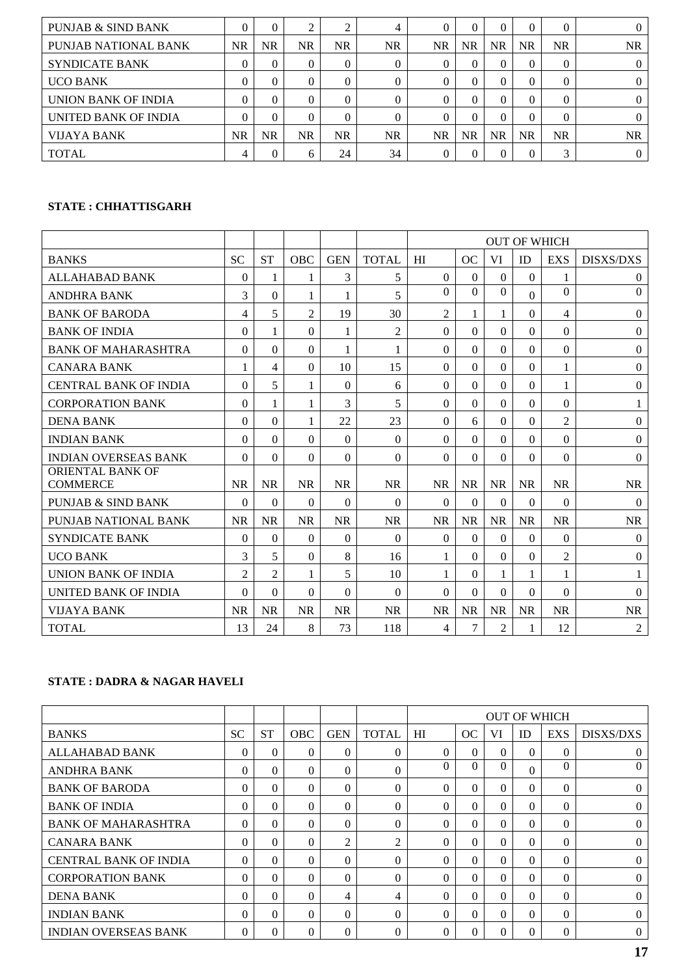| <b>PUNJAB &amp; SIND BANK</b> |           |    | ◠   |           | 4         |           |           |           | $\Omega$  | 0         |     |
|-------------------------------|-----------|----|-----|-----------|-----------|-----------|-----------|-----------|-----------|-----------|-----|
| PUNJAB NATIONAL BANK          | <b>NR</b> | NR | NR  | <b>NR</b> | NR        | <b>NR</b> | NR.       | <b>NR</b> | <b>NR</b> | <b>NR</b> | NR  |
| <b>SYNDICATE BANK</b>         |           | 0  | 0   | 0         | $\Omega$  |           |           | 0         | $\Omega$  | $\Omega$  |     |
| <b>UCO BANK</b>               |           | 0  |     | 0         | $\Omega$  |           |           |           | $\Omega$  | 0         |     |
| UNION BANK OF INDIA           | 0         | 0  |     | 0         | $\Omega$  |           |           |           | $\Omega$  | $\Omega$  |     |
| UNITED BANK OF INDIA          |           | 0  |     | 0         | $\Omega$  |           | $\Omega$  | $\Omega$  | $\Omega$  | 0         |     |
| <b>VIJAYA BANK</b>            | <b>NR</b> | NR | NR. | <b>NR</b> | <b>NR</b> | <b>NR</b> | <b>NR</b> | <b>NR</b> | <b>NR</b> | NR        | NR. |
| <b>TOTAL</b>                  | 4         | 0  | h   | 24        | 34        |           | $\Omega$  |           | $\Omega$  | 2         |     |

# **STATE : CHHATTISGARH**

|                                            |                |                |                |            |                | <b>OUT OF WHICH</b> |                |                |              |                |                  |
|--------------------------------------------|----------------|----------------|----------------|------------|----------------|---------------------|----------------|----------------|--------------|----------------|------------------|
| <b>BANKS</b>                               | <b>SC</b>      | <b>ST</b>      | <b>OBC</b>     | <b>GEN</b> | <b>TOTAL</b>   | HI                  | OC             | <b>VI</b>      | ID           | <b>EXS</b>     | <b>DISXS/DXS</b> |
| <b>ALLAHABAD BANK</b>                      | $\Omega$       | 1              | 1              | 3          | 5              | $\Omega$            | $\theta$       | $\Omega$       | $\theta$     |                | $\overline{0}$   |
| <b>ANDHRA BANK</b>                         | 3              | $\theta$       | 1              | 1          | 5              | $\Omega$            | $\Omega$       | $\Omega$       | $\Omega$     | $\Omega$       | $\Omega$         |
| <b>BANK OF BARODA</b>                      | 4              | 5              | $\overline{2}$ | 19         | 30             | $\overline{2}$      | 1              |                | $\Omega$     | 4              | $\boldsymbol{0}$ |
| <b>BANK OF INDIA</b>                       | $\Omega$       | 1              | $\theta$       | 1          | $\overline{2}$ | $\Omega$            | $\Omega$       | $\Omega$       | $\Omega$     | $\Omega$       | $\theta$         |
| <b>BANK OF MAHARASHTRA</b>                 | $\Omega$       | $\theta$       | $\theta$       | 1          | 1              | $\Omega$            | $\Omega$       | $\Omega$       | $\mathbf{0}$ | $\mathbf{0}$   | $\overline{0}$   |
| <b>CANARA BANK</b>                         |                | 4              | 0              | 10         | 15             | $\theta$            | $\Omega$       | $\Omega$       | $\theta$     | $\mathbf{1}$   | $\boldsymbol{0}$ |
| <b>CENTRAL BANK OF INDIA</b>               | 0              | 5              | 1              | $\Omega$   | 6              | $\Omega$            | $\Omega$       | $\Omega$       | $\theta$     | 1              | $\overline{0}$   |
| <b>CORPORATION BANK</b>                    | $\Omega$       | 1              | 1              | 3          | 5              | $\Omega$            | $\Omega$       | $\Omega$       | $\theta$     | $\Omega$       | $\mathbf{1}$     |
| <b>DENA BANK</b>                           | 0              | $\theta$       | 1              | 22         | 23             | $\Omega$            | 6              | $\Omega$       | $\theta$     | $\overline{2}$ | $\Omega$         |
| <b>INDIAN BANK</b>                         | $\Omega$       | $\theta$       | $\Omega$       | $\Omega$   | $\Omega$       | $\Omega$            | $\Omega$       | $\Omega$       | $\Omega$     | $\Omega$       | $\theta$         |
| <b>INDIAN OVERSEAS BANK</b>                | 0              | $\Omega$       | 0              | $\Omega$   | $\theta$       | $\theta$            | $\Omega$       | $\Omega$       | $\theta$     | $\Omega$       | $\overline{0}$   |
| <b>ORIENTAL BANK OF</b><br><b>COMMERCE</b> | <b>NR</b>      | <b>NR</b>      | <b>NR</b>      | <b>NR</b>  | <b>NR</b>      | <b>NR</b>           | <b>NR</b>      | <b>NR</b>      | <b>NR</b>    | <b>NR</b>      | <b>NR</b>        |
| <b>PUNJAB &amp; SIND BANK</b>              | $\theta$       | $\theta$       | $\Omega$       | $\Omega$   | $\theta$       | $\Omega$            | $\Omega$       | $\Omega$       | $\theta$     | $\Omega$       | $\overline{0}$   |
| PUNJAB NATIONAL BANK                       | <b>NR</b>      | <b>NR</b>      | <b>NR</b>      | <b>NR</b>  | <b>NR</b>      | <b>NR</b>           | <b>NR</b>      | <b>NR</b>      | <b>NR</b>    | <b>NR</b>      | <b>NR</b>        |
| <b>SYNDICATE BANK</b>                      | 0              | $\Omega$       | $\Omega$       | $\Omega$   | $\Omega$       | $\Omega$            | $\Omega$       | $\Omega$       | $\theta$     | $\mathbf{0}$   | $\theta$         |
| <b>UCO BANK</b>                            | 3              | 5              | $\Omega$       | 8          | 16             | 1                   | $\Omega$       | $\Omega$       | $\theta$     | $\overline{2}$ | $\theta$         |
| UNION BANK OF INDIA                        | $\overline{2}$ | $\overline{2}$ | 1              | 5          | 10             | 1                   | $\Omega$       | 1              | 1            | 1              | 1                |
| <b>UNITED BANK OF INDIA</b>                | 0              | $\Omega$       | 0              | $\Omega$   | $\Omega$       | $\Omega$            | $\Omega$       | $\Omega$       | $\Omega$     | $\Omega$       | $\theta$         |
| VIJAYA BANK                                | <b>NR</b>      | <b>NR</b>      | <b>NR</b>      | <b>NR</b>  | <b>NR</b>      | <b>NR</b>           | <b>NR</b>      | <b>NR</b>      | <b>NR</b>    | <b>NR</b>      | <b>NR</b>        |
| <b>TOTAL</b>                               | 13             | 24             | 8              | 73         | 118            | 4                   | $\overline{7}$ | $\mathfrak{2}$ | 1            | 12             | 2                |

# **STATE : DADRA & NAGAR HAVELI**

|                              |           |           |            |                |              | <b>OUT OF WHICH</b> |          |          |          |          |                  |
|------------------------------|-----------|-----------|------------|----------------|--------------|---------------------|----------|----------|----------|----------|------------------|
| <b>BANKS</b>                 | <b>SC</b> | <b>ST</b> | <b>OBC</b> | <b>GEN</b>     | <b>TOTAL</b> | HI                  | OC       | VI       | ID       | EXS      | <b>DISXS/DXS</b> |
| ALLAHABAD BANK               | $\theta$  | $\Omega$  | 0          | $\theta$       | $\Omega$     | $\Omega$            | $\Omega$ | $\Omega$ | $\Omega$ | $\Omega$ | 0                |
| <b>ANDHRA BANK</b>           | $\Omega$  | $\Omega$  | 0          | $\Omega$       | $\Omega$     | $\Omega$            | $\Omega$ | $\Omega$ | $\Omega$ | $\Omega$ | $\Omega$         |
| <b>BANK OF BARODA</b>        | $\Omega$  | $\Omega$  | 0          | $\Omega$       | $\Omega$     | $\Omega$            | $\Omega$ | $\Omega$ | $\Omega$ | $\Omega$ | $\Omega$         |
| <b>BANK OF INDIA</b>         | $\Omega$  | $\Omega$  | $\Omega$   | $\Omega$       | $\theta$     | $\Omega$            | $\Omega$ | $\Omega$ | $\Omega$ | $\Omega$ | $\Omega$         |
| <b>BANK OF MAHARASHTRA</b>   | $\Omega$  | $\Omega$  | $\Omega$   | $\Omega$       | $\Omega$     | $\Omega$            | $\Omega$ | $\Omega$ | $\Omega$ | $\Omega$ | $\Omega$         |
| <b>CANARA BANK</b>           | $\Omega$  | $\Omega$  | 0          | $\overline{c}$ | 2            | $\Omega$            | $\Omega$ | $\Omega$ | $\Omega$ | $\Omega$ | $\Omega$         |
| <b>CENTRAL BANK OF INDIA</b> | $\Omega$  | $\Omega$  | $\Omega$   | $\Omega$       | $\Omega$     | $\Omega$            | $\Omega$ | $\Omega$ | $\Omega$ | $\Omega$ | $\Omega$         |
| <b>CORPORATION BANK</b>      | $\Omega$  | $\Omega$  | $\Omega$   | $\Omega$       | $\theta$     | $\Omega$            | $\Omega$ | $\Omega$ | $\Omega$ | $\Omega$ | $\Omega$         |
| <b>DENA BANK</b>             | $\Omega$  | $\Omega$  | $\Omega$   | 4              | 4            | $\Omega$            | $\Omega$ | $\Omega$ | $\Omega$ | $\Omega$ | $\Omega$         |
| <b>INDIAN BANK</b>           | $\Omega$  | $\Omega$  | $\Omega$   | $\Omega$       | $\Omega$     | $\Omega$            | $\Omega$ | $\Omega$ | $\Omega$ | $\Omega$ | $\theta$         |
| <b>INDIAN OVERSEAS BANK</b>  | $\Omega$  | $\Omega$  | 0          | $\Omega$       | $\Omega$     | $\Omega$            | $\Omega$ |          | $\Omega$ | $\Omega$ | $\Omega$         |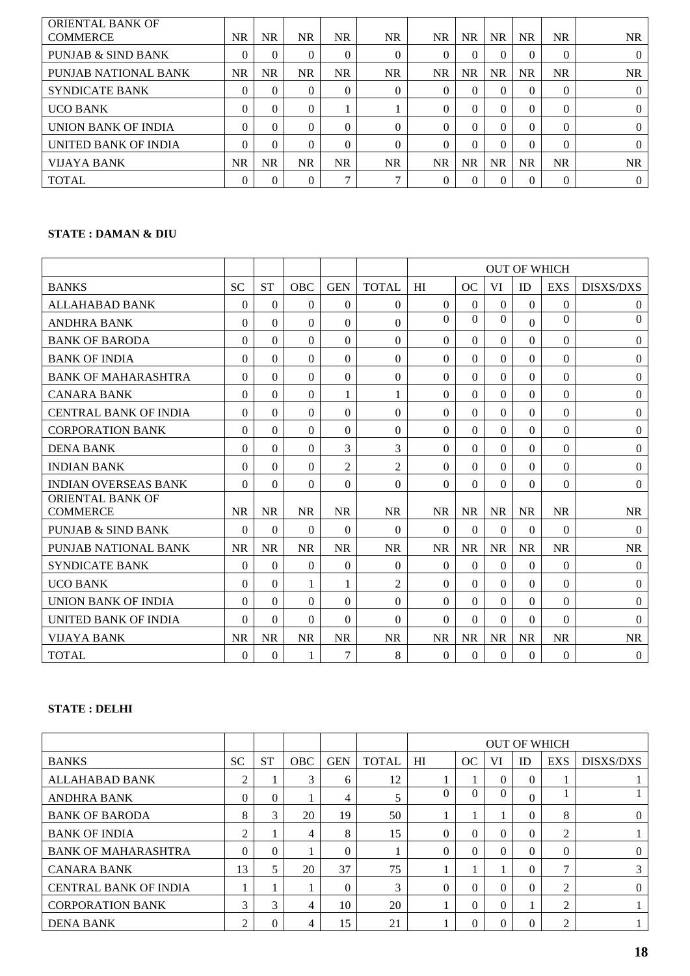| <b>ORIENTAL BANK OF</b><br><b>COMMERCE</b> | NR.       | <b>NR</b> | NR.      | <b>NR</b>    | <b>NR</b>    | NR.       | NR.       | <b>NR</b> | <b>NR</b> | <b>NR</b> | NR.            |
|--------------------------------------------|-----------|-----------|----------|--------------|--------------|-----------|-----------|-----------|-----------|-----------|----------------|
| <b>PUNJAB &amp; SIND BANK</b>              | $\Omega$  | $\theta$  | $\Omega$ | $\theta$     | $\Omega$     | $\theta$  | 0         |           | $\theta$  | $\theta$  | $\overline{0}$ |
| PUNJAB NATIONAL BANK                       | <b>NR</b> | <b>NR</b> | NR       | <b>NR</b>    | <b>NR</b>    | <b>NR</b> | <b>NR</b> | <b>NR</b> | <b>NR</b> | <b>NR</b> | <b>NR</b>      |
| <b>SYNDICATE BANK</b>                      | 0         | $\Omega$  | 0        | $\Omega$     | $\Omega$     | $\theta$  | 0         |           | 0         | $\theta$  | $\mathbf{0}$   |
| <b>UCO BANK</b>                            | 0         | $\Omega$  | $\Omega$ |              |              | $\Omega$  | 0         |           | 0         | $\Omega$  | $\mathbf{0}$   |
| UNION BANK OF INDIA                        | 0         | $\Omega$  | $\Omega$ | 0            | 0            | $\Omega$  | 0         | 0         | $\Omega$  | $\Omega$  | $\Omega$       |
| UNITED BANK OF INDIA                       | 0         | $\Omega$  | 0        | $\Omega$     | 0            | 0         | 0         |           | $\theta$  | $\Omega$  | $\Omega$       |
| <b>VIJAYA BANK</b>                         | NR.       | <b>NR</b> | NR       | <b>NR</b>    | <b>NR</b>    | <b>NR</b> | <b>NR</b> | <b>NR</b> | <b>NR</b> | <b>NR</b> | NR             |
| <b>TOTAL</b>                               | $\theta$  | $\theta$  | 0        | $\mathbf{r}$ | $\mathbf{r}$ | 0         |           |           | $\theta$  | $\theta$  | 0              |

# **STATE : DAMAN & DIU**

|                                            |           |           |            |                |                | <b>OUT OF WHICH</b> |           |           |              |            |                  |
|--------------------------------------------|-----------|-----------|------------|----------------|----------------|---------------------|-----------|-----------|--------------|------------|------------------|
| <b>BANKS</b>                               | <b>SC</b> | <b>ST</b> | <b>OBC</b> | <b>GEN</b>     | <b>TOTAL</b>   | HI                  | OC        | VI        | ID           | <b>EXS</b> | <b>DISXS/DXS</b> |
| <b>ALLAHABAD BANK</b>                      | $\theta$  | $\theta$  | $\theta$   | $\Omega$       | $\Omega$       | $\Omega$            | $\Omega$  | $\Omega$  | $\theta$     | $\Omega$   | $\theta$         |
| <b>ANDHRA BANK</b>                         | 0         | $\theta$  | $\Omega$   | $\theta$       | $\theta$       | $\Omega$            | $\Omega$  | $\Omega$  | $\Omega$     | $\Omega$   | $\boldsymbol{0}$ |
| <b>BANK OF BARODA</b>                      | 0         | $\Omega$  | 0          | $\Omega$       | $\Omega$       | $\Omega$            | $\Omega$  | $\Omega$  | $\Omega$     | $\Omega$   | $\boldsymbol{0}$ |
| <b>BANK OF INDIA</b>                       | $\Omega$  | $\theta$  | $\theta$   | $\theta$       | $\Omega$       | $\theta$            | $\Omega$  | $\Omega$  | $\mathbf{0}$ | $\Omega$   | $\theta$         |
| <b>BANK OF MAHARASHTRA</b>                 | $\Omega$  | $\theta$  | $\Omega$   | $\theta$       | $\Omega$       | $\Omega$            | $\Omega$  | $\Omega$  | $\Omega$     | $\Omega$   | $\boldsymbol{0}$ |
| <b>CANARA BANK</b>                         | 0         | 0         | $\theta$   | 1              | 1              | $\Omega$            | $\Omega$  | $\Omega$  | $\theta$     | $\Omega$   | $\boldsymbol{0}$ |
| <b>CENTRAL BANK OF INDIA</b>               | $\Omega$  | $\theta$  | $\theta$   | $\theta$       | $\Omega$       | $\theta$            | $\Omega$  | $\Omega$  | $\theta$     | $\Omega$   | $\Omega$         |
| <b>CORPORATION BANK</b>                    | $\Omega$  | $\Omega$  | $\Omega$   | $\Omega$       | $\Omega$       | $\Omega$            | $\Omega$  | $\Omega$  | $\Omega$     | $\Omega$   | $\boldsymbol{0}$ |
| <b>DENA BANK</b>                           | 0         | 0         | $\Omega$   | 3              | 3              | $\theta$            | $\Omega$  | $\Omega$  | $\theta$     | $\Omega$   | $\boldsymbol{0}$ |
| <b>INDIAN BANK</b>                         | $\Omega$  | $\theta$  | $\Omega$   | $\overline{2}$ | $\overline{2}$ | $\theta$            | $\Omega$  | $\Omega$  | $\theta$     | $\Omega$   | $\theta$         |
| <b>INDIAN OVERSEAS BANK</b>                | $\Omega$  | $\Omega$  | $\Omega$   | $\Omega$       | $\theta$       | $\Omega$            | $\Omega$  | $\Omega$  | $\Omega$     | $\Omega$   | $\overline{0}$   |
| <b>ORIENTAL BANK OF</b><br><b>COMMERCE</b> | <b>NR</b> | <b>NR</b> | <b>NR</b>  | <b>NR</b>      | <b>NR</b>      | <b>NR</b>           | <b>NR</b> | <b>NR</b> | <b>NR</b>    | <b>NR</b>  | <b>NR</b>        |
| PUNJAB & SIND BANK                         | $\Omega$  | $\theta$  | $\Omega$   | $\theta$       | $\Omega$       | $\Omega$            | $\Omega$  | $\Omega$  | $\theta$     | $\Omega$   | $\theta$         |
| PUNJAB NATIONAL BANK                       | <b>NR</b> | <b>NR</b> | <b>NR</b>  | <b>NR</b>      | <b>NR</b>      | <b>NR</b>           | <b>NR</b> | <b>NR</b> | <b>NR</b>    | $\rm NR$   | <b>NR</b>        |
| <b>SYNDICATE BANK</b>                      | 0         | $\theta$  | $\Omega$   | $\Omega$       | $\Omega$       | $\Omega$            | $\Omega$  | $\Omega$  | $\theta$     | $\Omega$   | $\Omega$         |
| <b>UCO BANK</b>                            | $\Omega$  | $\theta$  | 1          | 1              | $\overline{2}$ | $\Omega$            | $\Omega$  | $\Omega$  | $\Omega$     | $\Omega$   | $\boldsymbol{0}$ |
| <b>UNION BANK OF INDIA</b>                 | 0         | 0         | $\Omega$   | $\Omega$       | $\Omega$       | $\Omega$            | $\Omega$  | $\Omega$  | $\Omega$     | $\Omega$   | $\theta$         |
| UNITED BANK OF INDIA                       | $\Omega$  | $\Omega$  | $\Omega$   | $\Omega$       | $\Omega$       | $\Omega$            | $\Omega$  | $\Omega$  | $\Omega$     | $\Omega$   | $\Omega$         |
| VIJAYA BANK                                | <b>NR</b> | <b>NR</b> | <b>NR</b>  | <b>NR</b>      | <b>NR</b>      | <b>NR</b>           | <b>NR</b> | <b>NR</b> | <b>NR</b>    | <b>NR</b>  | <b>NR</b>        |
| <b>TOTAL</b>                               | $\Omega$  | $\theta$  |            | 7              | 8              | $\theta$            | $\Omega$  | $\theta$  | $\theta$     | $\Omega$   | $\overline{0}$   |

# **STATE : DELHI**

|                              |           |           |            |            |              | <b>OUT OF WHICH</b> |          |    |          |                |                  |
|------------------------------|-----------|-----------|------------|------------|--------------|---------------------|----------|----|----------|----------------|------------------|
| <b>BANKS</b>                 | <b>SC</b> | <b>ST</b> | <b>OBC</b> | <b>GEN</b> | <b>TOTAL</b> | H <sub>I</sub>      | OC       | VI | ID       | <b>EXS</b>     | <b>DISXS/DXS</b> |
| ALLAHABAD BANK               | ↑         |           | 3          | 6          | 12           |                     |          | 0  | $\Omega$ |                |                  |
| <b>ANDHRA BANK</b>           | $\Omega$  | $\Omega$  |            | 4          | 5            | $\Omega$            | 0        | 0  | $\theta$ |                |                  |
| <b>BANK OF BARODA</b>        | 8         | 3         | 20         | 19         | 50           |                     |          |    | $\theta$ | 8              | 0                |
| <b>BANK OF INDIA</b>         | ↑         |           | 4          | 8          | 15           | $\Omega$            | $\Omega$ | 0  | $\theta$ | 2              |                  |
| <b>BANK OF MAHARASHTRA</b>   | $\Omega$  | $\Omega$  |            | $\Omega$   |              | 0                   | 0        |    | 0        | $\Omega$       | 0                |
| <b>CANARA BANK</b>           | 13        |           | 20         | 37         | 75           |                     |          |    | $\theta$ | ⇁              | 3                |
| <b>CENTRAL BANK OF INDIA</b> |           |           |            | $\Omega$   | 3            | $\Omega$            | 0        |    | $\Omega$ | റ              | $\Omega$         |
| <b>CORPORATION BANK</b>      | 3         | 3         | 4          | 10         | 20           |                     | 0        | 0  |          | $\overline{c}$ |                  |
| <b>DENA BANK</b>             | ◠         | 0         | 4          | 15         | 21           |                     |          |    | 0        | റ              |                  |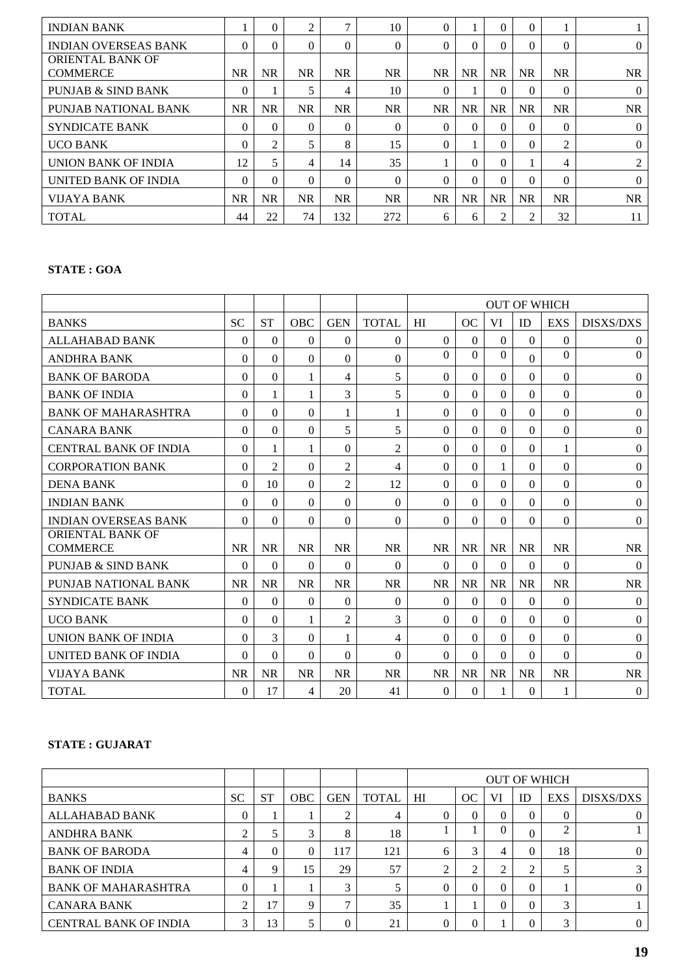| <b>INDIAN BANK</b>            |           | $\Omega$  | 2         | $\mathcal{I}$ | 10        | $\Omega$  |           | 0         | $\Omega$  |           |                |
|-------------------------------|-----------|-----------|-----------|---------------|-----------|-----------|-----------|-----------|-----------|-----------|----------------|
| <b>INDIAN OVERSEAS BANK</b>   | 0         | $\Omega$  | $\Omega$  | $\Omega$      | $\theta$  | $\Omega$  | 0         | 0         | $\Omega$  | $\Omega$  | $\overline{0}$ |
| <b>ORIENTAL BANK OF</b>       |           |           |           |               |           |           |           |           |           |           |                |
| <b>COMMERCE</b>               | <b>NR</b> | <b>NR</b> | <b>NR</b> | <b>NR</b>     | <b>NR</b> | <b>NR</b> | <b>NR</b> | <b>NR</b> | <b>NR</b> | <b>NR</b> | NR             |
| <b>PUNJAB &amp; SIND BANK</b> | $\theta$  |           |           | 4             | 10        | $\Omega$  |           | $\Omega$  | $\Omega$  | $\Omega$  | $\Omega$       |
| PUNJAB NATIONAL BANK          | NR.       | <b>NR</b> | <b>NR</b> | <b>NR</b>     | <b>NR</b> | NR.       | <b>NR</b> | <b>NR</b> | <b>NR</b> | <b>NR</b> | <b>NR</b>      |
| <b>SYNDICATE BANK</b>         | $\theta$  | $\Omega$  | $\Omega$  | $\Omega$      | $\theta$  | $\Omega$  | $\Omega$  | 0         | $\Omega$  | $\Omega$  | $\mathbf{0}$   |
| <b>UCO BANK</b>               | $\Omega$  | 2         | 5         | 8             | 15        | $\Omega$  |           | 0         | $\Omega$  | 2         | $\mathbf{0}$   |
| UNION BANK OF INDIA           | 12        | 5         | 4         | 14            | 35        |           | 0         | $\Omega$  |           | 4         | 2              |
| UNITED BANK OF INDIA          | $\Omega$  | $\Omega$  | $\Omega$  | $\Omega$      | $\theta$  | $\Omega$  | 0         | 0         | $\Omega$  | $\Omega$  | $\theta$       |
| <b>VIJAYA BANK</b>            | <b>NR</b> | <b>NR</b> | <b>NR</b> | <b>NR</b>     | NR.       | NR.       | <b>NR</b> | <b>NR</b> | <b>NR</b> | <b>NR</b> | NR             |
| <b>TOTAL</b>                  | 44        | 22        | 74        | 132           | 272       | 6         | 6         |           | 2         | 32        | 11             |

# **STATE : GOA**

|                                     |           |                |            |                |                | <b>OUT OF WHICH</b> |           |           |           |                |                  |
|-------------------------------------|-----------|----------------|------------|----------------|----------------|---------------------|-----------|-----------|-----------|----------------|------------------|
| <b>BANKS</b>                        | <b>SC</b> | <b>ST</b>      | <b>OBC</b> | <b>GEN</b>     | <b>TOTAL</b>   | HI                  | OC        | VI        | <b>ID</b> | <b>EXS</b>     | <b>DISXS/DXS</b> |
| <b>ALLAHABAD BANK</b>               | $\Omega$  | $\Omega$       | $\Omega$   | $\Omega$       | $\theta$       | $\Omega$            | $\Omega$  | $\theta$  | $\Omega$  | $\mathbf{0}$   | $\boldsymbol{0}$ |
| <b>ANDHRA BANK</b>                  | 0         | $\theta$       | $\Omega$   | $\Omega$       | $\theta$       | $\Omega$            | $\Omega$  | $\Omega$  | $\Omega$  | $\Omega$       | $\mathbf{0}$     |
| <b>BANK OF BARODA</b>               | 0         | $\Omega$       | 1          | 4              | 5              | $\Omega$            | $\Omega$  | 0         | $\Omega$  | 0              | $\mathbf{0}$     |
| <b>BANK OF INDIA</b>                | 0         | 1              | 1          | 3              | 5              | $\theta$            | $\Omega$  | $\Omega$  | $\Omega$  | $\Omega$       | $\mathbf{0}$     |
| <b>BANK OF MAHARASHTRA</b>          | $\Omega$  | $\theta$       | $\theta$   | 1              | 1              | $\theta$            | $\Omega$  | $\Omega$  | $\Omega$  | $\Omega$       | $\Omega$         |
| <b>CANARA BANK</b>                  | 0         | $\Omega$       | $\Omega$   | 5              | 5              | $\Omega$            | $\Omega$  | $\Omega$  | $\Omega$  | $\Omega$       | $\mathbf{0}$     |
| <b>CENTRAL BANK OF INDIA</b>        | $\Omega$  | 1              | 1          | $\Omega$       | $\overline{2}$ | $\theta$            | $\Omega$  | $\Omega$  | $\Omega$  | 1              | $\Omega$         |
| <b>CORPORATION BANK</b>             | $\Omega$  | $\overline{c}$ | $\Omega$   | $\overline{2}$ | $\overline{4}$ | $\Omega$            | $\Omega$  | 1         | $\Omega$  | $\Omega$       | $\boldsymbol{0}$ |
| <b>DENA BANK</b>                    | 0         | 10             | $\Omega$   | $\overline{2}$ | 12             | $\Omega$            | 0         | $\Omega$  | $\Omega$  | 0              | $\mathbf{0}$     |
| <b>INDIAN BANK</b>                  | $\Omega$  | $\Omega$       | $\Omega$   | $\Omega$       | $\Omega$       | $\Omega$            | $\Omega$  | $\Omega$  | $\Omega$  | $\Omega$       | $\boldsymbol{0}$ |
| <b>INDIAN OVERSEAS BANK</b>         | $\Omega$  | $\Omega$       | $\Omega$   | $\Omega$       | $\Omega$       | $\Omega$            | $\Omega$  | $\theta$  | $\Omega$  | $\overline{0}$ | $\boldsymbol{0}$ |
| ORIENTAL BANK OF<br><b>COMMERCE</b> | <b>NR</b> | <b>NR</b>      | <b>NR</b>  | <b>NR</b>      | <b>NR</b>      | <b>NR</b>           | <b>NR</b> | <b>NR</b> | <b>NR</b> | <b>NR</b>      | <b>NR</b>        |
| PUNJAB & SIND BANK                  | 0         | $\Omega$       | 0          | $\Omega$       | $\Omega$       | $\Omega$            | $\Omega$  | $\Omega$  | $\Omega$  | $\Omega$       | $\theta$         |
| PUNJAB NATIONAL BANK                | <b>NR</b> | <b>NR</b>      | <b>NR</b>  | <b>NR</b>      | <b>NR</b>      | <b>NR</b>           | <b>NR</b> | <b>NR</b> | <b>NR</b> | <b>NR</b>      | <b>NR</b>        |
| <b>SYNDICATE BANK</b>               | 0         | $\theta$       | $\Omega$   | $\Omega$       | $\theta$       | $\theta$            | $\Omega$  | $\Omega$  | $\Omega$  | $\mathbf{0}$   | $\mathbf{0}$     |
| <b>UCO BANK</b>                     | $\Omega$  | $\theta$       | 1          | $\overline{2}$ | 3              | $\Omega$            | $\Omega$  | $\Omega$  | $\Omega$  | $\Omega$       | $\Omega$         |
| UNION BANK OF INDIA                 | $\Omega$  | 3              | $\Omega$   | 1              | $\overline{4}$ | $\Omega$            | $\Omega$  | $\Omega$  | $\Omega$  | $\Omega$       | $\mathbf{0}$     |
| <b>UNITED BANK OF INDIA</b>         | $\Omega$  | $\Omega$       | $\Omega$   | $\Omega$       | $\Omega$       | $\Omega$            | $\Omega$  | $\Omega$  | $\Omega$  | 0              | $\Omega$         |
| VIJAYA BANK                         | <b>NR</b> | <b>NR</b>      | <b>NR</b>  | <b>NR</b>      | <b>NR</b>      | <b>NR</b>           | <b>NR</b> | <b>NR</b> | <b>NR</b> | <b>NR</b>      | <b>NR</b>        |
| <b>TOTAL</b>                        | $\Omega$  | 17             | 4          | 20             | 41             | $\Omega$            | $\Omega$  | 1         | $\Omega$  | 1              | $\mathbf{0}$     |

# **STATE : GUJARAT**

|                              |           |           |     |            |              | <b>OUT OF WHICH</b> |          |    |          |            |                  |
|------------------------------|-----------|-----------|-----|------------|--------------|---------------------|----------|----|----------|------------|------------------|
| <b>BANKS</b>                 | <b>SC</b> | <b>ST</b> | OBC | <b>GEN</b> | <b>TOTAL</b> | HI                  | OC       | VI | ID       | <b>EXS</b> | <b>DISXS/DXS</b> |
| ALLAHABAD BANK               | 0         |           |     | ◠          | 4            | $\Omega$            | $\Omega$ |    | $\left($ | 0          |                  |
| ANDHRA BANK                  | ◠         |           | 3   | 8          | 18           |                     |          |    | $\Omega$ | ◠          |                  |
| <b>BANK OF BARODA</b>        | 4         | 0         | 0   | 117        | 121          | 6                   | 3        | 4  | $\theta$ | 18         |                  |
| <b>BANK OF INDIA</b>         | 4         | 9         | 15  | 29         | 57           | ◠                   | ◠        |    | 2        |            |                  |
| <b>BANK OF MAHARASHTRA</b>   | 0         |           |     | 3          |              |                     |          |    | $\Omega$ |            |                  |
| <b>CANARA BANK</b>           | ◠         | 17        | Q   |            | 35           |                     |          |    | $\Omega$ | 3          |                  |
| <b>CENTRAL BANK OF INDIA</b> | 3         | 13        |     | 0          | 21           |                     |          |    | $\Omega$ | 3          |                  |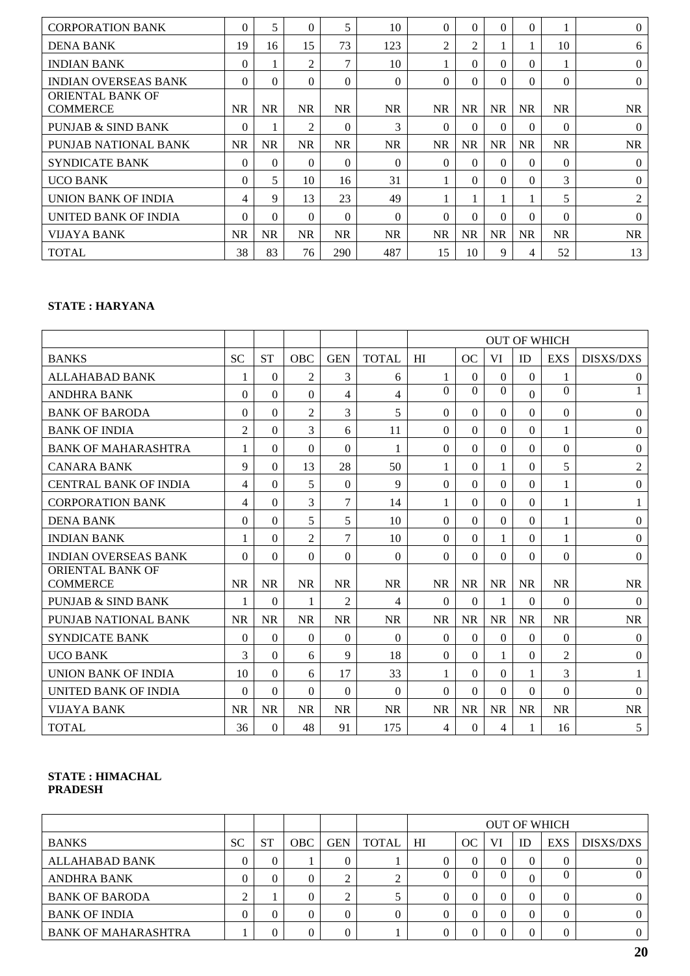| <b>CORPORATION BANK</b>                    | $\theta$  | 5         | 0              | 5         | 10        | $\Omega$  | $\Omega$  | $\Omega$  | $\theta$  |           | $\Omega$       |
|--------------------------------------------|-----------|-----------|----------------|-----------|-----------|-----------|-----------|-----------|-----------|-----------|----------------|
| <b>DENA BANK</b>                           | 19        | 16        | 15             | 73        | 123       | 2         | 2         |           |           | 10        | 6              |
| <b>INDIAN BANK</b>                         | $\Omega$  |           | 2              | 7         | 10        |           | $\Omega$  | $\Omega$  | $\Omega$  |           | $\Omega$       |
| <b>INDIAN OVERSEAS BANK</b>                | $\Omega$  | $\Omega$  | $\Omega$       | $\Omega$  | $\theta$  | $\Omega$  | $\Omega$  | $\Omega$  | $\Omega$  | $\Omega$  | $\Omega$       |
| <b>ORIENTAL BANK OF</b><br><b>COMMERCE</b> | <b>NR</b> | NR.       | NR.            | <b>NR</b> | <b>NR</b> | <b>NR</b> | <b>NR</b> | <b>NR</b> | <b>NR</b> | <b>NR</b> | <b>NR</b>      |
| <b>PUNJAB &amp; SIND BANK</b>              | $\Omega$  |           | $\overline{c}$ | $\Omega$  | 3         | $\theta$  | $\Omega$  | $\Omega$  | $\theta$  | $\Omega$  | $\Omega$       |
| PUNJAB NATIONAL BANK                       | <b>NR</b> | <b>NR</b> | NR             | <b>NR</b> | <b>NR</b> | <b>NR</b> | <b>NR</b> | <b>NR</b> | <b>NR</b> | <b>NR</b> | <b>NR</b>      |
| <b>SYNDICATE BANK</b>                      | $\Omega$  | 0         | 0              | $\Omega$  | $\Omega$  | $\Omega$  | $\Omega$  | $\Omega$  | $\Omega$  | $\Omega$  | $\Omega$       |
| <b>UCO BANK</b>                            | $\Omega$  | 5         | 10             | 16        | 31        |           | $\Omega$  | $\Omega$  | $\Omega$  | 3         | $\Omega$       |
| UNION BANK OF INDIA                        | 4         | 9         | 13             | 23        | 49        |           |           |           | 1         | 5         | $\overline{2}$ |
| UNITED BANK OF INDIA                       | 0         | $\Omega$  | $\Omega$       | $\Omega$  | $\Omega$  | $\theta$  | $\Omega$  | $\Omega$  | $\Omega$  | $\Omega$  | $\Omega$       |
| VIJAYA BANK                                | <b>NR</b> | NR.       | NR.            | <b>NR</b> | <b>NR</b> | <b>NR</b> | <b>NR</b> | <b>NR</b> | <b>NR</b> | <b>NR</b> | <b>NR</b>      |
| <b>TOTAL</b>                               | 38        | 83        | 76             | 290       | 487       | 15        | 10        | 9         | 4         | 52        | 13             |

# **STATE : HARYANA**

|                                            |                |           |                |                |                | <b>OUT OF WHICH</b> |           |              |              |                |                  |
|--------------------------------------------|----------------|-----------|----------------|----------------|----------------|---------------------|-----------|--------------|--------------|----------------|------------------|
| <b>BANKS</b>                               | <b>SC</b>      | <b>ST</b> | <b>OBC</b>     | <b>GEN</b>     | <b>TOTAL</b>   | HI                  | OC        | VI           | ID           | <b>EXS</b>     | <b>DISXS/DXS</b> |
| <b>ALLAHABAD BANK</b>                      |                | $\Omega$  | $\overline{c}$ | 3              | 6              | 1                   | $\theta$  | $\Omega$     | $\Omega$     | 1              | $\overline{0}$   |
| <b>ANDHRA BANK</b>                         | $\Omega$       | $\Omega$  | $\Omega$       | 4              | $\overline{4}$ | $\Omega$            | $\Omega$  | $\Omega$     | $\Omega$     | $\Omega$       |                  |
| <b>BANK OF BARODA</b>                      | $\Omega$       | $\Omega$  | $\overline{2}$ | 3              | 5              | $\theta$            | 0         | $\Omega$     | $\Omega$     | $\mathbf{0}$   | $\overline{0}$   |
| <b>BANK OF INDIA</b>                       | $\overline{2}$ | $\Omega$  | 3              | 6              | 11             | $\Omega$            | $\Omega$  | $\Omega$     | $\Omega$     | 1              | $\theta$         |
| <b>BANK OF MAHARASHTRA</b>                 |                | $\Omega$  | $\Omega$       | $\Omega$       | 1              | $\theta$            | $\Omega$  | $\Omega$     | $\Omega$     | $\Omega$       | $\overline{0}$   |
| <b>CANARA BANK</b>                         | 9              | $\Omega$  | 13             | 28             | 50             |                     | $\Omega$  |              | $\Omega$     | 5              | $\mathfrak{2}$   |
| <b>CENTRAL BANK OF INDIA</b>               | 4              | $\theta$  | 5              | $\Omega$       | 9              | $\theta$            | $\Omega$  | $\Omega$     | $\Omega$     | 1              | $\theta$         |
| <b>CORPORATION BANK</b>                    | 4              | $\Omega$  | 3              | 7              | 14             | 1                   | $\Omega$  | $\Omega$     | $\mathbf{0}$ | 1              | 1                |
| <b>DENA BANK</b>                           | $\Omega$       | $\Omega$  | 5              | 5              | 10             | $\theta$            | $\Omega$  | $\theta$     | $\Omega$     | $\mathbf{1}$   | $\theta$         |
| <b>INDIAN BANK</b>                         | 1              | $\Omega$  | $\overline{2}$ | 7              | 10             | $\Omega$            | $\Omega$  | 1            | $\Omega$     | 1              | $\theta$         |
| <b>INDIAN OVERSEAS BANK</b>                | $\Omega$       | $\Omega$  | $\Omega$       | $\Omega$       | $\Omega$       | $\Omega$            | $\Omega$  | $\Omega$     | $\Omega$     | $\Omega$       | $\overline{0}$   |
| <b>ORIENTAL BANK OF</b><br><b>COMMERCE</b> | <b>NR</b>      | <b>NR</b> | <b>NR</b>      | <b>NR</b>      | <b>NR</b>      | <b>NR</b>           | <b>NR</b> | <b>NR</b>    | <b>NR</b>    | <b>NR</b>      | <b>NR</b>        |
| PUNJAB & SIND BANK                         | 1              | $\Omega$  | 1              | $\overline{2}$ | 4              | $\Omega$            | 0         | $\mathbf{1}$ | $\Omega$     | $\Omega$       | $\theta$         |
| PUNJAB NATIONAL BANK                       | <b>NR</b>      | <b>NR</b> | <b>NR</b>      | <b>NR</b>      | <b>NR</b>      | <b>NR</b>           | <b>NR</b> | <b>NR</b>    | <b>NR</b>    | <b>NR</b>      | <b>NR</b>        |
| <b>SYNDICATE BANK</b>                      | $\theta$       | $\Omega$  | $\Omega$       | $\Omega$       | $\theta$       | $\Omega$            | $\Omega$  | $\Omega$     | $\Omega$     | $\Omega$       | $\boldsymbol{0}$ |
| <b>UCO BANK</b>                            | 3              | $\theta$  | 6              | 9              | 18             | $\theta$            | $\Omega$  | 1            | $\Omega$     | $\overline{2}$ | $\theta$         |
| UNION BANK OF INDIA                        | 10             | $\Omega$  | 6              | 17             | 33             |                     | $\Omega$  | $\Omega$     | 1            | 3              |                  |
| UNITED BANK OF INDIA                       | $\Omega$       | $\Omega$  | $\Omega$       | $\Omega$       | $\Omega$       | $\Omega$            | $\Omega$  | $\Omega$     | $\Omega$     | $\Omega$       | $\Omega$         |
| <b>VIJAYA BANK</b>                         | <b>NR</b>      | <b>NR</b> | <b>NR</b>      | <b>NR</b>      | <b>NR</b>      | <b>NR</b>           | <b>NR</b> | <b>NR</b>    | <b>NR</b>    | <b>NR</b>      | <b>NR</b>        |
| <b>TOTAL</b>                               | 36             | $\Omega$  | 48             | 91             | 175            | 4                   | $\Omega$  | 4            | 1            | 16             | 5                |

## **STATE : HIMACHAL PRADESH**

|                            |           |           |            |            |              |    |    |    |          | <b>OUT OF WHICH</b> |           |
|----------------------------|-----------|-----------|------------|------------|--------------|----|----|----|----------|---------------------|-----------|
| <b>BANKS</b>               | <b>SC</b> | <b>ST</b> | <b>OBC</b> | <b>GEN</b> | <b>TOTAL</b> | HI | OC | VI | ID       | <b>EXS</b>          | DISXS/DXS |
| ALLAHABAD BANK             |           |           |            |            |              |    |    |    | $\Omega$ | 0                   |           |
| <b>ANDHRA BANK</b>         |           |           |            | ◠          |              |    |    |    | $_{0}$   |                     |           |
| <b>BANK OF BARODA</b>      |           |           |            |            |              |    |    |    | $\Omega$ | 0                   |           |
| <b>BANK OF INDIA</b>       |           |           |            |            | $\Omega$     |    |    |    | $\Omega$ | 0                   |           |
| <b>BANK OF MAHARASHTRA</b> |           | 0         |            |            |              |    |    |    | 0        |                     |           |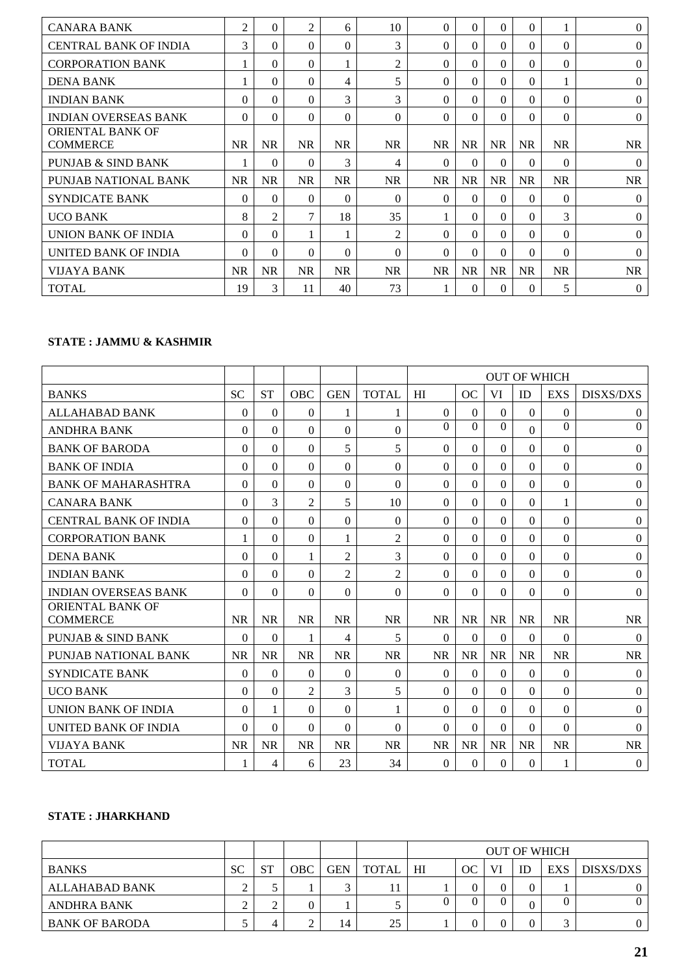| <b>CANARA BANK</b>                         | $\overline{2}$ | $\Omega$       | $\overline{c}$ | 6         | 10             | $\Omega$  | $\Omega$  | $\Omega$  | $\Omega$  |           | $\theta$  |
|--------------------------------------------|----------------|----------------|----------------|-----------|----------------|-----------|-----------|-----------|-----------|-----------|-----------|
| <b>CENTRAL BANK OF INDIA</b>               | 3              | $\Omega$       | $\Omega$       | $\Omega$  | 3              | $\Omega$  | 0         | $\Omega$  | $\Omega$  | $\Omega$  | $\theta$  |
| <b>CORPORATION BANK</b>                    |                | $\Omega$       | 0              |           | $\overline{2}$ | $\Omega$  | 0         | $\Omega$  | $\Omega$  | $\Omega$  | $\Omega$  |
| <b>DENA BANK</b>                           |                | $\Omega$       | $\Omega$       | 4         | 5              | $\Omega$  | $\Omega$  | $\Omega$  | $\Omega$  |           | $\theta$  |
| <b>INDIAN BANK</b>                         | $\theta$       | $\Omega$       | 0              | 3         | 3              | $\Omega$  | 0         | $\Omega$  | $\Omega$  | $\Omega$  | $\theta$  |
| <b>INDIAN OVERSEAS BANK</b>                | $\Omega$       | $\Omega$       | 0              | $\Omega$  | $\Omega$       | $\Omega$  | 0         | $\Omega$  | $\Omega$  | $\Omega$  | $\theta$  |
| <b>ORIENTAL BANK OF</b><br><b>COMMERCE</b> | <b>NR</b>      | <b>NR</b>      | <b>NR</b>      | <b>NR</b> | <b>NR</b>      | <b>NR</b> | <b>NR</b> | <b>NR</b> | <b>NR</b> | <b>NR</b> | <b>NR</b> |
| <b>PUNJAB &amp; SIND BANK</b>              |                | $\Omega$       | $\Omega$       | 3         | 4              | $\Omega$  | $\Omega$  | $\Omega$  | $\Omega$  | $\Omega$  | $\Omega$  |
| PUNJAB NATIONAL BANK                       | <b>NR</b>      | <b>NR</b>      | NR.            | <b>NR</b> | <b>NR</b>      | <b>NR</b> | <b>NR</b> | <b>NR</b> | <b>NR</b> | <b>NR</b> | <b>NR</b> |
| SYNDICATE BANK                             | $\Omega$       | $\Omega$       | $\Omega$       | $\Omega$  | $\Omega$       | $\Omega$  | $\Omega$  | $\Omega$  | $\Omega$  | $\Omega$  | $\Omega$  |
| <b>UCO BANK</b>                            | 8              | $\overline{2}$ | $\mathcal{I}$  | 18        | 35             |           | $\Omega$  | $\Omega$  | $\Omega$  | 3         | $\theta$  |
| UNION BANK OF INDIA                        | $\Omega$       | $\Omega$       |                |           | 2              | $\Omega$  | $\Omega$  | $\Omega$  | $\Omega$  | $\Omega$  | $\Omega$  |
| UNITED BANK OF INDIA                       | $\Omega$       | $\Omega$       | 0              | $\Omega$  | $\Omega$       | $\Omega$  | $\Omega$  | $\Omega$  | $\Omega$  | $\Omega$  | $\Omega$  |
| VIJAYA BANK                                | <b>NR</b>      | <b>NR</b>      | <b>NR</b>      | <b>NR</b> | <b>NR</b>      | <b>NR</b> | <b>NR</b> | <b>NR</b> | <b>NR</b> | <b>NR</b> | <b>NR</b> |
| <b>TOTAL</b>                               | 19             | 3              | 11             | 40        | 73             |           | $\Omega$  | $\Omega$  | $\Omega$  | 5         | $\theta$  |

# **STATE : JAMMU & KASHMIR**

|                                     |           |           |                |                |                | <b>OUT OF WHICH</b> |           |           |           |            |                  |
|-------------------------------------|-----------|-----------|----------------|----------------|----------------|---------------------|-----------|-----------|-----------|------------|------------------|
| <b>BANKS</b>                        | <b>SC</b> | <b>ST</b> | OBC            | <b>GEN</b>     | <b>TOTAL</b>   | HI                  | OC        | VI        | ID        | <b>EXS</b> | <b>DISXS/DXS</b> |
| <b>ALLAHABAD BANK</b>               | $\Omega$  | $\Omega$  | $\theta$       | 1              | 1              | $\theta$            | $\Omega$  | $\Omega$  | $\theta$  | $\theta$   | $\mathbf{0}$     |
| <b>ANDHRA BANK</b>                  | $\Omega$  | $\Omega$  | $\Omega$       | $\Omega$       | $\Omega$       | $\theta$            | $\Omega$  | $\Omega$  | $\Omega$  | $\Omega$   | $\overline{0}$   |
| <b>BANK OF BARODA</b>               | 0         | $\Omega$  | $\theta$       | 5              | 5              | $\theta$            | $\Omega$  | $\Omega$  | $\theta$  | $\theta$   | $\mathbf{0}$     |
| <b>BANK OF INDIA</b>                | $\Omega$  | $\theta$  | $\theta$       | $\theta$       | $\theta$       | $\Omega$            | $\Omega$  | $\Omega$  | $\Omega$  | $\theta$   | $\theta$         |
| <b>BANK OF MAHARASHTRA</b>          | $\Omega$  | $\Omega$  | $\Omega$       | $\Omega$       | $\Omega$       | $\Omega$            | $\Omega$  | $\Omega$  | $\Omega$  | $\Omega$   | $\boldsymbol{0}$ |
| <b>CANARA BANK</b>                  | 0         | 3         | $\overline{2}$ | 5              | 10             | $\theta$            | $\Omega$  | $\Omega$  | $\theta$  | 1          | $\Omega$         |
| <b>CENTRAL BANK OF INDIA</b>        | $\Omega$  | $\Omega$  | $\Omega$       | $\Omega$       | $\Omega$       | $\Omega$            | $\Omega$  | $\Omega$  | $\Omega$  | $\Omega$   | $\mathbf{0}$     |
| <b>CORPORATION BANK</b>             | 1         | $\Omega$  | $\Omega$       | 1              | $\overline{2}$ | $\Omega$            | $\Omega$  | $\Omega$  | $\Omega$  | $\Omega$   | $\boldsymbol{0}$ |
| <b>DENA BANK</b>                    | $\Omega$  | $\Omega$  | 1              | $\overline{2}$ | 3              | $\theta$            | $\Omega$  | $\Omega$  | $\Omega$  | $\theta$   | $\Omega$         |
| <b>INDIAN BANK</b>                  | $\Omega$  | $\Omega$  | $\Omega$       | $\overline{2}$ | $\overline{2}$ | $\Omega$            | $\Omega$  | $\Omega$  | $\Omega$  | $\Omega$   | $\mathbf{0}$     |
| <b>INDIAN OVERSEAS BANK</b>         | $\Omega$  | $\Omega$  | $\theta$       | $\theta$       | $\theta$       | $\Omega$            | $\Omega$  | $\Omega$  | $\theta$  | $\theta$   | $\mathbf{0}$     |
| ORIENTAL BANK OF<br><b>COMMERCE</b> | <b>NR</b> | <b>NR</b> | <b>NR</b>      | <b>NR</b>      | <b>NR</b>      | <b>NR</b>           | <b>NR</b> | <b>NR</b> | <b>NR</b> | <b>NR</b>  | <b>NR</b>        |
| <b>PUNJAB &amp; SIND BANK</b>       | $\Omega$  | $\Omega$  | 1              | 4              | 5              | $\Omega$            | $\theta$  | $\theta$  | $\theta$  | $\Omega$   | $\mathbf{0}$     |
| PUNJAB NATIONAL BANK                | <b>NR</b> | <b>NR</b> | <b>NR</b>      | <b>NR</b>      | <b>NR</b>      | <b>NR</b>           | <b>NR</b> | <b>NR</b> | <b>NR</b> | <b>NR</b>  | <b>NR</b>        |
| <b>SYNDICATE BANK</b>               | $\Omega$  | $\Omega$  | $\Omega$       | $\theta$       | $\theta$       | $\Omega$            | $\Omega$  | $\Omega$  | $\theta$  | $\theta$   | $\theta$         |
| <b>UCO BANK</b>                     | $\Omega$  | $\Omega$  | $\overline{2}$ | 3              | 5              | $\Omega$            | $\Omega$  | $\Omega$  | $\Omega$  | $\theta$   | $\mathbf{0}$     |
| UNION BANK OF INDIA                 | $\Omega$  | 1         | $\theta$       | $\theta$       | 1              | $\Omega$            | $\Omega$  | $\Omega$  | $\Omega$  | $\theta$   | $\Omega$         |
| <b>UNITED BANK OF INDIA</b>         | $\Omega$  | $\Omega$  | $\Omega$       | $\Omega$       | $\Omega$       | $\Omega$            | $\Omega$  | $\Omega$  | $\Omega$  | $\Omega$   | $\Omega$         |
| <b>VIJAYA BANK</b>                  | <b>NR</b> | <b>NR</b> | <b>NR</b>      | <b>NR</b>      | <b>NR</b>      | <b>NR</b>           | <b>NR</b> | <b>NR</b> | <b>NR</b> | <b>NR</b>  | <b>NR</b>        |
| <b>TOTAL</b>                        |           | 4         | 6              | 23             | 34             | $\Omega$            | $\Omega$  | $\theta$  | $\theta$  | 1          | $\overline{0}$   |

# **STATE : JHARKHAND**

|                       |           |           |     |            |              |                |           |    |                | <b>OUT OF WHICH</b> |           |
|-----------------------|-----------|-----------|-----|------------|--------------|----------------|-----------|----|----------------|---------------------|-----------|
| <b>BANKS</b>          | <b>SC</b> | <b>ST</b> | OBC | <b>GEN</b> | <b>TOTAL</b> | H <sub>I</sub> | <b>OC</b> | VI | ID             | <b>EXS</b>          | DISXS/DXS |
| ALLAHABAD BANK        |           | ت         |     |            |              |                |           |    | 0              |                     |           |
| ANDHRA BANK           |           | ∽         |     |            |              |                |           |    |                |                     |           |
| <b>BANK OF BARODA</b> |           | 4         |     | 14         | 25           |                |           |    | $\overline{0}$ | $\sqrt{2}$          |           |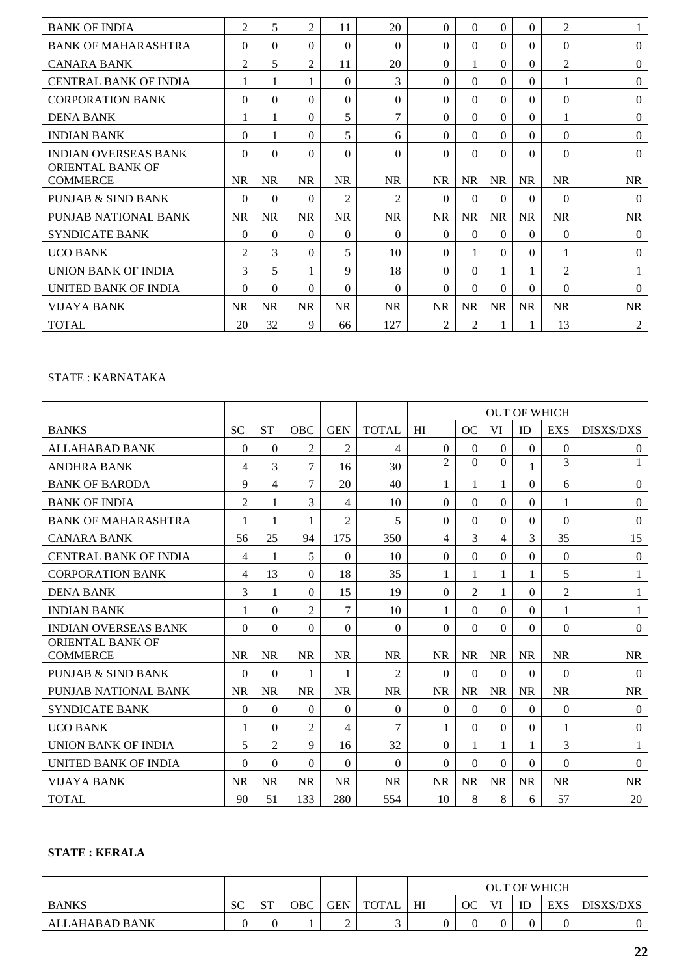| <b>BANK OF INDIA</b>          | 2              | 5            | 2              | 11             | 20             | $\Omega$       | $\Omega$       | $\Omega$  | $\Omega$  | 2              |                  |
|-------------------------------|----------------|--------------|----------------|----------------|----------------|----------------|----------------|-----------|-----------|----------------|------------------|
| <b>BANK OF MAHARASHTRA</b>    | 0              | 0            | 0              | $\theta$       | $\Omega$       | $\Omega$       | $\Omega$       | $\Omega$  | $\Omega$  | $\theta$       | $\Omega$         |
| <b>CANARA BANK</b>            | 2              | 5            | $\mathfrak{D}$ | 11             | 20             | $\Omega$       | 1              | $\Omega$  | $\theta$  | $\overline{2}$ | $\mathbf{0}$     |
| <b>CENTRAL BANK OF INDIA</b>  |                | $\mathbf{1}$ |                | $\Omega$       | 3              | 0              | $\Omega$       | $\Omega$  | $\Omega$  | 1              | $\Omega$         |
| <b>CORPORATION BANK</b>       | $\Omega$       | $\Omega$     | 0              | $\theta$       | $\theta$       | $\Omega$       | $\Omega$       | $\Omega$  | $\Omega$  | $\theta$       | $\theta$         |
| <b>DENA BANK</b>              |                |              | 0              | 5              | $\tau$         | $\Omega$       | $\Omega$       | $\Omega$  | $\theta$  | 1              | $\theta$         |
| <b>INDIAN BANK</b>            | 0              |              | 0              | 5              | 6              | $\Omega$       | $\Omega$       | $\Omega$  | $\Omega$  | $\Omega$       | $\Omega$         |
| <b>INDIAN OVERSEAS BANK</b>   | $\Omega$       | $\Omega$     | 0              | $\Omega$       | $\theta$       | $\Omega$       | $\Omega$       | $\Omega$  | $\Omega$  | $\theta$       | $\theta$         |
| ORIENTAL BANK OF              |                |              |                |                |                |                |                |           |           |                |                  |
| <b>COMMERCE</b>               | <b>NR</b>      | <b>NR</b>    | <b>NR</b>      | <b>NR</b>      | NR.            | NR.            | <b>NR</b>      | NR        | <b>NR</b> | <b>NR</b>      | <b>NR</b>        |
| <b>PUNJAB &amp; SIND BANK</b> | $\Omega$       | $\Omega$     | 0              | $\overline{c}$ | $\overline{2}$ | $\theta$       | $\Omega$       | $\Omega$  | $\Omega$  | $\theta$       | $\Omega$         |
| PUNJAB NATIONAL BANK          | <b>NR</b>      | <b>NR</b>    | NR.            | <b>NR</b>      | NR             | <b>NR</b>      | <b>NR</b>      | <b>NR</b> | <b>NR</b> | <b>NR</b>      | <b>NR</b>        |
| <b>SYNDICATE BANK</b>         | $\Omega$       | $\Omega$     | $\Omega$       | $\Omega$       | $\Omega$       | $\Omega$       | $\Omega$       | $\Omega$  | $\Omega$  | $\Omega$       | $\mathbf{0}$     |
| <b>UCO BANK</b>               | $\overline{2}$ | 3            | $\Omega$       | 5              | 10             | $\Omega$       |                | $\Omega$  | $\Omega$  | 1              | $\Omega$         |
| <b>UNION BANK OF INDIA</b>    | 3              | 5            |                | 9              | 18             | $\Omega$       | $\Omega$       |           | 1         | $\overline{2}$ |                  |
| UNITED BANK OF INDIA          | $\Omega$       | $\Omega$     | $\Omega$       | $\Omega$       | $\Omega$       | $\Omega$       | $\Omega$       | $\Omega$  | $\Omega$  | $\Omega$       | $\Omega$         |
| <b>VIJAYA BANK</b>            | <b>NR</b>      | <b>NR</b>    | NR.            | <b>NR</b>      | <b>NR</b>      | <b>NR</b>      | <b>NR</b>      | NR        | <b>NR</b> | <b>NR</b>      | <b>NR</b>        |
| <b>TOTAL</b>                  | 20             | 32           | 9              | 66             | 127            | $\overline{2}$ | $\overline{2}$ |           | 1         | 13             | $\boldsymbol{2}$ |

# STATE : KARNATAKA

|                                     |                  |                |                |                |                | <b>OUT OF WHICH</b>         |                |           |                |                |                  |
|-------------------------------------|------------------|----------------|----------------|----------------|----------------|-----------------------------|----------------|-----------|----------------|----------------|------------------|
| <b>BANKS</b>                        | <b>SC</b>        | <b>ST</b>      | <b>OBC</b>     | <b>GEN</b>     | <b>TOTAL</b>   | HI                          | OC             | VI        | ID             | <b>EXS</b>     | <b>DISXS/DXS</b> |
| <b>ALLAHABAD BANK</b>               | $\boldsymbol{0}$ | $\Omega$       | $\overline{2}$ | $\overline{2}$ | $\overline{4}$ | $\Omega$                    | $\Omega$       | $\Omega$  | $\Omega$       | $\Omega$       | $\overline{0}$   |
| <b>ANDHRA BANK</b>                  | 4                | 3              | $\tau$         | 16             | 30             | $\mathcal{D}_{\mathcal{L}}$ | $\Omega$       | $\Omega$  | 1              | 3              |                  |
| <b>BANK OF BARODA</b>               | 9                | 4              | 7              | 20             | 40             | 1                           | 1              | 1         | $\Omega$       | 6              | $\boldsymbol{0}$ |
| <b>BANK OF INDIA</b>                | $\overline{2}$   | 1              | 3              | 4              | 10             | $\Omega$                    | $\Omega$       | $\Omega$  | $\Omega$       | 1              | $\Omega$         |
| <b>BANK OF MAHARASHTRA</b>          | 1                | 1              | 1              | $\overline{2}$ | 5              | $\Omega$                    | $\Omega$       | $\Omega$  | $\Omega$       | $\Omega$       | $\boldsymbol{0}$ |
| <b>CANARA BANK</b>                  | 56               | 25             | 94             | 175            | 350            | 4                           | 3              | 4         | $\overline{3}$ | 35             | 15               |
| <b>CENTRAL BANK OF INDIA</b>        | 4                | 1              | 5              | $\Omega$       | 10             | $\Omega$                    | $\Omega$       | $\Omega$  | $\Omega$       | $\Omega$       | $\theta$         |
| <b>CORPORATION BANK</b>             | 4                | 13             | $\Omega$       | 18             | 35             | 1                           | 1              | 1         | $\mathbf{1}$   | 5              | 1                |
| <b>DENA BANK</b>                    | 3                | 1              | $\Omega$       | 15             | 19             | $\Omega$                    | $\overline{2}$ | 1         | $\Omega$       | $\overline{2}$ | 1                |
| <b>INDIAN BANK</b>                  | $\mathbf{1}$     | $\Omega$       | $\overline{c}$ | 7              | 10             | 1                           | $\Omega$       | 0         | $\Omega$       | 1              | 1                |
| <b>INDIAN OVERSEAS BANK</b>         | $\Omega$         | $\Omega$       | $\Omega$       | $\theta$       | $\Omega$       | $\theta$                    | $\Omega$       | $\Omega$  | $\Omega$       | $\mathbf{0}$   | $\overline{0}$   |
| ORIENTAL BANK OF<br><b>COMMERCE</b> | <b>NR</b>        | <b>NR</b>      | <b>NR</b>      | <b>NR</b>      | <b>NR</b>      | <b>NR</b>                   | <b>NR</b>      | <b>NR</b> | <b>NR</b>      | <b>NR</b>      | <b>NR</b>        |
| PUNJAB & SIND BANK                  | $\theta$         | $\theta$       | 1              | 1              | $\overline{2}$ | $\Omega$                    | $\Omega$       | $\Omega$  | $\Omega$       | $\theta$       | $\theta$         |
| PUNJAB NATIONAL BANK                | <b>NR</b>        | <b>NR</b>      | <b>NR</b>      | <b>NR</b>      | <b>NR</b>      | <b>NR</b>                   | <b>NR</b>      | <b>NR</b> | <b>NR</b>      | <b>NR</b>      | <b>NR</b>        |
| <b>SYNDICATE BANK</b>               | $\theta$         | $\Omega$       | $\Omega$       | $\Omega$       | $\Omega$       | $\Omega$                    | $\Omega$       | $\Omega$  | $\Omega$       | $\Omega$       | $\theta$         |
| <b>UCO BANK</b>                     | 1                | $\Omega$       | $\overline{c}$ | 4              | $\overline{7}$ | 1                           | $\Omega$       | $\Omega$  | $\Omega$       | 1              | $\theta$         |
| UNION BANK OF INDIA                 | 5                | $\overline{2}$ | 9              | 16             | 32             | $\Omega$                    |                | 1         | 1              | 3              |                  |
| UNITED BANK OF INDIA                | $\Omega$         | $\theta$       | $\Omega$       | $\Omega$       | $\Omega$       | $\Omega$                    | $\Omega$       | $\Omega$  | $\Omega$       | $\Omega$       | $\Omega$         |
| <b>VIJAYA BANK</b>                  | <b>NR</b>        | <b>NR</b>      | <b>NR</b>      | <b>NR</b>      | <b>NR</b>      | <b>NR</b>                   | <b>NR</b>      | <b>NR</b> | <b>NR</b>      | <b>NR</b>      | <b>NR</b>        |
| <b>TOTAL</b>                        | 90               | 51             | 133            | 280            | 554            | 10                          | 8              | 8         | 6              | 57             | 20               |

# **STATE : KERALA**

|                |              |                  |     |            |              |    |    |    |          | <b>OUT OF WHICH</b> |           |
|----------------|--------------|------------------|-----|------------|--------------|----|----|----|----------|---------------------|-----------|
| <b>BANKS</b>   | $\sim$<br>υC | $\alpha$ T<br>ນ⊥ | OBC | <b>GEN</b> | <b>TOTAL</b> | HI | OC | VI | ID       | <b>EXS</b>          | DISXS/DXS |
| ALLAHABAD BANK |              |                  |     | ∽          |              |    |    |    | $\Omega$ |                     |           |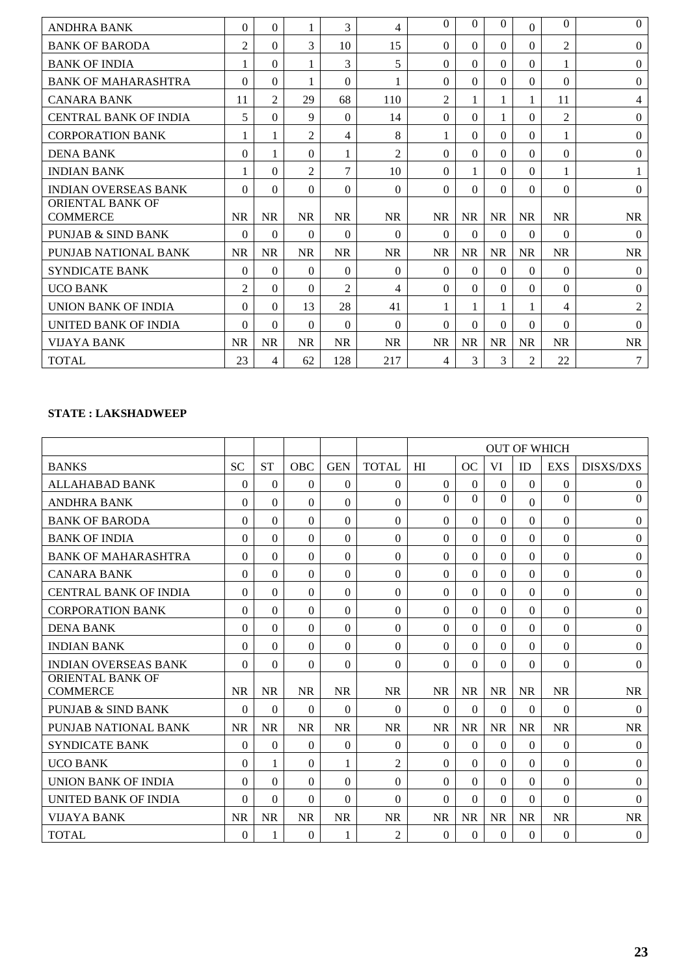| <b>ANDHRA BANK</b>           | $\Omega$       | $\Omega$       |           | 3              | 4              | $\Omega$       | 0         | 0         | $\Omega$       | $\theta$       | $\Omega$         |
|------------------------------|----------------|----------------|-----------|----------------|----------------|----------------|-----------|-----------|----------------|----------------|------------------|
| <b>BANK OF BARODA</b>        | $\overline{2}$ | $\theta$       | 3         | 10             | 15             | $\Omega$       | $\Omega$  | $\Omega$  | $\mathbf{0}$   | $\overline{2}$ | $\theta$         |
| <b>BANK OF INDIA</b>         |                | $\Omega$       | 1         | 3              | 5              | $\Omega$       | $\Omega$  | $\Omega$  | $\Omega$       | 1              | $\theta$         |
| <b>BANK OF MAHARASHTRA</b>   | $\theta$       | $\Omega$       | 1         | $\theta$       |                | $\theta$       | $\Omega$  | $\Omega$  | $\Omega$       | $\Omega$       | $\theta$         |
| <b>CANARA BANK</b>           | 11             | $\overline{2}$ | 29        | 68             | 110            | $\overline{c}$ | 1         |           | 1              | 11             | 4                |
| <b>CENTRAL BANK OF INDIA</b> | 5              | $\theta$       | 9         | $\theta$       | 14             | $\Omega$       | $\Omega$  |           | $\mathbf{0}$   | $\overline{2}$ | $\overline{0}$   |
| <b>CORPORATION BANK</b>      |                | 1              | 2         | 4              | 8              |                | $\Omega$  | $\Omega$  | $\Omega$       | 1              | $\overline{0}$   |
| <b>DENA BANK</b>             | $\Omega$       | 1              | $\Omega$  |                | $\overline{2}$ | $\Omega$       | $\Omega$  | $\Omega$  | $\Omega$       | $\Omega$       | $\overline{0}$   |
| <b>INDIAN BANK</b>           |                | $\Omega$       | 2         | $\tau$         | 10             | $\Omega$       |           | $\Omega$  | $\Omega$       | 1              |                  |
| <b>INDIAN OVERSEAS BANK</b>  | $\Omega$       | $\Omega$       | $\Omega$  | $\Omega$       | $\Omega$       | $\Omega$       | $\Omega$  | $\theta$  | $\Omega$       | $\Omega$       | $\theta$         |
| ORIENTAL BANK OF             |                |                |           |                |                |                |           |           |                |                |                  |
| <b>COMMERCE</b>              | <b>NR</b>      | <b>NR</b>      | <b>NR</b> | <b>NR</b>      | <b>NR</b>      | <b>NR</b>      | <b>NR</b> | <b>NR</b> | <b>NR</b>      | <b>NR</b>      | <b>NR</b>        |
| PUNJAB & SIND BANK           | $\Omega$       | $\Omega$       | $\Omega$  | $\Omega$       | $\Omega$       | $\Omega$       | $\Omega$  | $\Omega$  | $\Omega$       | $\Omega$       | $\Omega$         |
| PUNJAB NATIONAL BANK         | <b>NR</b>      | <b>NR</b>      | <b>NR</b> | <b>NR</b>      | <b>NR</b>      | <b>NR</b>      | <b>NR</b> | <b>NR</b> | NR             | <b>NR</b>      | <b>NR</b>        |
| <b>SYNDICATE BANK</b>        | $\Omega$       | $\Omega$       | $\Omega$  | $\Omega$       | $\Omega$       | $\Omega$       | $\Omega$  | $\Omega$  | $\Omega$       | $\Omega$       | $\theta$         |
| <b>UCO BANK</b>              | $\overline{2}$ | $\Omega$       | $\Omega$  | $\overline{c}$ | $\overline{4}$ | $\Omega$       | $\Omega$  | $\Omega$  | $\Omega$       | $\Omega$       | $\boldsymbol{0}$ |
| UNION BANK OF INDIA          | $\Omega$       | $\theta$       | 13        | 28             | 41             |                |           |           | 1              | 4              | $\overline{2}$   |
| UNITED BANK OF INDIA         | $\theta$       | $\Omega$       | $\Omega$  | $\theta$       | $\Omega$       | $\Omega$       | $\Omega$  | $\Omega$  | $\Omega$       | $\Omega$       | $\theta$         |
| <b>VIJAYA BANK</b>           | NR             | <b>NR</b>      | <b>NR</b> | <b>NR</b>      | <b>NR</b>      | <b>NR</b>      | <b>NR</b> | NR        | NR             | <b>NR</b>      | <b>NR</b>        |
| <b>TOTAL</b>                 | 23             | 4              | 62        | 128            | 217            | 4              | 3         | 3         | $\overline{2}$ | 22             | 7                |

# **STATE : LAKSHADWEEP**

|                                            |           |           |            |            |                | <b>OUT OF WHICH</b> |           |           |              |              |                  |
|--------------------------------------------|-----------|-----------|------------|------------|----------------|---------------------|-----------|-----------|--------------|--------------|------------------|
| <b>BANKS</b>                               | <b>SC</b> | <b>ST</b> | <b>OBC</b> | <b>GEN</b> | <b>TOTAL</b>   | HI                  | OC        | VI        | ID           | <b>EXS</b>   | <b>DISXS/DXS</b> |
| <b>ALLAHABAD BANK</b>                      | $\theta$  | $\Omega$  | $\Omega$   | $\Omega$   | $\Omega$       | $\Omega$            | $\theta$  | $\Omega$  | $\Omega$     | $\Omega$     | $\overline{0}$   |
| <b>ANDHRA BANK</b>                         | $\Omega$  | $\theta$  | $\Omega$   | $\Omega$   | $\Omega$       | $\Omega$            | $\Omega$  | $\Omega$  | $\Omega$     | $\Omega$     | $\mathbf{0}$     |
| <b>BANK OF BARODA</b>                      | $\Omega$  | $\Omega$  | $\Omega$   | $\Omega$   | $\Omega$       | $\Omega$            | $\Omega$  | $\Omega$  | $\Omega$     | $\Omega$     | $\boldsymbol{0}$ |
| <b>BANK OF INDIA</b>                       | $\Omega$  | $\Omega$  | $\Omega$   | $\Omega$   | $\Omega$       | $\Omega$            | $\Omega$  | $\Omega$  | $\Omega$     | $\Omega$     | $\mathbf{0}$     |
| <b>BANK OF MAHARASHTRA</b>                 | $\Omega$  | $\Omega$  | $\Omega$   | $\Omega$   | $\Omega$       | $\theta$            | $\Omega$  | $\Omega$  | $\Omega$     | $\Omega$     | $\boldsymbol{0}$ |
| <b>CANARA BANK</b>                         | $\Omega$  | $\Omega$  | $\theta$   | $\Omega$   | $\Omega$       | $\theta$            | $\Omega$  | $\Omega$  | $\Omega$     | $\Omega$     | $\theta$         |
| <b>CENTRAL BANK OF INDIA</b>               | $\Omega$  | $\Omega$  | 0          | $\Omega$   | $\Omega$       | $\Omega$            | 0         | $\Omega$  | $\Omega$     | $\Omega$     | $\Omega$         |
| <b>CORPORATION BANK</b>                    | $\Omega$  | $\Omega$  | $\Omega$   | $\Omega$   | $\Omega$       | $\Omega$            | $\Omega$  | $\Omega$  | $\Omega$     | $\Omega$     | $\boldsymbol{0}$ |
| <b>DENA BANK</b>                           | $\Omega$  | $\Omega$  | $\Omega$   | $\Omega$   | $\Omega$       | $\Omega$            | 0         | $\Omega$  | $\Omega$     | $\Omega$     | $\overline{0}$   |
| <b>INDIAN BANK</b>                         | $\Omega$  | $\Omega$  | $\Omega$   | $\Omega$   | $\Omega$       | $\theta$            | $\Omega$  | $\Omega$  | $\Omega$     | $\Omega$     | $\theta$         |
| <b>INDIAN OVERSEAS BANK</b>                | $\Omega$  | $\Omega$  | $\Omega$   | $\Omega$   | $\Omega$       | $\Omega$            | $\Omega$  | $\Omega$  | $\Omega$     | $\Omega$     | $\theta$         |
| <b>ORIENTAL BANK OF</b><br><b>COMMERCE</b> | <b>NR</b> | <b>NR</b> | <b>NR</b>  | <b>NR</b>  | <b>NR</b>      | <b>NR</b>           | <b>NR</b> | <b>NR</b> | NR           | <b>NR</b>    | <b>NR</b>        |
| <b>PUNJAB &amp; SIND BANK</b>              | $\Omega$  | $\Omega$  | $\Omega$   | $\Omega$   | $\Omega$       | $\Omega$            | $\Omega$  | $\Omega$  | $\mathbf{0}$ | $\Omega$     | $\boldsymbol{0}$ |
| PUNJAB NATIONAL BANK                       | <b>NR</b> | <b>NR</b> | <b>NR</b>  | <b>NR</b>  | <b>NR</b>      | <b>NR</b>           | <b>NR</b> | <b>NR</b> | <b>NR</b>    | <b>NR</b>    | <b>NR</b>        |
| <b>SYNDICATE BANK</b>                      | $\Omega$  | $\Omega$  | $\theta$   | $\Omega$   | $\Omega$       | $\Omega$            | $\Omega$  | $\Omega$  | $\Omega$     | $\Omega$     | $\theta$         |
| <b>UCO BANK</b>                            | $\Omega$  | 1         | $\Omega$   | 1          | $\overline{2}$ | $\Omega$            | $\Omega$  | $\Omega$  | $\Omega$     | $\Omega$     | $\boldsymbol{0}$ |
| UNION BANK OF INDIA                        | $\Omega$  | $\Omega$  | 0          | $\Omega$   | $\Omega$       | $\Omega$            | 0         | $\Omega$  | $\Omega$     | $\Omega$     | $\theta$         |
| UNITED BANK OF INDIA                       | $\Omega$  | $\Omega$  | $\Omega$   | $\Omega$   | $\Omega$       | $\Omega$            | $\Omega$  | $\Omega$  | $\Omega$     | $\Omega$     | $\theta$         |
| <b>VIJAYA BANK</b>                         | <b>NR</b> | <b>NR</b> | <b>NR</b>  | <b>NR</b>  | <b>NR</b>      | <b>NR</b>           | <b>NR</b> | <b>NR</b> | <b>NR</b>    | <b>NR</b>    | <b>NR</b>        |
| <b>TOTAL</b>                               | $\Omega$  | 1         | $\Omega$   | 1          | $\overline{2}$ | $\Omega$            | $\Omega$  | $\Omega$  | $\Omega$     | $\mathbf{0}$ | $\overline{0}$   |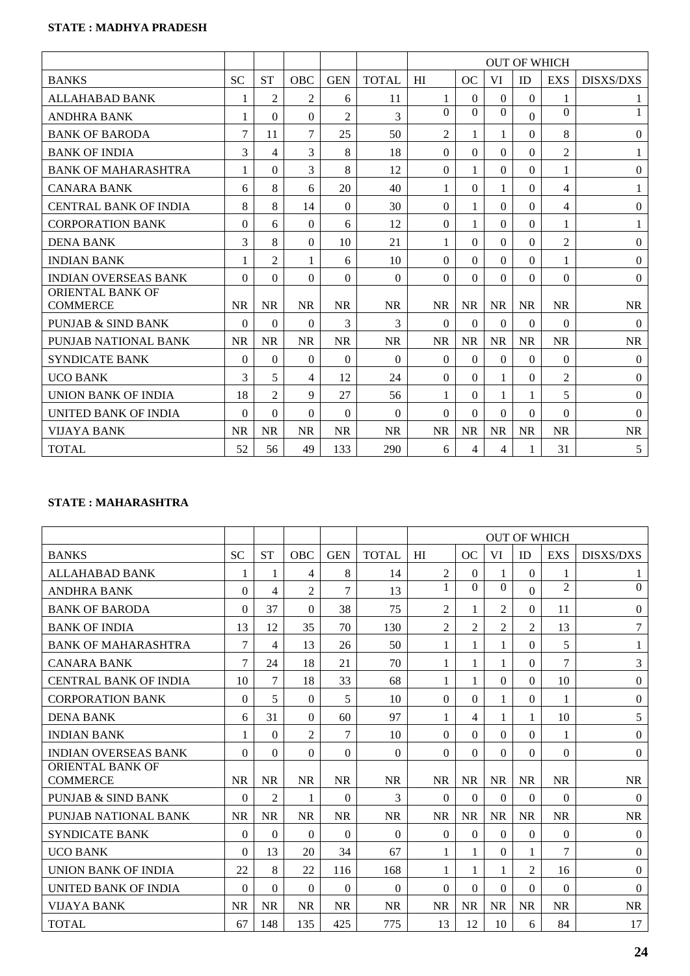# **STATE : MADHYA PRADESH**

|                                            |           |                |                |                |               | <b>OUT OF WHICH</b> |              |           |              |                |                  |
|--------------------------------------------|-----------|----------------|----------------|----------------|---------------|---------------------|--------------|-----------|--------------|----------------|------------------|
| <b>BANKS</b>                               | <b>SC</b> | <b>ST</b>      | <b>OBC</b>     | <b>GEN</b>     | <b>TOTAL</b>  | HI                  | OC           | <b>VI</b> | ID           | <b>EXS</b>     | <b>DISXS/DXS</b> |
| <b>ALLAHABAD BANK</b>                      |           | $\overline{2}$ | $\overline{2}$ | 6              | 11            | 1                   | $\Omega$     | $\Omega$  | $\theta$     | 1              | 1                |
| <b>ANDHRA BANK</b>                         | 1         | $\theta$       | $\Omega$       | $\mathfrak{D}$ | $\mathcal{E}$ | $\Omega$            | $\Omega$     | $\Omega$  | $\Omega$     | $\Omega$       | $\mathbf{1}$     |
| <b>BANK OF BARODA</b>                      | 7         | 11             | 7              | 25             | 50            | 2                   | 1            | 1         | $\theta$     | 8              | $\theta$         |
| <b>BANK OF INDIA</b>                       | 3         | 4              | 3              | 8              | 18            | $\Omega$            | $\Omega$     | $\Omega$  | $\theta$     | $\overline{2}$ | 1                |
| <b>BANK OF MAHARASHTRA</b>                 | 1         | $\Omega$       | 3              | 8              | 12            | $\Omega$            | $\mathbf{1}$ | $\Omega$  | $\Omega$     | 1              | $\mathbf{0}$     |
| <b>CANARA BANK</b>                         | 6         | 8              | 6              | 20             | 40            | 1                   | $\Omega$     |           | $\theta$     | 4              | 1                |
| <b>CENTRAL BANK OF INDIA</b>               | 8         | 8              | 14             | $\Omega$       | 30            | $\theta$            | 1            | $\Omega$  | $\Omega$     | 4              | $\boldsymbol{0}$ |
| <b>CORPORATION BANK</b>                    | $\Omega$  | 6              | $\theta$       | 6              | 12            | $\Omega$            | 1            | $\Omega$  | $\mathbf{0}$ | 1              | $\mathbf{1}$     |
| <b>DENA BANK</b>                           | 3         | 8              | $\Omega$       | 10             | 21            | 1                   | $\Omega$     | $\Omega$  | $\Omega$     | $\overline{2}$ | $\theta$         |
| <b>INDIAN BANK</b>                         | 1         | $\overline{2}$ | 1              | 6              | 10            | 0                   | $\Omega$     | $\Omega$  | $\Omega$     | 1              | $\theta$         |
| <b>INDIAN OVERSEAS BANK</b>                | $\Omega$  | $\theta$       | $\Omega$       | $\Omega$       | $\theta$      | $\Omega$            | $\Omega$     | $\Omega$  | $\theta$     | $\Omega$       | $\boldsymbol{0}$ |
| <b>ORIENTAL BANK OF</b><br><b>COMMERCE</b> | <b>NR</b> | <b>NR</b>      | <b>NR</b>      | <b>NR</b>      | <b>NR</b>     | <b>NR</b>           | <b>NR</b>    | <b>NR</b> | <b>NR</b>    | <b>NR</b>      | <b>NR</b>        |
| PUNJAB & SIND BANK                         | $\Omega$  | 0              | 0              | 3              | 3             | $\Omega$            | $\Omega$     | $\Omega$  | $\theta$     | $\Omega$       | $\theta$         |
| PUNJAB NATIONAL BANK                       | <b>NR</b> | <b>NR</b>      | <b>NR</b>      | <b>NR</b>      | <b>NR</b>     | <b>NR</b>           | <b>NR</b>    | <b>NR</b> | <b>NR</b>    | <b>NR</b>      | <b>NR</b>        |
| <b>SYNDICATE BANK</b>                      | $\Omega$  | $\Omega$       | $\theta$       | $\Omega$       | $\Omega$      | $\Omega$            | $\Omega$     | $\Omega$  | $\Omega$     | $\Omega$       | $\theta$         |
| <b>UCO BANK</b>                            | 3         | 5              | 4              | 12             | 24            | $\Omega$            | $\Omega$     | 1         | $\mathbf{0}$ | $\overline{2}$ | $\boldsymbol{0}$ |
| UNION BANK OF INDIA                        | 18        | $\overline{2}$ | 9              | 27             | 56            | 1                   | $\Omega$     |           | 1            | 5              | $\boldsymbol{0}$ |
| UNITED BANK OF INDIA                       | $\Omega$  | $\theta$       | $\Omega$       | $\Omega$       | $\Omega$      | $\Omega$            | $\Omega$     | $\Omega$  | $\theta$     | $\Omega$       | $\theta$         |
| <b>VIJAYA BANK</b>                         | <b>NR</b> | <b>NR</b>      | <b>NR</b>      | <b>NR</b>      | <b>NR</b>     | <b>NR</b>           | <b>NR</b>    | <b>NR</b> | <b>NR</b>    | <b>NR</b>      | <b>NR</b>        |
| <b>TOTAL</b>                               | 52        | 56             | 49             | 133            | 290           | 6                   | 4            | 4         | 1            | 31             | 5                |

# **STATE : MAHARASHTRA**

|                                     |           |                |                |                |              | <b>OUT OF WHICH</b> |                |                |                |                |                  |
|-------------------------------------|-----------|----------------|----------------|----------------|--------------|---------------------|----------------|----------------|----------------|----------------|------------------|
| <b>BANKS</b>                        | <b>SC</b> | <b>ST</b>      | <b>OBC</b>     | <b>GEN</b>     | <b>TOTAL</b> | HI                  | OC             | VI             | ID             | <b>EXS</b>     | <b>DISXS/DXS</b> |
| <b>ALLAHABAD BANK</b>               | 1         | 1              | 4              | 8              | 14           | $\overline{2}$      | $\Omega$       | 1              | $\Omega$       | 1              | $\mathbf{I}$     |
| <b>ANDHRA BANK</b>                  | $\Omega$  | 4              | $\overline{2}$ | $\overline{7}$ | 13           | 1                   | $\Omega$       | $\Omega$       | $\mathbf{0}$   | $\overline{2}$ | $\mathbf{0}$     |
| <b>BANK OF BARODA</b>               | $\Omega$  | 37             | $\theta$       | 38             | 75           | $\overline{2}$      | 1              | $\overline{c}$ | $\theta$       | 11             | $\Omega$         |
| <b>BANK OF INDIA</b>                | 13        | 12             | 35             | 70             | 130          | $\overline{2}$      | $\mathfrak{D}$ | $\overline{c}$ | 2              | 13             | 7                |
| <b>BANK OF MAHARASHTRA</b>          | 7         | 4              | 13             | 26             | 50           | 1                   | 1              |                | $\Omega$       | 5              | 1                |
| <b>CANARA BANK</b>                  | 7         | 24             | 18             | 21             | 70           | 1                   | 1              |                | $\theta$       | $\overline{7}$ | 3                |
| <b>CENTRAL BANK OF INDIA</b>        | 10        | 7              | 18             | 33             | 68           | 1                   | 1              | $\Omega$       | $\Omega$       | 10             | $\boldsymbol{0}$ |
| <b>CORPORATION BANK</b>             | $\Omega$  | 5              | $\Omega$       | 5              | 10           | $\Omega$            | $\Omega$       |                | $\Omega$       | 1              | $\boldsymbol{0}$ |
| <b>DENA BANK</b>                    | 6         | 31             | $\Omega$       | 60             | 97           | 1                   | 4              |                | 1              | 10             | 5                |
| <b>INDIAN BANK</b>                  |           | $\theta$       | $\overline{2}$ | $\overline{7}$ | 10           | $\Omega$            | $\Omega$       | $\Omega$       | $\theta$       | 1              | $\theta$         |
| <b>INDIAN OVERSEAS BANK</b>         | $\Omega$  | $\Omega$       | $\theta$       | $\theta$       | $\theta$     | $\Omega$            | $\Omega$       | $\Omega$       | $\theta$       | $\Omega$       | $\theta$         |
| ORIENTAL BANK OF<br><b>COMMERCE</b> | <b>NR</b> | <b>NR</b>      | <b>NR</b>      | <b>NR</b>      | <b>NR</b>    | <b>NR</b>           | <b>NR</b>      | <b>NR</b>      | <b>NR</b>      | <b>NR</b>      | <b>NR</b>        |
| <b>PUNJAB &amp; SIND BANK</b>       | $\Omega$  | $\overline{2}$ | 1              | $\Omega$       | 3            | $\Omega$            | $\Omega$       | $\Omega$       | $\Omega$       | $\Omega$       | $\overline{0}$   |
| PUNJAB NATIONAL BANK                | <b>NR</b> | <b>NR</b>      | <b>NR</b>      | <b>NR</b>      | <b>NR</b>    | <b>NR</b>           | <b>NR</b>      | <b>NR</b>      | <b>NR</b>      | <b>NR</b>      | <b>NR</b>        |
| <b>SYNDICATE BANK</b>               | $\Omega$  | 0              | 0              | $\Omega$       | $\Omega$     | $\theta$            | $\Omega$       | $\Omega$       | $\theta$       | $\Omega$       | $\theta$         |
| <b>UCO BANK</b>                     | 0         | 13             | 20             | 34             | 67           | 1                   | 1              | $\Omega$       | 1              | $\tau$         | $\boldsymbol{0}$ |
| <b>UNION BANK OF INDIA</b>          | 22        | 8              | 22             | 116            | 168          | 1                   | 1              |                | $\overline{2}$ | 16             | $\boldsymbol{0}$ |
| UNITED BANK OF INDIA                | $\Omega$  | $\theta$       | $\theta$       | $\theta$       | $\Omega$     | $\Omega$            | $\Omega$       | $\Omega$       | $\theta$       | $\Omega$       | $\theta$         |
| <b>VIJAYA BANK</b>                  | <b>NR</b> | <b>NR</b>      | <b>NR</b>      | <b>NR</b>      | <b>NR</b>    | <b>NR</b>           | <b>NR</b>      | <b>NR</b>      | <b>NR</b>      | <b>NR</b>      | <b>NR</b>        |
| <b>TOTAL</b>                        | 67        | 148            | 135            | 425            | 775          | 13                  | 12             | 10             | 6              | 84             | 17               |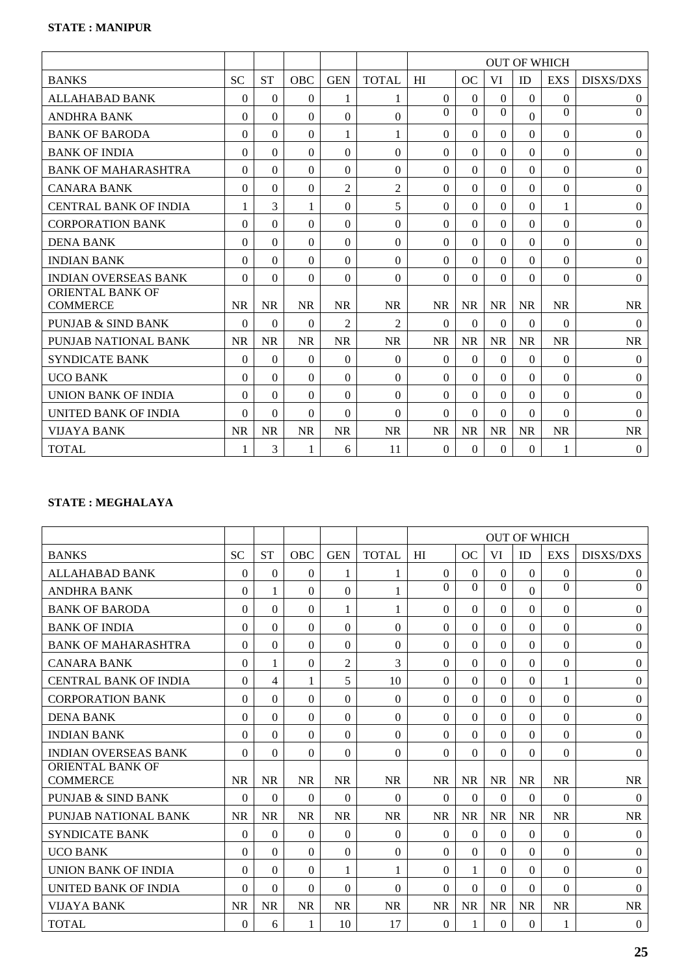|                                            |           |           |            |                |                | <b>OUT OF WHICH</b> |           |           |              |            |                  |
|--------------------------------------------|-----------|-----------|------------|----------------|----------------|---------------------|-----------|-----------|--------------|------------|------------------|
| <b>BANKS</b>                               | <b>SC</b> | <b>ST</b> | <b>OBC</b> | <b>GEN</b>     | <b>TOTAL</b>   | HI                  | OC        | VI        | ID           | <b>EXS</b> | <b>DISXS/DXS</b> |
| <b>ALLAHABAD BANK</b>                      | $\theta$  | $\theta$  | 0          | 1              | 1              | $\Omega$            | $\Omega$  | $\Omega$  | $\theta$     | $\Omega$   | $\boldsymbol{0}$ |
| <b>ANDHRA BANK</b>                         | 0         | $\theta$  | $\Omega$   | $\Omega$       | $\Omega$       | $\Omega$            | $\Omega$  | $\Omega$  | $\Omega$     | $\Omega$   | $\Omega$         |
| <b>BANK OF BARODA</b>                      | 0         | 0         | 0          | 1              | 1              | $\Omega$            | $\Omega$  | $\Omega$  | $\theta$     | $\Omega$   | $\theta$         |
| <b>BANK OF INDIA</b>                       | $\Omega$  | $\Omega$  | $\theta$   | $\theta$       | $\Omega$       | $\Omega$            | $\Omega$  | $\Omega$  | $\mathbf{0}$ | $\Omega$   | $\mathbf{0}$     |
| <b>BANK OF MAHARASHTRA</b>                 | $\Omega$  | $\Omega$  | $\Omega$   | $\theta$       | $\Omega$       | $\Omega$            | $\Omega$  | $\Omega$  | $\theta$     | $\Omega$   | $\boldsymbol{0}$ |
| <b>CANARA BANK</b>                         | 0         | 0         | 0          | $\overline{2}$ | $\overline{c}$ | $\Omega$            | $\Omega$  | $\Omega$  | $\Omega$     | $\Omega$   | $\mathbf{0}$     |
| <b>CENTRAL BANK OF INDIA</b>               | 1         | 3         | 1          | $\Omega$       | 5              | $\Omega$            | $\Omega$  | $\Omega$  | $\Omega$     | 1          | $\mathbf{0}$     |
| <b>CORPORATION BANK</b>                    | $\Omega$  | $\theta$  | $\theta$   | $\theta$       | $\theta$       | $\Omega$            | $\Omega$  | $\Omega$  | $\theta$     | $\Omega$   | $\boldsymbol{0}$ |
| <b>DENA BANK</b>                           | 0         | $\theta$  | $\Omega$   | $\Omega$       | $\Omega$       | $\Omega$            | $\Omega$  | $\Omega$  | $\theta$     | $\Omega$   | $\mathbf{0}$     |
| <b>INDIAN BANK</b>                         | $\Omega$  | $\theta$  | $\theta$   | $\theta$       | $\theta$       | $\Omega$            | $\Omega$  | $\Omega$  | $\theta$     | $\Omega$   | $\boldsymbol{0}$ |
| <b>INDIAN OVERSEAS BANK</b>                | $\Omega$  | $\theta$  | $\theta$   | $\Omega$       | $\theta$       | $\Omega$            | $\Omega$  | $\Omega$  | $\theta$     | $\Omega$   | $\theta$         |
| <b>ORIENTAL BANK OF</b><br><b>COMMERCE</b> | <b>NR</b> | <b>NR</b> | <b>NR</b>  | <b>NR</b>      | <b>NR</b>      | <b>NR</b>           | <b>NR</b> | <b>NR</b> | <b>NR</b>    | <b>NR</b>  | <b>NR</b>        |
| <b>PUNJAB &amp; SIND BANK</b>              | $\Omega$  | $\theta$  | $\Omega$   | $\overline{2}$ | $\overline{2}$ | $\Omega$            | $\Omega$  | $\Omega$  | $\theta$     | $\Omega$   | $\theta$         |
| PUNJAB NATIONAL BANK                       | <b>NR</b> | <b>NR</b> | <b>NR</b>  | <b>NR</b>      | <b>NR</b>      | <b>NR</b>           | <b>NR</b> | <b>NR</b> | <b>NR</b>    | <b>NR</b>  | <b>NR</b>        |
| <b>SYNDICATE BANK</b>                      | 0         | $\Omega$  | 0          | $\Omega$       | $\theta$       | $\theta$            | $\Omega$  | $\Omega$  | $\Omega$     | $\Omega$   | $\theta$         |
| <b>UCO BANK</b>                            | $\Omega$  | $\theta$  | $\Omega$   | $\Omega$       | $\theta$       | $\Omega$            | $\Omega$  | $\Omega$  | $\Omega$     | $\Omega$   | $\theta$         |
| <b>UNION BANK OF INDIA</b>                 | 0         | $\theta$  | $\Omega$   | $\Omega$       | $\Omega$       | $\Omega$            | $\Omega$  | $\Omega$  | $\Omega$     | $\Omega$   | $\boldsymbol{0}$ |
| <b>UNITED BANK OF INDIA</b>                | 0         | 0         | 0          | $\Omega$       | $\Omega$       | $\Omega$            | $\Omega$  | $\Omega$  | $\Omega$     | $\Omega$   | $\Omega$         |
| VIJAYA BANK                                | <b>NR</b> | <b>NR</b> | <b>NR</b>  | <b>NR</b>      | <b>NR</b>      | <b>NR</b>           | <b>NR</b> | <b>NR</b> | <b>NR</b>    | <b>NR</b>  | <b>NR</b>        |
| <b>TOTAL</b>                               |           | 3         | 1          | 6              | 11             | $\theta$            | $\Omega$  | $\Omega$  | $\theta$     | 1          | $\overline{0}$   |

# **STATE : MEGHALAYA**

|                                     |           |           |            |                |              | <b>OUT OF WHICH</b> |           |           |              |              |                  |
|-------------------------------------|-----------|-----------|------------|----------------|--------------|---------------------|-----------|-----------|--------------|--------------|------------------|
| <b>BANKS</b>                        | <b>SC</b> | <b>ST</b> | <b>OBC</b> | <b>GEN</b>     | <b>TOTAL</b> | HI                  | <b>OC</b> | VI        | ID           | <b>EXS</b>   | <b>DISXS/DXS</b> |
| <b>ALLAHABAD BANK</b>               | $\theta$  | $\Omega$  | 0          | 1              | 1            | $\Omega$            | $\Omega$  | $\Omega$  | $\Omega$     | $\Omega$     | $\overline{0}$   |
| <b>ANDHRA BANK</b>                  | $\Omega$  | 1         | $\theta$   | $\theta$       | 1            | $\Omega$            | $\Omega$  | $\Omega$  | $\mathbf{0}$ | $\Omega$     | $\mathbf{0}$     |
| <b>BANK OF BARODA</b>               | $\Omega$  | $\theta$  | $\theta$   | 1              | 1            | $\theta$            | $\Omega$  | $\Omega$  | $\theta$     | $\Omega$     | $\theta$         |
| <b>BANK OF INDIA</b>                | 0         | $\Omega$  | 0          | $\Omega$       | $\Omega$     | $\Omega$            | $\Omega$  | $\Omega$  | $\Omega$     | $\Omega$     | $\theta$         |
| <b>BANK OF MAHARASHTRA</b>          | $\Omega$  | $\theta$  | $\Omega$   | $\theta$       | $\theta$     | $\Omega$            | $\Omega$  | $\Omega$  | $\Omega$     | $\Omega$     | $\mathbf{0}$     |
| <b>CANARA BANK</b>                  | 0         | 1         | 0          | $\overline{2}$ | 3            | $\theta$            | $\Omega$  | $\Omega$  | $\theta$     | $\Omega$     | $\boldsymbol{0}$ |
| <b>CENTRAL BANK OF INDIA</b>        | $\Omega$  | 4         | 1          | 5              | 10           | $\Omega$            | $\Omega$  | $\Omega$  | $\Omega$     | 1            | $\boldsymbol{0}$ |
| <b>CORPORATION BANK</b>             | $\Omega$  | $\Omega$  | $\theta$   | $\Omega$       | $\Omega$     | $\Omega$            | $\Omega$  | $\Omega$  | $\Omega$     | $\Omega$     | $\mathbf{0}$     |
| <b>DENA BANK</b>                    | $\Omega$  | $\theta$  | $\theta$   | $\theta$       | $\theta$     | $\Omega$            | $\Omega$  | $\Omega$  | $\mathbf{0}$ | $\mathbf{0}$ | $\boldsymbol{0}$ |
| <b>INDIAN BANK</b>                  | $\Omega$  | $\theta$  | $\theta$   | $\theta$       | $\Omega$     | $\Omega$            | $\Omega$  | $\Omega$  | $\theta$     | $\Omega$     | $\theta$         |
| <b>INDIAN OVERSEAS BANK</b>         | $\Omega$  | $\theta$  | $\theta$   | $\theta$       | $\Omega$     | $\Omega$            | $\Omega$  | $\Omega$  | $\theta$     | $\Omega$     | $\theta$         |
| ORIENTAL BANK OF<br><b>COMMERCE</b> | <b>NR</b> | <b>NR</b> | <b>NR</b>  | <b>NR</b>      | <b>NR</b>    | <b>NR</b>           | <b>NR</b> | <b>NR</b> | <b>NR</b>    | <b>NR</b>    | <b>NR</b>        |
| <b>PUNJAB &amp; SIND BANK</b>       | $\Omega$  | $\theta$  | $\Omega$   | $\Omega$       | $\Omega$     | $\Omega$            | $\Omega$  | $\Omega$  | $\theta$     | $\Omega$     | $\overline{0}$   |
| PUNJAB NATIONAL BANK                | <b>NR</b> | <b>NR</b> | <b>NR</b>  | <b>NR</b>      | <b>NR</b>    | <b>NR</b>           | <b>NR</b> | <b>NR</b> | <b>NR</b>    | <b>NR</b>    | <b>NR</b>        |
| <b>SYNDICATE BANK</b>               | $\Omega$  | $\theta$  | 0          | $\theta$       | $\Omega$     | $\theta$            | $\Omega$  | $\Omega$  | $\theta$     | $\Omega$     | $\theta$         |
| <b>UCO BANK</b>                     | $\Omega$  | $\Omega$  | $\Omega$   | $\theta$       | $\theta$     | $\Omega$            | $\Omega$  | $\Omega$  | $\Omega$     | $\Omega$     | $\boldsymbol{0}$ |
| <b>UNION BANK OF INDIA</b>          | $\Omega$  | $\theta$  | $\Omega$   | 1              | 1            | $\Omega$            | 1         | $\Omega$  | $\theta$     | $\mathbf{0}$ | $\boldsymbol{0}$ |
| UNITED BANK OF INDIA                | $\Omega$  | $\theta$  | $\theta$   | $\theta$       | $\Omega$     | $\Omega$            | $\Omega$  | $\Omega$  | $\theta$     | $\Omega$     | $\theta$         |
| <b>VIJAYA BANK</b>                  | <b>NR</b> | <b>NR</b> | <b>NR</b>  | <b>NR</b>      | <b>NR</b>    | <b>NR</b>           | <b>NR</b> | <b>NR</b> | <b>NR</b>    | <b>NR</b>    | <b>NR</b>        |
| <b>TOTAL</b>                        | $\theta$  | 6         |            | 10             | 17           | $\theta$            | 1         | $\Omega$  | $\theta$     |              | $\boldsymbol{0}$ |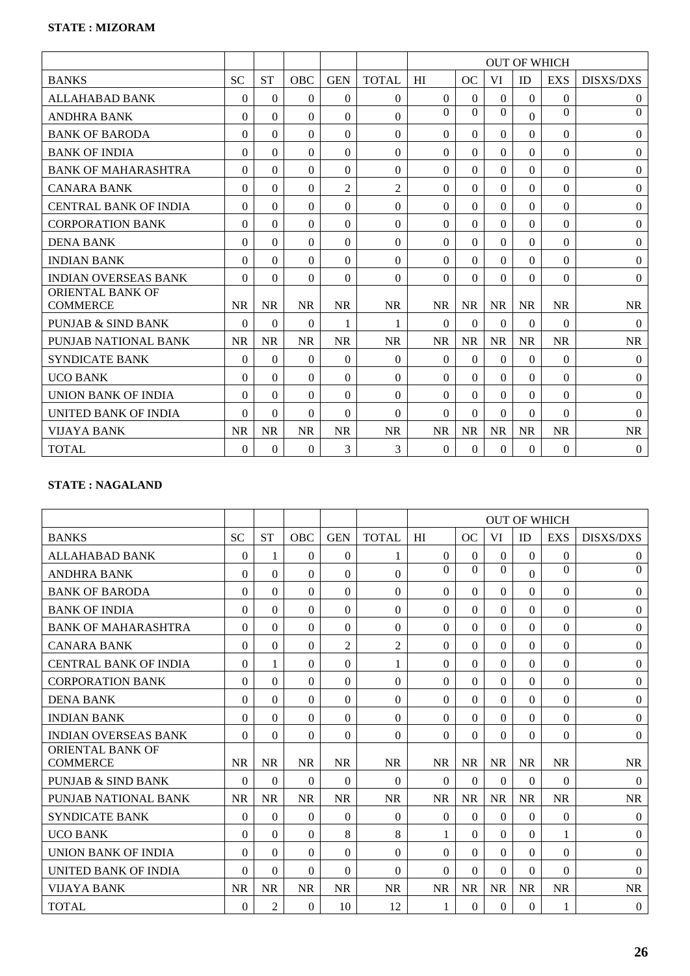|                                            |           |           |           |                |                | <b>OUT OF WHICH</b> |           |           |              |              |                  |
|--------------------------------------------|-----------|-----------|-----------|----------------|----------------|---------------------|-----------|-----------|--------------|--------------|------------------|
| <b>BANKS</b>                               | <b>SC</b> | <b>ST</b> | OBC       | <b>GEN</b>     | <b>TOTAL</b>   | HI                  | OC        | VI        | ID           | <b>EXS</b>   | <b>DISXS/DXS</b> |
| <b>ALLAHABAD BANK</b>                      | $\Omega$  | $\Omega$  | $\theta$  | $\Omega$       | $\Omega$       | $\Omega$            | $\Omega$  | $\Omega$  | $\mathbf{0}$ | $\theta$     | $\overline{0}$   |
| <b>ANDHRA BANK</b>                         | $\Omega$  | $\theta$  | $\Omega$  | $\Omega$       | $\Omega$       | $\Omega$            | $\Omega$  | $\Omega$  | $\Omega$     | $\Omega$     | $\mathbf{0}$     |
| <b>BANK OF BARODA</b>                      | $\Omega$  | $\Omega$  | 0         | $\Omega$       | $\Omega$       | $\Omega$            | $\Omega$  | $\Omega$  | $\Omega$     | $\Omega$     | $\boldsymbol{0}$ |
| <b>BANK OF INDIA</b>                       | $\Omega$  | $\Omega$  | $\Omega$  | $\Omega$       | $\Omega$       | $\Omega$            | $\Omega$  | $\Omega$  | $\Omega$     | $\Omega$     | $\boldsymbol{0}$ |
| <b>BANK OF MAHARASHTRA</b>                 | $\Omega$  | $\Omega$  | $\Omega$  | $\Omega$       | $\Omega$       | $\Omega$            | 0         | $\Omega$  | $\Omega$     | $\Omega$     | $\boldsymbol{0}$ |
| <b>CANARA BANK</b>                         | $\Omega$  | $\Omega$  | $\Omega$  | $\overline{2}$ | $\overline{2}$ | $\theta$            | $\Omega$  | $\Omega$  | $\Omega$     | $\Omega$     | $\theta$         |
| <b>CENTRAL BANK OF INDIA</b>               | $\Omega$  | $\Omega$  | $\Omega$  | $\Omega$       | $\Omega$       | $\Omega$            | $\Omega$  | $\Omega$  | $\mathbf{0}$ | $\Omega$     | $\mathbf{0}$     |
| <b>CORPORATION BANK</b>                    | $\Omega$  | $\Omega$  | $\Omega$  | $\Omega$       | $\Omega$       | $\Omega$            | $\Omega$  | $\Omega$  | $\Omega$     | $\Omega$     | $\boldsymbol{0}$ |
| <b>DENA BANK</b>                           | $\Omega$  | $\Omega$  | $\Omega$  | $\Omega$       | $\Omega$       | $\Omega$            | $\Omega$  | $\Omega$  | $\Omega$     | $\Omega$     | $\boldsymbol{0}$ |
| <b>INDIAN BANK</b>                         | $\Omega$  | $\Omega$  | $\Omega$  | $\Omega$       | $\Omega$       | $\theta$            | 0         | $\Omega$  | $\Omega$     | $\Omega$     | $\theta$         |
| <b>INDIAN OVERSEAS BANK</b>                | $\Omega$  | $\Omega$  | $\Omega$  | $\Omega$       | $\Omega$       | $\theta$            | $\Omega$  | $\theta$  | $\mathbf{0}$ | $\Omega$     | $\boldsymbol{0}$ |
| <b>ORIENTAL BANK OF</b><br><b>COMMERCE</b> | <b>NR</b> | <b>NR</b> | <b>NR</b> | <b>NR</b>      | <b>NR</b>      | <b>NR</b>           | <b>NR</b> | <b>NR</b> | <b>NR</b>    | <b>NR</b>    | <b>NR</b>        |
| PUNJAB & SIND BANK                         | $\Omega$  | $\theta$  | $\theta$  | 1              | 1              | $\Omega$            | $\Omega$  | $\Omega$  | $\Omega$     | $\Omega$     | $\theta$         |
| PUNJAB NATIONAL BANK                       | <b>NR</b> | <b>NR</b> | <b>NR</b> | <b>NR</b>      | <b>NR</b>      | <b>NR</b>           | <b>NR</b> | <b>NR</b> | <b>NR</b>    | <b>NR</b>    | <b>NR</b>        |
| <b>SYNDICATE BANK</b>                      | $\Omega$  | $\Omega$  | $\Omega$  | $\Omega$       | $\Omega$       | $\theta$            | $\Omega$  | $\Omega$  | $\Omega$     | $\mathbf{0}$ | $\overline{0}$   |
| <b>UCO BANK</b>                            | $\Omega$  | $\theta$  | $\Omega$  | $\Omega$       | $\Omega$       | $\Omega$            | 0         | $\Omega$  | $\Omega$     | $\Omega$     | $\overline{0}$   |
| UNION BANK OF INDIA                        | $\Omega$  | $\Omega$  | $\Omega$  | $\Omega$       | $\Omega$       | $\Omega$            | 0         | $\Omega$  | $\Omega$     | $\Omega$     | $\boldsymbol{0}$ |
| <b>UNITED BANK OF INDIA</b>                | $\Omega$  | $\Omega$  | $\theta$  | $\Omega$       | $\Omega$       | $\Omega$            | $\Omega$  | $\Omega$  | $\Omega$     | $\Omega$     | $\theta$         |
| <b>VIJAYA BANK</b>                         | <b>NR</b> | <b>NR</b> | <b>NR</b> | <b>NR</b>      | <b>NR</b>      | <b>NR</b>           | <b>NR</b> | <b>NR</b> | <b>NR</b>    | <b>NR</b>    | <b>NR</b>        |
| <b>TOTAL</b>                               | $\Omega$  | $\Omega$  | $\Omega$  | 3              | 3              | $\theta$            | $\Omega$  | $\Omega$  | $\Omega$     | $\Omega$     | $\overline{0}$   |

# **STATE : NAGALAND**

|                                            |           |           |            |                |                | <b>OUT OF WHICH</b> |           |           |              |            |                  |
|--------------------------------------------|-----------|-----------|------------|----------------|----------------|---------------------|-----------|-----------|--------------|------------|------------------|
| <b>BANKS</b>                               | <b>SC</b> | <b>ST</b> | <b>OBC</b> | <b>GEN</b>     | <b>TOTAL</b>   | HI                  | OC        | VI        | ID           | <b>EXS</b> | <b>DISXS/DXS</b> |
| ALLAHABAD BANK                             | $\theta$  | 1         | 0          | $\Omega$       | 1              | $\Omega$            | $\Omega$  | $\Omega$  | $\theta$     | $\Omega$   | $\overline{0}$   |
| <b>ANDHRA BANK</b>                         | $\Omega$  | $\Omega$  | $\Omega$   | $\theta$       | $\Omega$       | $\theta$            | $\Omega$  | $\Omega$  | $\mathbf{0}$ | $\Omega$   | $\Omega$         |
| <b>BANK OF BARODA</b>                      | 0         | $\theta$  | $\Omega$   | $\theta$       | $\Omega$       | $\Omega$            | $\Omega$  | $\Omega$  | $\Omega$     | $\Omega$   | $\boldsymbol{0}$ |
| <b>BANK OF INDIA</b>                       | $\Omega$  | $\theta$  | $\theta$   | $\theta$       | $\theta$       | $\theta$            | $\Omega$  | $\Omega$  | $\theta$     | $\Omega$   | $\theta$         |
| <b>BANK OF MAHARASHTRA</b>                 | $\Omega$  | $\theta$  | $\Omega$   | $\theta$       | $\Omega$       | $\Omega$            | $\Omega$  | $\Omega$  | $\Omega$     | $\Omega$   | $\boldsymbol{0}$ |
| <b>CANARA BANK</b>                         | 0         | $\theta$  | 0          | $\overline{2}$ | $\overline{2}$ | $\theta$            | $\Omega$  | $\Omega$  | $\Omega$     | $\Omega$   | $\boldsymbol{0}$ |
| <b>CENTRAL BANK OF INDIA</b>               | 0         | 1         | $\Omega$   | $\theta$       | $\mathbf{1}$   | $\Omega$            | $\Omega$  | $\Omega$  | $\Omega$     | $\Omega$   | $\theta$         |
| <b>CORPORATION BANK</b>                    | $\Omega$  | $\Omega$  | $\theta$   | $\theta$       | $\Omega$       | $\Omega$            | $\Omega$  | $\Omega$  | $\Omega$     | $\Omega$   | $\mathbf{0}$     |
| <b>DENA BANK</b>                           | $\Omega$  | $\theta$  | $\theta$   | $\Omega$       | $\theta$       | $\Omega$            | $\Omega$  | $\Omega$  | $\theta$     | $\Omega$   | $\boldsymbol{0}$ |
| <b>INDIAN BANK</b>                         | $\Omega$  | $\theta$  | $\Omega$   | $\theta$       | $\Omega$       | $\Omega$            | $\Omega$  | $\Omega$  | $\Omega$     | $\Omega$   | $\theta$         |
| <b>INDIAN OVERSEAS BANK</b>                | 0         | $\theta$  | 0          | $\Omega$       | $\theta$       | $\theta$            | $\Omega$  | $\Omega$  | $\theta$     | $\Omega$   | $\boldsymbol{0}$ |
| <b>ORIENTAL BANK OF</b><br><b>COMMERCE</b> | <b>NR</b> | <b>NR</b> | <b>NR</b>  | <b>NR</b>      | <b>NR</b>      | <b>NR</b>           | <b>NR</b> | <b>NR</b> | <b>NR</b>    | <b>NR</b>  | <b>NR</b>        |
| PUNJAB & SIND BANK                         | $\theta$  | $\theta$  | $\Omega$   | $\Omega$       | $\Omega$       | $\Omega$            | $\Omega$  | $\Omega$  | $\theta$     | $\Omega$   | $\boldsymbol{0}$ |
| PUNJAB NATIONAL BANK                       | <b>NR</b> | <b>NR</b> | <b>NR</b>  | <b>NR</b>      | <b>NR</b>      | <b>NR</b>           | <b>NR</b> | <b>NR</b> | <b>NR</b>    | <b>NR</b>  | <b>NR</b>        |
| <b>SYNDICATE BANK</b>                      | $\Omega$  | $\theta$  | 0          | $\theta$       | $\theta$       | $\Omega$            | $\Omega$  | $\Omega$  | $\theta$     | $\Omega$   | $\theta$         |
| <b>UCO BANK</b>                            | $\Omega$  | $\Omega$  | $\Omega$   | 8              | 8              | 1                   | $\Omega$  | $\Omega$  | $\Omega$     | 1          | $\boldsymbol{0}$ |
| UNION BANK OF INDIA                        | 0         | $\Omega$  | 0          | $\Omega$       | $\Omega$       | $\Omega$            | $\Omega$  | $\Omega$  | $\theta$     | $\Omega$   | $\overline{0}$   |
| <b>UNITED BANK OF INDIA</b>                | $\Omega$  | $\theta$  | $\Omega$   | $\Omega$       | $\Omega$       | $\Omega$            | $\Omega$  | $\Omega$  | $\Omega$     | $\Omega$   | $\Omega$         |
| VIJAYA BANK                                | <b>NR</b> | <b>NR</b> | <b>NR</b>  | <b>NR</b>      | <b>NR</b>      | <b>NR</b>           | <b>NR</b> | <b>NR</b> | <b>NR</b>    | <b>NR</b>  | <b>NR</b>        |
| <b>TOTAL</b>                               | $\Omega$  | 2         | 0          | 10             | 12             | 1                   | $\Omega$  | $\Omega$  | $\theta$     | 1          | $\overline{0}$   |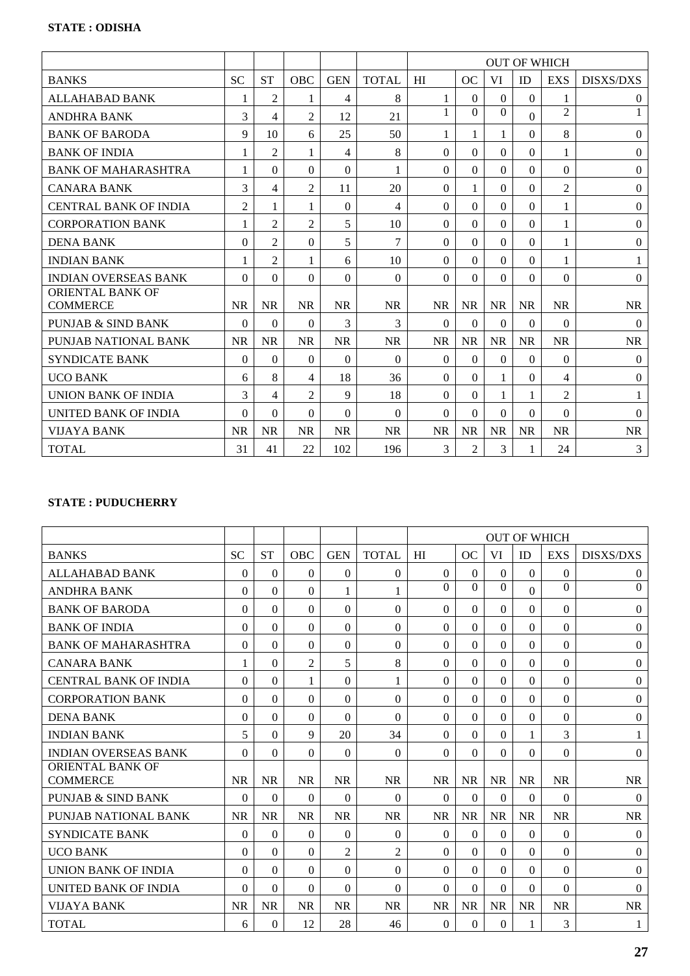|                                            |                |                |                |            |                | <b>OUT OF WHICH</b> |                |           |                  |                |                  |
|--------------------------------------------|----------------|----------------|----------------|------------|----------------|---------------------|----------------|-----------|------------------|----------------|------------------|
| <b>BANKS</b>                               | <b>SC</b>      | <b>ST</b>      | <b>OBC</b>     | <b>GEN</b> | <b>TOTAL</b>   | HI                  | OC             | <b>VI</b> | ID               | <b>EXS</b>     | <b>DISXS/DXS</b> |
| ALLAHABAD BANK                             |                | $\overline{2}$ | 1              | 4          | 8              | 1                   | $\Omega$       | $\Omega$  | $\boldsymbol{0}$ | 1              | $\overline{0}$   |
| <b>ANDHRA BANK</b>                         | 3              | 4              | $\overline{2}$ | 12         | 21             | 1                   | $\Omega$       | $\Omega$  | $\Omega$         | $\overline{2}$ | 1                |
| <b>BANK OF BARODA</b>                      | 9              | 10             | 6              | 25         | 50             | 1                   | 1              | 1         | $\theta$         | 8              | $\theta$         |
| <b>BANK OF INDIA</b>                       | $\mathbf{1}$   | $\overline{2}$ | 1              | 4          | 8              | $\theta$            | $\Omega$       | $\Omega$  | $\theta$         | 1              | $\mathbf{0}$     |
| <b>BANK OF MAHARASHTRA</b>                 | 1              | $\theta$       | $\Omega$       | $\theta$   | 1              | $\theta$            | $\Omega$       | $\Omega$  | $\theta$         | $\Omega$       | $\boldsymbol{0}$ |
| <b>CANARA BANK</b>                         | 3              | 4              | $\overline{2}$ | 11         | 20             | $\Omega$            | 1              | $\Omega$  | $\theta$         | $\overline{2}$ | $\boldsymbol{0}$ |
| <b>CENTRAL BANK OF INDIA</b>               | $\overline{2}$ | 1              | 1              | $\theta$   | $\overline{4}$ | $\theta$            | $\Omega$       | $\Omega$  | $\theta$         | 1              | $\theta$         |
| <b>CORPORATION BANK</b>                    | 1              | $\overline{2}$ | $\overline{2}$ | 5          | 10             | $\Omega$            | $\Omega$       | $\Omega$  | $\theta$         | 1              | $\boldsymbol{0}$ |
| <b>DENA BANK</b>                           | $\Omega$       | 2              | $\Omega$       | 5          | $\overline{7}$ | $\theta$            | $\Omega$       | $\Omega$  | $\theta$         | $\mathbf{1}$   | $\boldsymbol{0}$ |
| <b>INDIAN BANK</b>                         | 1              | $\overline{2}$ | 1              | 6          | 10             | $\Omega$            | $\Omega$       | $\Omega$  | $\theta$         | 1              | 1                |
| <b>INDIAN OVERSEAS BANK</b>                | $\Omega$       | $\theta$       | $\Omega$       | $\Omega$   | $\theta$       | $\Omega$            | $\Omega$       | $\Omega$  | $\mathbf{0}$     | $\Omega$       | $\boldsymbol{0}$ |
| <b>ORIENTAL BANK OF</b><br><b>COMMERCE</b> | <b>NR</b>      | <b>NR</b>      | <b>NR</b>      | <b>NR</b>  | <b>NR</b>      | <b>NR</b>           | <b>NR</b>      | <b>NR</b> | <b>NR</b>        | <b>NR</b>      | <b>NR</b>        |
| PUNJAB & SIND BANK                         | $\Omega$       | $\theta$       | $\Omega$       | 3          | 3              | $\Omega$            | $\Omega$       | $\Omega$  | $\Omega$         | $\Omega$       | $\theta$         |
| PUNJAB NATIONAL BANK                       | <b>NR</b>      | <b>NR</b>      | <b>NR</b>      | <b>NR</b>  | <b>NR</b>      | <b>NR</b>           | <b>NR</b>      | <b>NR</b> | <b>NR</b>        | <b>NR</b>      | <b>NR</b>        |
| <b>SYNDICATE BANK</b>                      | $\Omega$       | $\theta$       | $\theta$       | $\Omega$   | $\Omega$       | $\Omega$            | $\Omega$       | $\Omega$  | $\theta$         | $\Omega$       | $\theta$         |
| <b>UCO BANK</b>                            | 6              | 8              | 4              | 18         | 36             | $\Omega$            | $\Omega$       | 1         | $\Omega$         | 4              | $\boldsymbol{0}$ |
| UNION BANK OF INDIA                        | 3              | 4              | $\overline{2}$ | 9          | 18             | $\theta$            | $\Omega$       |           | 1                | $\overline{2}$ |                  |
| UNITED BANK OF INDIA                       | $\Omega$       | $\theta$       | $\theta$       | $\theta$   | $\Omega$       | $\Omega$            | $\Omega$       | $\Omega$  | $\Omega$         | $\Omega$       | $\Omega$         |
| <b>VIJAYA BANK</b>                         | <b>NR</b>      | <b>NR</b>      | <b>NR</b>      | <b>NR</b>  | <b>NR</b>      | <b>NR</b>           | <b>NR</b>      | <b>NR</b> | <b>NR</b>        | <b>NR</b>      | <b>NR</b>        |
| <b>TOTAL</b>                               | 31             | 41             | 22             | 102        | 196            | 3                   | $\overline{2}$ | 3         | 1                | 24             | 3                |

# **STATE : PUDUCHERRY**

|                                            |           |                |                |                |                | <b>OUT OF WHICH</b> |           |           |           |              |                  |
|--------------------------------------------|-----------|----------------|----------------|----------------|----------------|---------------------|-----------|-----------|-----------|--------------|------------------|
| <b>BANKS</b>                               | <b>SC</b> | <b>ST</b>      | OBC            | <b>GEN</b>     | <b>TOTAL</b>   | HI                  | OC        | <b>VI</b> | ID        | <b>EXS</b>   | <b>DISXS/DXS</b> |
| <b>ALLAHABAD BANK</b>                      | $\Omega$  | $\theta$       | 0              | $\Omega$       | $\Omega$       | $\Omega$            | $\Omega$  | $\Omega$  | $\theta$  | $\Omega$     | $\overline{0}$   |
| <b>ANDHRA BANK</b>                         | 0         | $\theta$       | $\theta$       | 1              | 1              | $\Omega$            | $\Omega$  | $\Omega$  | $\theta$  | $\Omega$     | $\theta$         |
| <b>BANK OF BARODA</b>                      | 0         | 0              | 0              | $\Omega$       | $\Omega$       | $\theta$            | $\Omega$  | $\Omega$  | $\theta$  | $\Omega$     | $\boldsymbol{0}$ |
| <b>BANK OF INDIA</b>                       | $\Omega$  | $\theta$       | $\theta$       | $\theta$       | $\Omega$       | $\theta$            | $\Omega$  | $\Omega$  | $\theta$  | $\Omega$     | $\theta$         |
| <b>BANK OF MAHARASHTRA</b>                 | $\Omega$  | $\theta$       | $\theta$       | $\theta$       | $\theta$       | $\theta$            | $\Omega$  | $\Omega$  | $\theta$  | $\Omega$     | $\boldsymbol{0}$ |
| <b>CANARA BANK</b>                         | 1         | $\theta$       | $\overline{2}$ | 5              | 8              | $\theta$            | $\Omega$  | $\Omega$  | $\Omega$  | $\Omega$     | $\theta$         |
| <b>CENTRAL BANK OF INDIA</b>               | 0         | $\Omega$       | 1              | $\theta$       | 1              | $\Omega$            | $\Omega$  | $\Omega$  | $\Omega$  | $\Omega$     | $\theta$         |
| <b>CORPORATION BANK</b>                    | $\Omega$  | $\Omega$       | $\Omega$       | $\Omega$       | $\Omega$       | $\Omega$            | $\Omega$  | $\Omega$  | $\Omega$  | $\Omega$     | $\boldsymbol{0}$ |
| <b>DENA BANK</b>                           | $\Omega$  | $\theta$       | $\Omega$       | $\Omega$       | $\Omega$       | $\Omega$            | $\Omega$  | $\Omega$  | $\theta$  | $\Omega$     | $\boldsymbol{0}$ |
| <b>INDIAN BANK</b>                         | 5         | $\theta$       | 9              | 20             | 34             | $\Omega$            | $\Omega$  | $\Omega$  | 1         | 3            | 1                |
| <b>INDIAN OVERSEAS BANK</b>                | 0         | $\Omega$       | $\Omega$       | $\Omega$       | $\theta$       | $\Omega$            | $\Omega$  | $\Omega$  | $\Omega$  | $\Omega$     | $\theta$         |
| <b>ORIENTAL BANK OF</b><br><b>COMMERCE</b> | <b>NR</b> | <b>NR</b>      | <b>NR</b>      | <b>NR</b>      | <b>NR</b>      | <b>NR</b>           | <b>NR</b> | <b>NR</b> | <b>NR</b> | <b>NR</b>    | <b>NR</b>        |
| <b>PUNJAB &amp; SIND BANK</b>              | $\Omega$  | $\theta$       | $\Omega$       | $\Omega$       | $\Omega$       | $\Omega$            | $\Omega$  | $\Omega$  | $\theta$  | $\Omega$     | $\theta$         |
| PUNJAB NATIONAL BANK                       | <b>NR</b> | <b>NR</b>      | <b>NR</b>      | <b>NR</b>      | <b>NR</b>      | <b>NR</b>           | <b>NR</b> | <b>NR</b> | <b>NR</b> | <b>NR</b>    | <b>NR</b>        |
| <b>SYNDICATE BANK</b>                      | $\Omega$  | $\overline{0}$ | $\Omega$       | $\theta$       | $\Omega$       | $\theta$            | $\Omega$  | $\Omega$  | $\theta$  | $\mathbf{0}$ | $\mathbf{0}$     |
| <b>UCO BANK</b>                            | $\Omega$  | $\theta$       | $\Omega$       | $\overline{2}$ | $\overline{c}$ | $\Omega$            | $\Omega$  | $\Omega$  | $\Omega$  | $\Omega$     | $\boldsymbol{0}$ |
| UNION BANK OF INDIA                        | $\Omega$  | $\theta$       | $\Omega$       | $\theta$       | $\theta$       | $\theta$            | $\Omega$  | $\Omega$  | $\theta$  | $\mathbf{0}$ | $\boldsymbol{0}$ |
| <b>UNITED BANK OF INDIA</b>                | $\Omega$  | $\theta$       | $\theta$       | $\theta$       | $\Omega$       | $\theta$            | $\Omega$  | $\Omega$  | $\Omega$  | $\Omega$     | $\theta$         |
| <b>VIJAYA BANK</b>                         | <b>NR</b> | <b>NR</b>      | <b>NR</b>      | <b>NR</b>      | <b>NR</b>      | <b>NR</b>           | <b>NR</b> | <b>NR</b> | <b>NR</b> | <b>NR</b>    | <b>NR</b>        |
| <b>TOTAL</b>                               | 6         | $\theta$       | 12             | 28             | 46             | $\Omega$            | $\Omega$  | $\Omega$  | 1         | 3            | 1                |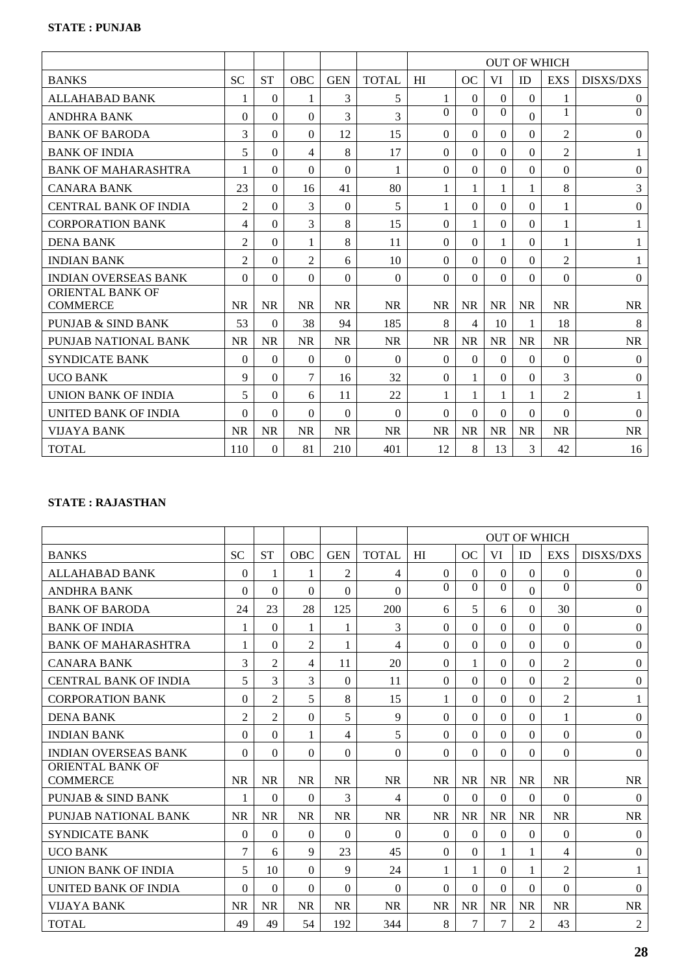|                                            |                |           |                |            |              | <b>OUT OF WHICH</b> |                |           |              |                |                  |
|--------------------------------------------|----------------|-----------|----------------|------------|--------------|---------------------|----------------|-----------|--------------|----------------|------------------|
| <b>BANKS</b>                               | <b>SC</b>      | <b>ST</b> | <b>OBC</b>     | <b>GEN</b> | <b>TOTAL</b> | HI                  | OC             | <b>VI</b> | ID           | <b>EXS</b>     | <b>DISXS/DXS</b> |
| <b>ALLAHABAD BANK</b>                      | 1              | $\theta$  | 1              | 3          | 5            | 1                   | $\Omega$       | $\Omega$  | $\theta$     | 1              | $\overline{0}$   |
| <b>ANDHRA BANK</b>                         | $\Omega$       | $\theta$  | $\Omega$       | 3          | 3            | $\Omega$            | $\Omega$       | $\Omega$  | $\mathbf{0}$ | 1              | $\Omega$         |
| <b>BANK OF BARODA</b>                      | 3              | 0         | 0              | 12         | 15           | $\theta$            | $\Omega$       | $\Omega$  | $\theta$     | $\mathfrak{2}$ | $\boldsymbol{0}$ |
| <b>BANK OF INDIA</b>                       | 5              | $\theta$  | 4              | 8          | 17           | $\theta$            | $\Omega$       | $\Omega$  | $\theta$     | $\overline{2}$ |                  |
| <b>BANK OF MAHARASHTRA</b>                 |                | $\theta$  | $\Omega$       | $\theta$   | 1            | $\Omega$            | $\Omega$       | $\Omega$  | $\theta$     | $\Omega$       | $\boldsymbol{0}$ |
| <b>CANARA BANK</b>                         | 23             | $\theta$  | 16             | 41         | 80           | 1                   | 1              |           | 1            | 8              | 3                |
| CENTRAL BANK OF INDIA                      | $\overline{2}$ | $\theta$  | 3              | $\Omega$   | 5            | 1                   | $\Omega$       | $\Omega$  | $\Omega$     | 1              | $\Omega$         |
| <b>CORPORATION BANK</b>                    | 4              | $\theta$  | 3              | 8          | 15           | $\theta$            | 1              | $\Omega$  | $\theta$     | 1              | 1                |
| <b>DENA BANK</b>                           | $\overline{2}$ | 0         | 1              | 8          | 11           | $\Omega$            | $\Omega$       |           | $\theta$     | 1              |                  |
| <b>INDIAN BANK</b>                         | $\overline{2}$ | $\theta$  | $\overline{2}$ | 6          | 10           | $\Omega$            | $\Omega$       | $\Omega$  | $\theta$     | $\overline{2}$ |                  |
| <b>INDIAN OVERSEAS BANK</b>                | $\Omega$       | $\theta$  | $\Omega$       | $\Omega$   | $\theta$     | $\Omega$            | $\Omega$       | $\Omega$  | $\Omega$     | $\Omega$       | $\boldsymbol{0}$ |
| <b>ORIENTAL BANK OF</b><br><b>COMMERCE</b> | <b>NR</b>      | <b>NR</b> | <b>NR</b>      | <b>NR</b>  | <b>NR</b>    | <b>NR</b>           | <b>NR</b>      | <b>NR</b> | <b>NR</b>    | <b>NR</b>      | <b>NR</b>        |
| PUNJAB & SIND BANK                         | 53             | 0         | 38             | 94         | 185          | 8                   | $\overline{4}$ | 10        | 1            | 18             | 8                |
| <b>PUNJAB NATIONAL BANK</b>                | <b>NR</b>      | <b>NR</b> | <b>NR</b>      | <b>NR</b>  | <b>NR</b>    | <b>NR</b>           | <b>NR</b>      | <b>NR</b> | <b>NR</b>    | <b>NR</b>      | <b>NR</b>        |
| <b>SYNDICATE BANK</b>                      | $\Omega$       | $\theta$  | $\Omega$       | $\Omega$   | $\Omega$     | $\Omega$            | $\Omega$       | $\Omega$  | $\Omega$     | $\Omega$       | $\theta$         |
| <b>UCO BANK</b>                            | 9              | $\theta$  | 7              | 16         | 32           | $\Omega$            | 1              | $\Omega$  | $\theta$     | 3              | $\theta$         |
| UNION BANK OF INDIA                        | 5              | $\Omega$  | 6              | 11         | 22           | 1                   |                |           | 1            | $\overline{2}$ |                  |
| UNITED BANK OF INDIA                       | 0              | 0         | 0              | $\Omega$   | $\Omega$     | $\Omega$            | $\Omega$       | $\Omega$  | $\Omega$     | $\Omega$       | $\Omega$         |
| <b>VIJAYA BANK</b>                         | <b>NR</b>      | <b>NR</b> | <b>NR</b>      | <b>NR</b>  | <b>NR</b>    | <b>NR</b>           | <b>NR</b>      | <b>NR</b> | <b>NR</b>    | <b>NR</b>      | <b>NR</b>        |
| <b>TOTAL</b>                               | 110            | 0         | 81             | 210        | 401          | 12                  | 8              | 13        | 3            | 42             | 16               |

# **STATE : RAJASTHAN**

|                                     |                |                |                |                |                | <b>OUT OF WHICH</b> |                |                |                |                |                  |
|-------------------------------------|----------------|----------------|----------------|----------------|----------------|---------------------|----------------|----------------|----------------|----------------|------------------|
| <b>BANKS</b>                        | <b>SC</b>      | <b>ST</b>      | <b>OBC</b>     | <b>GEN</b>     | <b>TOTAL</b>   | HI                  | <b>OC</b>      | VI             | ID             | <b>EXS</b>     | <b>DISXS/DXS</b> |
| <b>ALLAHABAD BANK</b>               | $\theta$       | 1              | 1              | $\overline{2}$ | $\overline{4}$ | $\Omega$            | $\Omega$       | $\Omega$       | $\Omega$       | $\Omega$       | $\overline{0}$   |
| <b>ANDHRA BANK</b>                  | $\Omega$       | $\theta$       | $\Omega$       | $\theta$       | $\mathbf{0}$   | $\Omega$            | $\Omega$       | $\Omega$       | $\mathbf{0}$   | $\Omega$       | $\mathbf{0}$     |
| <b>BANK OF BARODA</b>               | 24             | 23             | 28             | 125            | 200            | 6                   | 5              | 6              | $\theta$       | 30             | $\theta$         |
| <b>BANK OF INDIA</b>                | 1              | $\theta$       | 1              | 1              | 3              | $\Omega$            | $\Omega$       | $\Omega$       | $\Omega$       | $\Omega$       | $\theta$         |
| <b>BANK OF MAHARASHTRA</b>          | 1              | $\theta$       | $\overline{2}$ | 1              | 4              | $\Omega$            | $\Omega$       | $\Omega$       | $\Omega$       | $\Omega$       | $\boldsymbol{0}$ |
| <b>CANARA BANK</b>                  | 3              | $\overline{2}$ | 4              | 11             | 20             | $\theta$            | 1              | $\Omega$       | $\Omega$       | $\overline{2}$ | $\overline{0}$   |
| <b>CENTRAL BANK OF INDIA</b>        | 5              | 3              | 3              | $\theta$       | 11             | $\Omega$            | $\Omega$       | $\Omega$       | $\Omega$       | $\overline{2}$ | $\theta$         |
| <b>CORPORATION BANK</b>             | $\Omega$       | $\overline{2}$ | 5              | 8              | 15             | 1                   | $\Omega$       | $\Omega$       | $\Omega$       | $\overline{2}$ | 1                |
| <b>DENA BANK</b>                    | $\overline{2}$ | $\overline{2}$ | $\Omega$       | 5              | 9              | $\theta$            | $\Omega$       | $\Omega$       | $\theta$       | 1              | $\overline{0}$   |
| <b>INDIAN BANK</b>                  | $\Omega$       | $\theta$       | $\mathbf{1}$   | 4              | 5              | $\Omega$            | $\Omega$       | $\Omega$       | $\Omega$       | $\Omega$       | $\theta$         |
| <b>INDIAN OVERSEAS BANK</b>         | $\Omega$       | $\Omega$       | $\Omega$       | $\theta$       | $\Omega$       | $\Omega$            | $\Omega$       | $\Omega$       | $\theta$       | $\Omega$       | $\theta$         |
| ORIENTAL BANK OF<br><b>COMMERCE</b> | <b>NR</b>      | <b>NR</b>      | <b>NR</b>      | <b>NR</b>      | <b>NR</b>      | <b>NR</b>           | <b>NR</b>      | <b>NR</b>      | <b>NR</b>      | <b>NR</b>      | <b>NR</b>        |
| <b>PUNJAB &amp; SIND BANK</b>       | 1              | $\theta$       | $\Omega$       | 3              | 4              | $\Omega$            | $\Omega$       | $\Omega$       | $\theta$       | $\Omega$       | $\theta$         |
| PUNJAB NATIONAL BANK                | <b>NR</b>      | <b>NR</b>      | <b>NR</b>      | <b>NR</b>      | <b>NR</b>      | <b>NR</b>           | <b>NR</b>      | <b>NR</b>      | <b>NR</b>      | <b>NR</b>      | <b>NR</b>        |
| <b>SYNDICATE BANK</b>               | $\Omega$       | $\theta$       | 0              | $\theta$       | $\Omega$       | $\theta$            | $\Omega$       | $\Omega$       | $\theta$       | $\Omega$       | $\theta$         |
| <b>UCO BANK</b>                     | 7              | 6              | 9              | 23             | 45             | $\Omega$            | $\Omega$       |                | 1              | 4              | $\boldsymbol{0}$ |
| <b>UNION BANK OF INDIA</b>          | 5              | 10             | $\Omega$       | 9              | 24             | 1                   | 1              | $\Omega$       | 1              | $\mathfrak{2}$ | 1                |
| UNITED BANK OF INDIA                | $\Omega$       | $\theta$       | $\theta$       | $\theta$       | $\Omega$       | $\Omega$            | $\Omega$       | $\Omega$       | $\theta$       | $\Omega$       | $\theta$         |
| <b>VIJAYA BANK</b>                  | <b>NR</b>      | <b>NR</b>      | <b>NR</b>      | <b>NR</b>      | <b>NR</b>      | <b>NR</b>           | <b>NR</b>      | <b>NR</b>      | <b>NR</b>      | <b>NR</b>      | <b>NR</b>        |
| <b>TOTAL</b>                        | 49             | 49             | 54             | 192            | 344            | 8                   | $\overline{7}$ | $\overline{7}$ | $\overline{2}$ | 43             | 2                |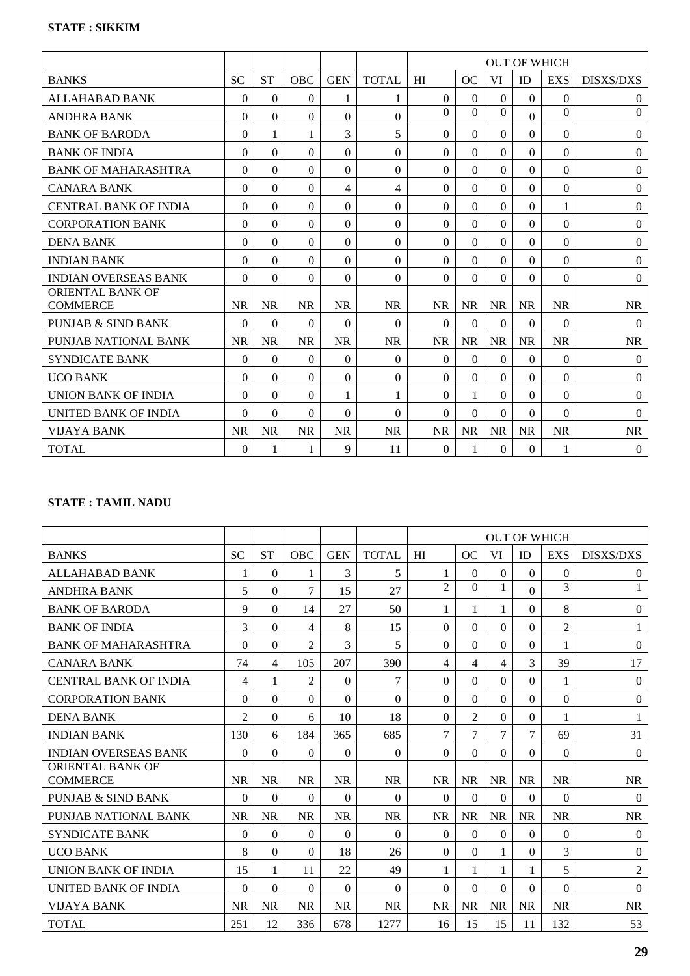|                                            |                |           |            |            |              | <b>OUT OF WHICH</b> |           |           |                  |              |                  |
|--------------------------------------------|----------------|-----------|------------|------------|--------------|---------------------|-----------|-----------|------------------|--------------|------------------|
| <b>BANKS</b>                               | <b>SC</b>      | <b>ST</b> | <b>OBC</b> | <b>GEN</b> | <b>TOTAL</b> | HI                  | OC        | <b>VI</b> | ID               | <b>EXS</b>   | <b>DISXS/DXS</b> |
| ALLAHABAD BANK                             | $\overline{0}$ | $\theta$  | 0          | 1          | 1            | $\Omega$            | $\Omega$  | $\Omega$  | $\boldsymbol{0}$ | $\mathbf{0}$ | $\overline{0}$   |
| <b>ANDHRA BANK</b>                         | $\Omega$       | $\theta$  | $\theta$   | 0          | $\theta$     | $\Omega$            | $\Omega$  | $\Omega$  | $\Omega$         | $\Omega$     | $\mathbf{0}$     |
| <b>BANK OF BARODA</b>                      | 0              | 1         | 1          | 3          | 5            | $\Omega$            | $\Omega$  | $\Omega$  | $\Omega$         | $\Omega$     | $\theta$         |
| <b>BANK OF INDIA</b>                       | $\Omega$       | $\theta$  | $\theta$   | $\theta$   | $\Omega$     | $\Omega$            | $\Omega$  | $\Omega$  | $\theta$         | $\Omega$     | $\mathbf{0}$     |
| <b>BANK OF MAHARASHTRA</b>                 | $\Omega$       | $\theta$  | $\theta$   | $\theta$   | $\Omega$     | $\theta$            | $\Omega$  | $\Omega$  | $\theta$         | $\Omega$     | $\boldsymbol{0}$ |
| <b>CANARA BANK</b>                         | 0              | 0         | $\Omega$   | 4          | 4            | $\theta$            | $\Omega$  | $\Omega$  | $\theta$         | $\Omega$     | $\boldsymbol{0}$ |
| <b>CENTRAL BANK OF INDIA</b>               | $\Omega$       | $\theta$  | $\theta$   | $\theta$   | $\theta$     | $\theta$            | $\Omega$  | $\Omega$  | $\theta$         | 1            | $\theta$         |
| <b>CORPORATION BANK</b>                    | $\Omega$       | $\theta$  | $\Omega$   | $\Omega$   | $\theta$     | $\Omega$            | $\Omega$  | $\Omega$  | $\Omega$         | $\Omega$     | $\boldsymbol{0}$ |
| <b>DENA BANK</b>                           | 0              | $\theta$  | $\theta$   | 0          | $\Omega$     | $\theta$            | $\Omega$  | $\Omega$  | $\theta$         | $\Omega$     | $\boldsymbol{0}$ |
| <b>INDIAN BANK</b>                         | $\Omega$       | $\theta$  | $\theta$   | $\theta$   | $\theta$     | $\Omega$            | $\Omega$  | $\Omega$  | $\theta$         | $\Omega$     | $\theta$         |
| <b>INDIAN OVERSEAS BANK</b>                | $\Omega$       | $\theta$  | $\Omega$   | $\Omega$   | $\mathbf{0}$ | $\Omega$            | $\Omega$  | $\Omega$  | $\mathbf{0}$     | $\Omega$     | $\boldsymbol{0}$ |
| <b>ORIENTAL BANK OF</b><br><b>COMMERCE</b> | <b>NR</b>      | <b>NR</b> | <b>NR</b>  | <b>NR</b>  | <b>NR</b>    | <b>NR</b>           | <b>NR</b> | <b>NR</b> | <b>NR</b>        | <b>NR</b>    | <b>NR</b>        |
| PUNJAB & SIND BANK                         | $\Omega$       | $\theta$  | $\Omega$   | $\theta$   | $\Omega$     | $\Omega$            | $\Omega$  | $\Omega$  | $\Omega$         | $\Omega$     | $\theta$         |
| PUNJAB NATIONAL BANK                       | <b>NR</b>      | <b>NR</b> | <b>NR</b>  | <b>NR</b>  | <b>NR</b>    | <b>NR</b>           | <b>NR</b> | <b>NR</b> | <b>NR</b>        | <b>NR</b>    | <b>NR</b>        |
| <b>SYNDICATE BANK</b>                      | $\Omega$       | $\theta$  | $\theta$   | $\theta$   | $\Omega$     | $\Omega$            | $\Omega$  | $\Omega$  | $\theta$         | $\Omega$     | $\mathbf{0}$     |
| <b>UCO BANK</b>                            | $\Omega$       | $\Omega$  | $\Omega$   | $\Omega$   | $\Omega$     | $\Omega$            | $\Omega$  | $\Omega$  | $\Omega$         | $\Omega$     | $\boldsymbol{0}$ |
| UNION BANK OF INDIA                        | 0              | 0         | $\theta$   | 1          | 1            | $\theta$            |           | $\Omega$  | $\theta$         | $\Omega$     | $\boldsymbol{0}$ |
| UNITED BANK OF INDIA                       | $\Omega$       | $\theta$  | $\theta$   | $\theta$   | $\Omega$     | $\Omega$            | $\Omega$  | $\Omega$  | $\Omega$         | $\Omega$     | $\Omega$         |
| <b>VIJAYA BANK</b>                         | <b>NR</b>      | <b>NR</b> | <b>NR</b>  | <b>NR</b>  | <b>NR</b>    | <b>NR</b>           | <b>NR</b> | <b>NR</b> | <b>NR</b>        | <b>NR</b>    | <b>NR</b>        |
| <b>TOTAL</b>                               | $\Omega$       | 1         | 1          | 9          | 11           | $\theta$            | 1         | $\theta$  | $\theta$         |              | $\overline{0}$   |

# **STATE : TAMIL NADU**

|                                            |                |           |                |            |              | <b>OUT OF WHICH</b> |                |                          |           |                |                  |
|--------------------------------------------|----------------|-----------|----------------|------------|--------------|---------------------|----------------|--------------------------|-----------|----------------|------------------|
| <b>BANKS</b>                               | <b>SC</b>      | <b>ST</b> | <b>OBC</b>     | <b>GEN</b> | <b>TOTAL</b> | HI                  | OC             | <b>VI</b>                | ID        | <b>EXS</b>     | <b>DISXS/DXS</b> |
| <b>ALLAHABAD BANK</b>                      | 1              | $\theta$  | 1              | 3          | 5            | 1                   | $\Omega$       | $\Omega$                 | $\theta$  | $\Omega$       | $\overline{0}$   |
| <b>ANDHRA BANK</b>                         | 5              | 0         | 7              | 15         | 27           | $\overline{2}$      | $\Omega$       | 1                        | $\Omega$  | $\overline{3}$ |                  |
| <b>BANK OF BARODA</b>                      | 9              | 0         | 14             | 27         | 50           | 1                   | 1              |                          | $\theta$  | 8              | $\overline{0}$   |
| <b>BANK OF INDIA</b>                       | 3              | $\theta$  | 4              | 8          | 15           | $\theta$            | $\Omega$       | $\Omega$                 | $\theta$  | $\overline{2}$ | 1                |
| <b>BANK OF MAHARASHTRA</b>                 | $\Omega$       | $\theta$  | $\overline{2}$ | 3          | 5            | $\theta$            | $\Omega$       | $\Omega$                 | $\theta$  | 1              | $\boldsymbol{0}$ |
| <b>CANARA BANK</b>                         | 74             | 4         | 105            | 207        | 390          | 4                   | 4              | $\overline{\mathcal{L}}$ | 3         | 39             | 17               |
| <b>CENTRAL BANK OF INDIA</b>               | 4              | 1         | $\overline{2}$ | $\Omega$   | 7            | $\Omega$            | $\Omega$       | $\Omega$                 | $\Omega$  | 1              | $\theta$         |
| <b>CORPORATION BANK</b>                    | $\Omega$       | $\Omega$  | $\Omega$       | $\Omega$   | $\Omega$     | $\Omega$            | $\Omega$       | $\Omega$                 | $\Omega$  | $\Omega$       | $\boldsymbol{0}$ |
| <b>DENA BANK</b>                           | $\overline{2}$ | $\theta$  | 6              | 10         | 18           | $\theta$            | $\overline{2}$ | $\Omega$                 | $\theta$  | $\mathbf{1}$   | 1                |
| <b>INDIAN BANK</b>                         | 130            | 6         | 184            | 365        | 685          | $\overline{7}$      | $\overline{7}$ | $\overline{7}$           | 7         | 69             | 31               |
| <b>INDIAN OVERSEAS BANK</b>                | $\theta$       | $\Omega$  | $\Omega$       | $\Omega$   | $\theta$     | $\Omega$            | $\Omega$       | $\Omega$                 | $\theta$  | $\Omega$       | $\theta$         |
| <b>ORIENTAL BANK OF</b><br><b>COMMERCE</b> | <b>NR</b>      | <b>NR</b> | <b>NR</b>      | <b>NR</b>  | <b>NR</b>    | <b>NR</b>           | <b>NR</b>      | <b>NR</b>                | <b>NR</b> | <b>NR</b>      | <b>NR</b>        |
| <b>PUNJAB &amp; SIND BANK</b>              | $\Omega$       | $\theta$  | $\Omega$       | $\Omega$   | $\Omega$     | $\Omega$            | $\Omega$       | $\Omega$                 | $\Omega$  | $\Omega$       | $\theta$         |
| PUNJAB NATIONAL BANK                       | <b>NR</b>      | <b>NR</b> | <b>NR</b>      | <b>NR</b>  | <b>NR</b>    | <b>NR</b>           | <b>NR</b>      | <b>NR</b>                | <b>NR</b> | <b>NR</b>      | <b>NR</b>        |
| <b>SYNDICATE BANK</b>                      | $\Omega$       | $\theta$  | $\theta$       | $\Omega$   | $\Omega$     | $\theta$            | $\Omega$       | $\Omega$                 | $\theta$  | $\mathbf{0}$   | $\mathbf{0}$     |
| <b>UCO BANK</b>                            | 8              | $\theta$  | $\Omega$       | 18         | 26           | $\Omega$            | $\Omega$       | 1                        | $\Omega$  | 3              | $\boldsymbol{0}$ |
| UNION BANK OF INDIA                        | 15             | 1         | 11             | 22         | 49           | 1                   | 1              |                          | 1         | 5              | $\mathfrak{2}$   |
| <b>UNITED BANK OF INDIA</b>                | $\Omega$       | $\theta$  | 0              | $\Omega$   | $\Omega$     | $\theta$            | $\Omega$       | $\Omega$                 | $\theta$  | $\Omega$       | $\theta$         |
| <b>VIJAYA BANK</b>                         | <b>NR</b>      | <b>NR</b> | <b>NR</b>      | <b>NR</b>  | <b>NR</b>    | <b>NR</b>           | <b>NR</b>      | <b>NR</b>                | <b>NR</b> | <b>NR</b>      | <b>NR</b>        |
| <b>TOTAL</b>                               | 251            | 12        | 336            | 678        | 1277         | 16                  | 15             | 15                       | 11        | 132            | 53               |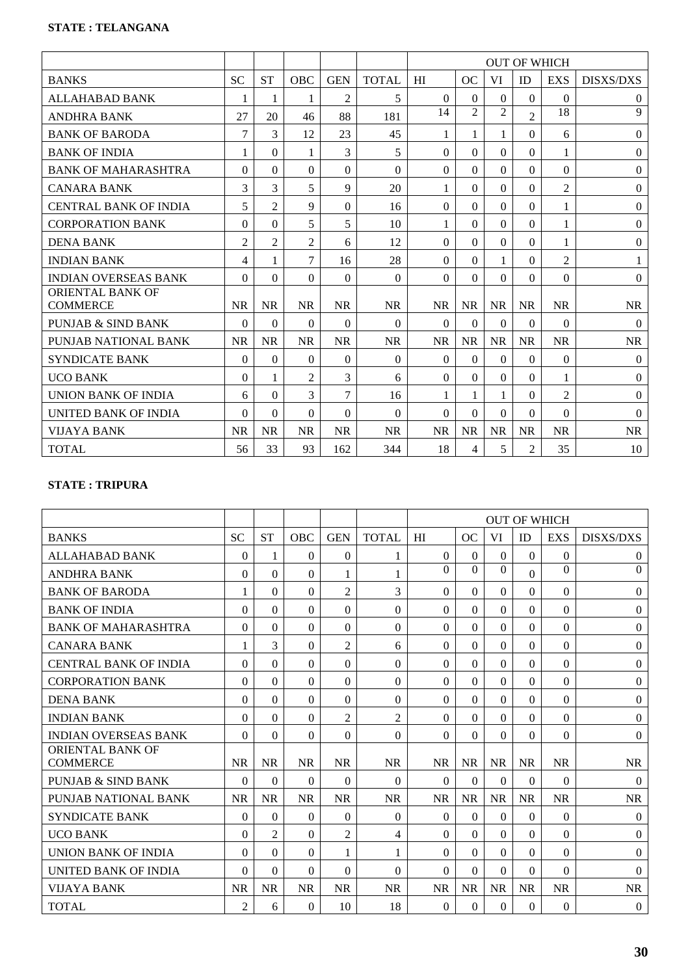|                                     |                |                |                |                |              | <b>OUT OF WHICH</b> |                |                |                |                |                  |
|-------------------------------------|----------------|----------------|----------------|----------------|--------------|---------------------|----------------|----------------|----------------|----------------|------------------|
| <b>BANKS</b>                        | <b>SC</b>      | <b>ST</b>      | <b>OBC</b>     | <b>GEN</b>     | <b>TOTAL</b> | HI                  | OC             | VI             | ID             | <b>EXS</b>     | <b>DISXS/DXS</b> |
| <b>ALLAHABAD BANK</b>               |                | 1              | 1              | $\overline{2}$ | 5            | $\Omega$            | $\Omega$       | $\Omega$       | $\Omega$       | $\Omega$       | $\theta$         |
| <b>ANDHRA BANK</b>                  | 27             | 20             | 46             | 88             | 181          | 14                  | $\mathfrak{D}$ | $\mathfrak{D}$ | $\overline{2}$ | 18             | 9                |
| <b>BANK OF BARODA</b>               | 7              | 3              | 12             | 23             | 45           |                     |                |                | $\Omega$       | 6              | $\boldsymbol{0}$ |
| <b>BANK OF INDIA</b>                |                | $\theta$       | 1              | 3              | 5            | $\theta$            | $\Omega$       | $\Omega$       | $\Omega$       | 1              | $\theta$         |
| <b>BANK OF MAHARASHTRA</b>          | $\Omega$       | $\Omega$       | $\Omega$       | $\theta$       | $\Omega$     | $\Omega$            | $\Omega$       | $\Omega$       | $\mathbf{0}$   | $\mathbf{0}$   | $\mathbf{0}$     |
| <b>CANARA BANK</b>                  | 3              | 3              | 5              | 9              | 20           | 1                   | $\Omega$       | $\Omega$       | $\Omega$       | $\overline{2}$ | $\theta$         |
| <b>CENTRAL BANK OF INDIA</b>        | 5              | $\overline{2}$ | 9              | $\theta$       | 16           | $\Omega$            | $\Omega$       | 0              | $\Omega$       | $\mathbf{1}$   | $\theta$         |
| <b>CORPORATION BANK</b>             | $\theta$       | $\Omega$       | 5              | 5              | 10           | 1                   | $\Omega$       | $\theta$       | $\Omega$       | 1              | $\boldsymbol{0}$ |
| <b>DENA BANK</b>                    | $\overline{2}$ | $\overline{2}$ | $\overline{2}$ | 6              | 12           | $\Omega$            | 0              | $\Omega$       | $\Omega$       | 1              | $\overline{0}$   |
| <b>INDIAN BANK</b>                  | 4              | 1              | 7              | 16             | 28           | $\Omega$            | $\Omega$       | 1              | $\Omega$       | $\overline{2}$ | 1                |
| <b>INDIAN OVERSEAS BANK</b>         | $\Omega$       | $\Omega$       | $\Omega$       | $\Omega$       | $\Omega$     | $\Omega$            | $\Omega$       | $\Omega$       | $\Omega$       | $\mathbf{0}$   | $\overline{0}$   |
| ORIENTAL BANK OF<br><b>COMMERCE</b> | <b>NR</b>      | <b>NR</b>      | <b>NR</b>      | <b>NR</b>      | <b>NR</b>    | <b>NR</b>           | <b>NR</b>      | <b>NR</b>      | <b>NR</b>      | <b>NR</b>      | <b>NR</b>        |
| <b>PUNJAB &amp; SIND BANK</b>       | $\theta$       | $\Omega$       | $\Omega$       | $\Omega$       | $\Omega$     | $\Omega$            | $\Omega$       | $\Omega$       | $\Omega$       | $\theta$       | $\overline{0}$   |
| PUNJAB NATIONAL BANK                | <b>NR</b>      | <b>NR</b>      | <b>NR</b>      | <b>NR</b>      | <b>NR</b>    | <b>NR</b>           | <b>NR</b>      | <b>NR</b>      | NR             | <b>NR</b>      | <b>NR</b>        |
| <b>SYNDICATE BANK</b>               | $\theta$       | $\theta$       | $\Omega$       | $\theta$       | $\Omega$     | $\theta$            | $\Omega$       | $\Omega$       | $\Omega$       | $\theta$       | $\theta$         |
| <b>UCO BANK</b>                     | $\theta$       | 1              | $\overline{2}$ | 3              | 6            | $\Omega$            | $\Omega$       | 0              | $\Omega$       | 1              | $\overline{0}$   |
| UNION BANK OF INDIA                 | 6              | $\Omega$       | 3              | 7              | 16           | 1                   |                | 1              | $\Omega$       | $\overline{2}$ | $\overline{0}$   |
| UNITED BANK OF INDIA                | $\Omega$       | $\theta$       | $\Omega$       | $\Omega$       | $\Omega$     | $\Omega$            | $\Omega$       | $\Omega$       | $\Omega$       | $\Omega$       | $\Omega$         |
| <b>VIJAYA BANK</b>                  | <b>NR</b>      | <b>NR</b>      | <b>NR</b>      | <b>NR</b>      | <b>NR</b>    | <b>NR</b>           | <b>NR</b>      | <b>NR</b>      | <b>NR</b>      | <b>NR</b>      | <b>NR</b>        |
| <b>TOTAL</b>                        | 56             | 33             | 93             | 162            | 344          | 18                  | 4              | 5              | $\overline{2}$ | 35             | 10               |

## **STATE : TRIPURA**

|                                     |                |                |           |                |                | <b>OUT OF WHICH</b> |           |           |              |              |                  |
|-------------------------------------|----------------|----------------|-----------|----------------|----------------|---------------------|-----------|-----------|--------------|--------------|------------------|
| <b>BANKS</b>                        | <b>SC</b>      | <b>ST</b>      | OBC       | <b>GEN</b>     | <b>TOTAL</b>   | HI                  | OC        | VI        | ID           | <b>EXS</b>   | <b>DISXS/DXS</b> |
| <b>ALLAHABAD BANK</b>               | $\theta$       | 1              | $\Omega$  | $\Omega$       | 1              | $\Omega$            | $\theta$  | $\theta$  | $\theta$     | $\Omega$     | $\overline{0}$   |
| <b>ANDHRA BANK</b>                  | $\Omega$       | $\theta$       | $\Omega$  | 1              | 1              | $\Omega$            | $\Omega$  | $\Omega$  | $\mathbf{0}$ | $\Omega$     | $\mathbf{0}$     |
| <b>BANK OF BARODA</b>               |                | 0              | $\Omega$  | 2              | 3              | $\theta$            | $\Omega$  | $\Omega$  | $\theta$     | $\Omega$     | $\boldsymbol{0}$ |
| <b>BANK OF INDIA</b>                | $\Omega$       | $\Omega$       | 0         | $\theta$       | $\Omega$       | $\Omega$            | $\Omega$  | $\Omega$  | $\Omega$     | $\Omega$     | $\boldsymbol{0}$ |
| <b>BANK OF MAHARASHTRA</b>          | $\Omega$       | $\theta$       | $\Omega$  | $\theta$       | $\theta$       | $\Omega$            | $\Omega$  | $\Omega$  | $\mathbf{0}$ | $\mathbf{0}$ | $\mathbf{0}$     |
| <b>CANARA BANK</b>                  | 1              | 3              | $\theta$  | 2              | 6              | $\theta$            | $\Omega$  | $\Omega$  | $\theta$     | $\Omega$     | $\theta$         |
| <b>CENTRAL BANK OF INDIA</b>        | 0              | $\theta$       | $\Omega$  | $\Omega$       | $\theta$       | $\Omega$            | $\Omega$  | $\Omega$  | $\Omega$     | $\Omega$     | $\theta$         |
| <b>CORPORATION BANK</b>             | $\Omega$       | $\theta$       | $\Omega$  | $\Omega$       | $\theta$       | $\Omega$            | $\Omega$  | $\Omega$  | $\theta$     | $\Omega$     | $\boldsymbol{0}$ |
| <b>DENA BANK</b>                    | $\Omega$       | $\theta$       | $\theta$  | $\theta$       | $\Omega$       | $\theta$            | $\Omega$  | $\Omega$  | $\theta$     | $\Omega$     | $\theta$         |
| <b>INDIAN BANK</b>                  | 0              | $\theta$       | $\theta$  | $\overline{2}$ | $\overline{2}$ | $\Omega$            | $\Omega$  | $\Omega$  | $\Omega$     | $\Omega$     | $\boldsymbol{0}$ |
| <b>INDIAN OVERSEAS BANK</b>         | $\Omega$       | $\overline{0}$ | $\theta$  | $\theta$       | $\theta$       | $\theta$            | $\Omega$  | $\Omega$  | $\theta$     | $\mathbf{0}$ | $\boldsymbol{0}$ |
| ORIENTAL BANK OF<br><b>COMMERCE</b> | <b>NR</b>      | <b>NR</b>      | <b>NR</b> | <b>NR</b>      | <b>NR</b>      | <b>NR</b>           | <b>NR</b> | <b>NR</b> | <b>NR</b>    | <b>NR</b>    | <b>NR</b>        |
| <b>PUNJAB &amp; SIND BANK</b>       | $\mathbf{0}$   | $\theta$       | $\theta$  | $\Omega$       | $\mathbf{0}$   | $\Omega$            | $\Omega$  | $\Omega$  | $\mathbf{0}$ | $\Omega$     | $\overline{0}$   |
| PUNJAB NATIONAL BANK                | <b>NR</b>      | <b>NR</b>      | <b>NR</b> | <b>NR</b>      | <b>NR</b>      | <b>NR</b>           | <b>NR</b> | <b>NR</b> | <b>NR</b>    | <b>NR</b>    | <b>NR</b>        |
| <b>SYNDICATE BANK</b>               | 0              | $\Omega$       | $\Omega$  | $\Omega$       | $\Omega$       | $\Omega$            | $\Omega$  | $\Omega$  | $\Omega$     | $\Omega$     | $\theta$         |
| <b>UCO BANK</b>                     | 0              | $\overline{2}$ | $\Omega$  | $\overline{2}$ | 4              | $\theta$            | $\Omega$  | $\Omega$  | $\Omega$     | $\Omega$     | $\boldsymbol{0}$ |
| UNION BANK OF INDIA                 | $\Omega$       | $\theta$       | $\theta$  | 1              | 1              | $\theta$            | $\Omega$  | $\Omega$  | $\Omega$     | $\Omega$     | $\theta$         |
| <b>UNITED BANK OF INDIA</b>         | 0              | $\theta$       | $\Omega$  | $\Omega$       | $\Omega$       | $\Omega$            | $\Omega$  | $\Omega$  | $\theta$     | $\Omega$     | $\theta$         |
| VIJAYA BANK                         | <b>NR</b>      | <b>NR</b>      | <b>NR</b> | <b>NR</b>      | <b>NR</b>      | <b>NR</b>           | <b>NR</b> | <b>NR</b> | <b>NR</b>    | <b>NR</b>    | <b>NR</b>        |
| <b>TOTAL</b>                        | $\overline{2}$ | 6              | 0         | 10             | 18             | $\Omega$            | $\Omega$  | $\Omega$  | $\Omega$     | $\Omega$     | $\overline{0}$   |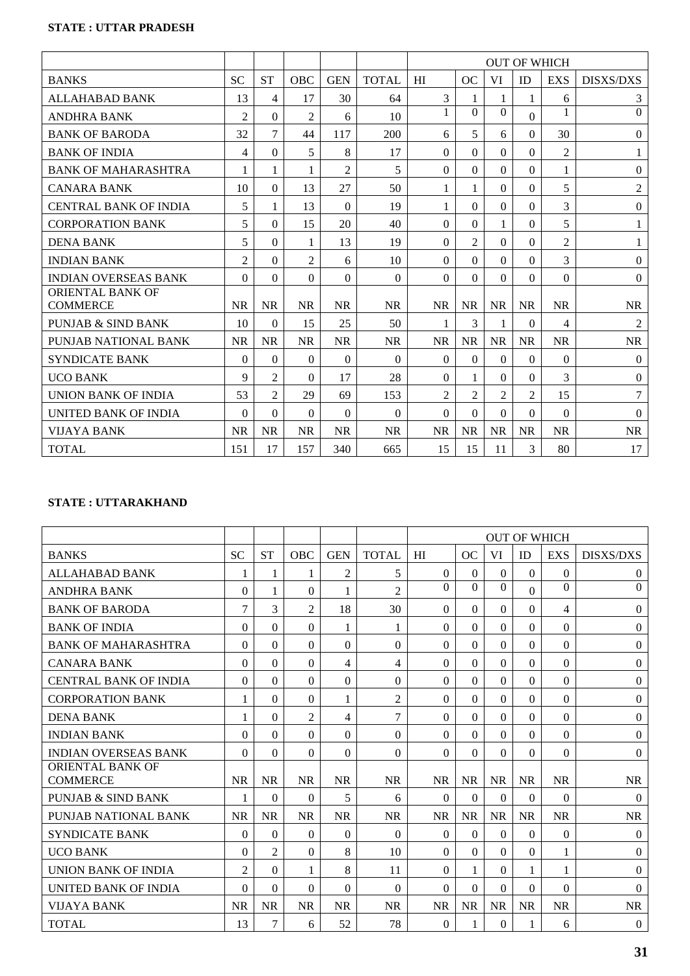# **STATE : UTTAR PRADESH**

|                                            |                |                |                |                |              |                |                |                |                | <b>OUT OF WHICH</b> |                  |
|--------------------------------------------|----------------|----------------|----------------|----------------|--------------|----------------|----------------|----------------|----------------|---------------------|------------------|
| <b>BANKS</b>                               | <b>SC</b>      | <b>ST</b>      | <b>OBC</b>     | <b>GEN</b>     | <b>TOTAL</b> | HI             | OC             | VI             | ID             | <b>EXS</b>          | <b>DISXS/DXS</b> |
| ALLAHABAD BANK                             | 13             | 4              | 17             | 30             | 64           | 3              | 1              |                | 1              | 6                   | 3                |
| <b>ANDHRA BANK</b>                         | $\overline{2}$ | $\theta$       | $\overline{2}$ | 6              | 10           | 1              | $\Omega$       | $\Omega$       | $\Omega$       | 1                   | $\mathbf{0}$     |
| <b>BANK OF BARODA</b>                      | 32             | 7              | 44             | 117            | 200          | 6              | 5              | 6              | $\Omega$       | 30                  | $\theta$         |
| <b>BANK OF INDIA</b>                       | 4              | $\Omega$       | 5              | 8              | 17           | $\theta$       | $\Omega$       | $\Omega$       | $\Omega$       | $\overline{2}$      | 1                |
| <b>BANK OF MAHARASHTRA</b>                 | 1              | 1              | 1              | $\overline{2}$ | 5            | $\Omega$       | $\Omega$       | $\Omega$       | $\Omega$       | 1                   | $\mathbf{0}$     |
| <b>CANARA BANK</b>                         | 10             | $\Omega$       | 13             | 27             | 50           | 1              | 1              | $\Omega$       | $\theta$       | 5                   | $\overline{2}$   |
| <b>CENTRAL BANK OF INDIA</b>               | 5              | 1              | 13             | $\Omega$       | 19           | 1              | $\Omega$       | $\Omega$       | $\Omega$       | $\overline{3}$      | $\theta$         |
| <b>CORPORATION BANK</b>                    | 5              | $\Omega$       | 15             | 20             | 40           | $\Omega$       | $\Omega$       | 1              | $\mathbf{0}$   | 5                   | 1                |
| <b>DENA BANK</b>                           | 5              | $\theta$       | 1              | 13             | 19           | $\theta$       | $\overline{c}$ | $\Omega$       | $\theta$       | $\overline{2}$      | 1                |
| <b>INDIAN BANK</b>                         | $\overline{2}$ | $\theta$       | 2              | 6              | 10           | $\Omega$       | $\Omega$       | $\Omega$       | $\theta$       | 3                   | $\theta$         |
| <b>INDIAN OVERSEAS BANK</b>                | $\Omega$       | $\theta$       | $\Omega$       | $\Omega$       | $\theta$     | $\Omega$       | $\Omega$       | $\Omega$       | $\theta$       | $\Omega$            | $\boldsymbol{0}$ |
| <b>ORIENTAL BANK OF</b><br><b>COMMERCE</b> | <b>NR</b>      | <b>NR</b>      | <b>NR</b>      | <b>NR</b>      | <b>NR</b>    | <b>NR</b>      | <b>NR</b>      | <b>NR</b>      | <b>NR</b>      | <b>NR</b>           | <b>NR</b>        |
| PUNJAB & SIND BANK                         | 10             | 0              | 15             | 25             | 50           | 1              | 3              | 1              | $\Omega$       | 4                   | $\overline{2}$   |
| PUNJAB NATIONAL BANK                       | <b>NR</b>      | <b>NR</b>      | <b>NR</b>      | <b>NR</b>      | <b>NR</b>    | <b>NR</b>      | <b>NR</b>      | <b>NR</b>      | <b>NR</b>      | <b>NR</b>           | NR               |
| <b>SYNDICATE BANK</b>                      | $\Omega$       | $\Omega$       | $\theta$       | $\Omega$       | $\Omega$     | $\Omega$       | $\Omega$       | $\Omega$       | $\Omega$       | $\Omega$            | $\theta$         |
| <b>UCO BANK</b>                            | 9              | $\overline{2}$ | $\Omega$       | 17             | 28           | 0              | 1              | $\Omega$       | $\Omega$       | 3                   | $\overline{0}$   |
| UNION BANK OF INDIA                        | 53             | 2              | 29             | 69             | 153          | $\overline{c}$ | $\overline{2}$ | $\overline{2}$ | $\overline{2}$ | 15                  | 7                |
| UNITED BANK OF INDIA                       | $\Omega$       | $\theta$       | 0              | $\Omega$       | $\Omega$     | $\Omega$       | $\Omega$       | $\Omega$       | $\Omega$       | $\Omega$            | $\theta$         |
| <b>VIJAYA BANK</b>                         | <b>NR</b>      | <b>NR</b>      | <b>NR</b>      | <b>NR</b>      | <b>NR</b>    | <b>NR</b>      | <b>NR</b>      | <b>NR</b>      | <b>NR</b>      | <b>NR</b>           | <b>NR</b>        |
| <b>TOTAL</b>                               | 151            | 17             | 157            | 340            | 665          | 15             | 15             | 11             | 3              | 80                  | 17               |

# **STATE : UTTARAKHAND**

|                                     |                |                |                |                |                |           |           |           |              | <b>OUT OF WHICH</b> |                  |
|-------------------------------------|----------------|----------------|----------------|----------------|----------------|-----------|-----------|-----------|--------------|---------------------|------------------|
| <b>BANKS</b>                        | <b>SC</b>      | <b>ST</b>      | <b>OBC</b>     | <b>GEN</b>     | <b>TOTAL</b>   | HI        | <b>OC</b> | VI        | ID           | <b>EXS</b>          | <b>DISXS/DXS</b> |
| <b>ALLAHABAD BANK</b>               | 1              | 1              | 1              | $\overline{2}$ | 5              | $\Omega$  | $\Omega$  | $\Omega$  | $\Omega$     | $\Omega$            | $\mathbf{0}$     |
| <b>ANDHRA BANK</b>                  | $\Omega$       | 1              | $\theta$       | 1              | $\overline{2}$ | $\Omega$  | $\Omega$  | $\Omega$  | $\mathbf{0}$ | $\Omega$            | $\mathbf{0}$     |
| <b>BANK OF BARODA</b>               | $\overline{7}$ | 3              | $\overline{2}$ | 18             | 30             | $\theta$  | $\Omega$  | $\Omega$  | $\theta$     | 4                   | $\theta$         |
| <b>BANK OF INDIA</b>                | 0              | $\theta$       | $\Omega$       | 1              | 1              | $\Omega$  | $\Omega$  | $\Omega$  | $\Omega$     | $\Omega$            | $\theta$         |
| <b>BANK OF MAHARASHTRA</b>          | $\Omega$       | $\theta$       | $\Omega$       | $\Omega$       | $\theta$       | $\Omega$  | $\Omega$  | $\Omega$  | $\Omega$     | $\Omega$            | $\mathbf{0}$     |
| <b>CANARA BANK</b>                  | 0              | $\theta$       | 0              | 4              | $\overline{4}$ | $\Omega$  | $\Omega$  | $\Omega$  | $\theta$     | $\Omega$            | $\boldsymbol{0}$ |
| <b>CENTRAL BANK OF INDIA</b>        | $\Omega$       | $\theta$       | $\Omega$       | $\Omega$       | $\Omega$       | $\theta$  | $\Omega$  | $\Omega$  | $\Omega$     | $\Omega$            | $\boldsymbol{0}$ |
| <b>CORPORATION BANK</b>             | 1              | $\Omega$       | 0              | 1              | $\overline{2}$ | $\Omega$  | $\Omega$  | $\Omega$  | $\Omega$     | $\Omega$            | $\mathbf{0}$     |
| <b>DENA BANK</b>                    |                | $\theta$       | $\overline{2}$ | 4              | 7              | $\theta$  | $\Omega$  | $\Omega$  | $\theta$     | $\Omega$            | $\boldsymbol{0}$ |
| <b>INDIAN BANK</b>                  | $\Omega$       | $\theta$       | $\Omega$       | $\theta$       | $\Omega$       | $\Omega$  | $\Omega$  | $\Omega$  | $\theta$     | $\Omega$            | $\theta$         |
| <b>INDIAN OVERSEAS BANK</b>         | $\Omega$       | $\theta$       | $\Omega$       | $\theta$       | $\Omega$       | $\Omega$  | $\Omega$  | $\Omega$  | $\theta$     | $\Omega$            | $\theta$         |
| ORIENTAL BANK OF<br><b>COMMERCE</b> | <b>NR</b>      | <b>NR</b>      | <b>NR</b>      | <b>NR</b>      | <b>NR</b>      | <b>NR</b> | <b>NR</b> | <b>NR</b> | <b>NR</b>    | <b>NR</b>           | <b>NR</b>        |
| <b>PUNJAB &amp; SIND BANK</b>       | 1              | $\theta$       | $\Omega$       | 5              | 6              | $\Omega$  | $\Omega$  | $\Omega$  | $\theta$     | $\Omega$            | $\theta$         |
| PUNJAB NATIONAL BANK                | <b>NR</b>      | <b>NR</b>      | <b>NR</b>      | <b>NR</b>      | <b>NR</b>      | <b>NR</b> | <b>NR</b> | <b>NR</b> | <b>NR</b>    | <b>NR</b>           | <b>NR</b>        |
| <b>SYNDICATE BANK</b>               | $\Omega$       | $\theta$       | 0              | $\theta$       | $\Omega$       | $\theta$  | $\Omega$  | $\Omega$  | $\theta$     | $\Omega$            | $\theta$         |
| <b>UCO BANK</b>                     | $\Omega$       | $\overline{2}$ | 0              | 8              | 10             | $\Omega$  | $\Omega$  | $\Omega$  | $\Omega$     | 1                   | $\boldsymbol{0}$ |
| <b>UNION BANK OF INDIA</b>          | $\overline{2}$ | $\theta$       |                | 8              | 11             | $\Omega$  | 1         | $\Omega$  | 1            | 1                   | $\boldsymbol{0}$ |
| UNITED BANK OF INDIA                | $\Omega$       | $\theta$       | $\theta$       | $\theta$       | $\Omega$       | $\Omega$  | $\Omega$  | $\Omega$  | $\theta$     | $\Omega$            | $\theta$         |
| <b>VIJAYA BANK</b>                  | <b>NR</b>      | <b>NR</b>      | <b>NR</b>      | <b>NR</b>      | <b>NR</b>      | <b>NR</b> | <b>NR</b> | <b>NR</b> | <b>NR</b>    | <b>NR</b>           | <b>NR</b>        |
| <b>TOTAL</b>                        | 13             | 7              | 6              | 52             | 78             | $\theta$  | 1         | $\Omega$  | 1            | 6                   | $\boldsymbol{0}$ |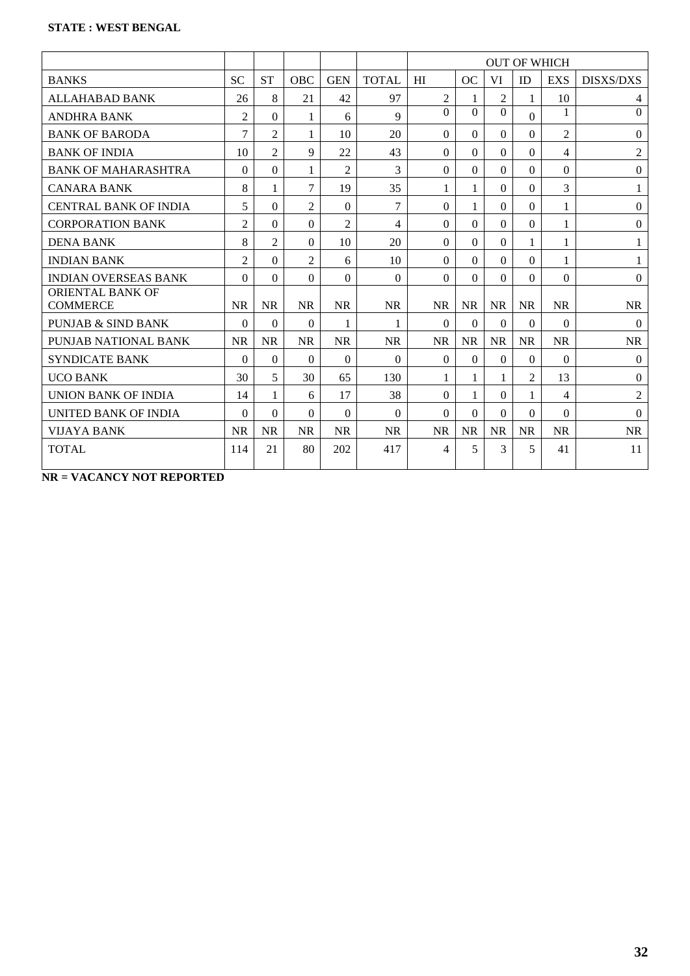|                                     |                |                |                |                |                |                |              |                |                | <b>OUT OF WHICH</b> |                  |
|-------------------------------------|----------------|----------------|----------------|----------------|----------------|----------------|--------------|----------------|----------------|---------------------|------------------|
| <b>BANKS</b>                        | <b>SC</b>      | <b>ST</b>      | OBC            | <b>GEN</b>     | <b>TOTAL</b>   | HI             | OC           | VI             | ID             | <b>EXS</b>          | <b>DISXS/DXS</b> |
| <b>ALLAHABAD BANK</b>               | 26             | 8              | 21             | 42             | 97             | $\overline{c}$ | 1            | $\overline{2}$ | 1              | 10                  | 4                |
| <b>ANDHRA BANK</b>                  | $\overline{2}$ | $\Omega$       | 1              | 6              | 9              | $\Omega$       | $\Omega$     | $\Omega$       | $\Omega$       | 1                   | $\Omega$         |
| <b>BANK OF BARODA</b>               | 7              | $\overline{2}$ | 1              | 10             | 20             | $\Omega$       | $\Omega$     | 0              | $\Omega$       | $\overline{2}$      | $\mathbf{0}$     |
| <b>BANK OF INDIA</b>                | 10             | $\overline{2}$ | 9              | 22             | 43             | $\Omega$       | $\Omega$     | $\Omega$       | $\Omega$       | 4                   | $\overline{2}$   |
| <b>BANK OF MAHARASHTRA</b>          | 0              | $\theta$       | 1              | $\overline{2}$ | 3              | $\Omega$       | $\Omega$     | $\Omega$       | $\Omega$       | 0                   | $\boldsymbol{0}$ |
| <b>CANARA BANK</b>                  | 8              | 1              | 7              | 19             | 35             | 1              | 1            | $\Omega$       | $\Omega$       | 3                   | $\mathbf{1}$     |
| <b>CENTRAL BANK OF INDIA</b>        | 5              | $\Omega$       | $\mathfrak{D}$ | $\Omega$       | $\tau$         | $\Omega$       | 1            | $\Omega$       | $\Omega$       | 1                   | $\mathbf{0}$     |
| <b>CORPORATION BANK</b>             | $\overline{2}$ | $\Omega$       | $\Omega$       | $\overline{2}$ | $\overline{4}$ | $\Omega$       | $\Omega$     | $\Omega$       | $\Omega$       | 1                   | $\mathbf{0}$     |
| <b>DENA BANK</b>                    | 8              | 2              | $\Omega$       | 10             | 20             | $\Omega$       | $\Omega$     | $\Omega$       | 1              | 1                   | $\mathbf{1}$     |
| <b>INDIAN BANK</b>                  | $\overline{c}$ | $\Omega$       | $\overline{2}$ | 6              | 10             | $\Omega$       | $\Omega$     | 0              | $\Omega$       | 1                   | $\mathbf{1}$     |
| <b>INDIAN OVERSEAS BANK</b>         | $\Omega$       | $\Omega$       | $\Omega$       | $\Omega$       | $\Omega$       | $\theta$       | $\Omega$     | $\Omega$       | $\Omega$       | 0                   | $\Omega$         |
| ORIENTAL BANK OF<br><b>COMMERCE</b> | <b>NR</b>      | <b>NR</b>      | <b>NR</b>      | <b>NR</b>      | <b>NR</b>      | <b>NR</b>      | <b>NR</b>    | <b>NR</b>      | <b>NR</b>      | <b>NR</b>           | <b>NR</b>        |
| PUNJAB & SIND BANK                  | $\Omega$       | $\Omega$       | $\Omega$       | 1              | 1              | $\Omega$       | $\Omega$     | $\Omega$       | $\Omega$       | 0                   | $\theta$         |
| PUNJAB NATIONAL BANK                | <b>NR</b>      | <b>NR</b>      | <b>NR</b>      | <b>NR</b>      | <b>NR</b>      | <b>NR</b>      | <b>NR</b>    | <b>NR</b>      | <b>NR</b>      | <b>NR</b>           | <b>NR</b>        |
| <b>SYNDICATE BANK</b>               | $\Omega$       | $\Omega$       | $\Omega$       | $\Omega$       | $\Omega$       | $\Omega$       | $\Omega$     | $\Omega$       | $\Omega$       | $\Omega$            | $\Omega$         |
| <b>UCO BANK</b>                     | 30             | 5              | 30             | 65             | 130            | 1              | $\mathbf{1}$ | 1              | $\overline{2}$ | 13                  | $\boldsymbol{0}$ |
| UNION BANK OF INDIA                 | 14             | 1              | 6              | 17             | 38             | $\Omega$       | 1            | $\Omega$       | 1              | 4                   | $\overline{2}$   |
| <b>UNITED BANK OF INDIA</b>         | $\Omega$       | $\Omega$       | $\Omega$       | $\Omega$       | $\Omega$       | $\Omega$       | $\Omega$     | $\Omega$       | $\Omega$       | $\Omega$            | $\Omega$         |
| VIJAYA BANK                         | <b>NR</b>      | <b>NR</b>      | <b>NR</b>      | <b>NR</b>      | <b>NR</b>      | <b>NR</b>      | <b>NR</b>    | <b>NR</b>      | <b>NR</b>      | <b>NR</b>           | <b>NR</b>        |
| <b>TOTAL</b>                        | 114            | 21             | 80             | 202            | 417            | 4              | 5            | 3              | 5              | 41                  | 11               |

**NR = VACANCY NOT REPORTED**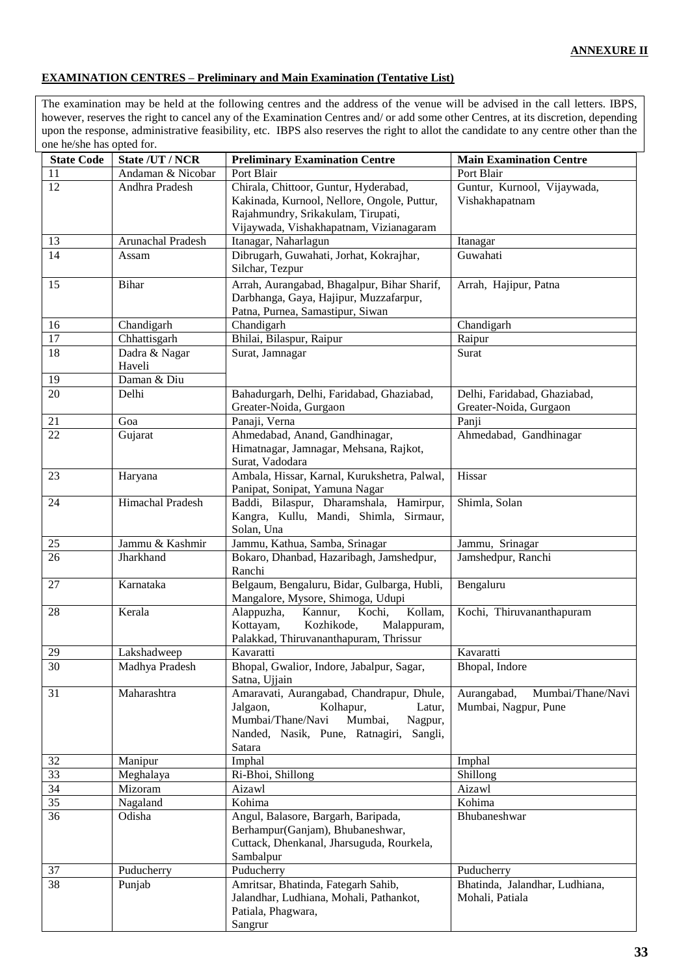### **EXAMINATION CENTRES – Preliminary and Main Examination (Tentative List)**

The examination may be held at the following centres and the address of the venue will be advised in the call letters. IBPS, however, reserves the right to cancel any of the Examination Centres and/ or add some other Centres, at its discretion, depending upon the response, administrative feasibility, etc. IBPS also reserves the right to allot the candidate to any centre other than the one he/she has opted for.

| <b>State Code</b>     | State /UT / NCR         | <b>Preliminary Examination Centre</b>                                                                                                                                           | <b>Main Examination Centre</b>                           |
|-----------------------|-------------------------|---------------------------------------------------------------------------------------------------------------------------------------------------------------------------------|----------------------------------------------------------|
| 11                    | Andaman & Nicobar       | Port Blair                                                                                                                                                                      | Port Blair                                               |
| 12                    | Andhra Pradesh          | Chirala, Chittoor, Guntur, Hyderabad,                                                                                                                                           | Guntur, Kurnool, Vijaywada,                              |
|                       |                         | Kakinada, Kurnool, Nellore, Ongole, Puttur,                                                                                                                                     | Vishakhapatnam                                           |
|                       |                         | Rajahmundry, Srikakulam, Tirupati,                                                                                                                                              |                                                          |
|                       |                         | Vijaywada, Vishakhapatnam, Vizianagaram                                                                                                                                         |                                                          |
| 13<br>$\overline{14}$ | Arunachal Pradesh       | Itanagar, Naharlagun                                                                                                                                                            | Itanagar                                                 |
|                       | Assam                   | Dibrugarh, Guwahati, Jorhat, Kokrajhar,<br>Silchar, Tezpur                                                                                                                      | Guwahati                                                 |
| 15                    | <b>Bihar</b>            | Arrah, Aurangabad, Bhagalpur, Bihar Sharif,<br>Darbhanga, Gaya, Hajipur, Muzzafarpur,<br>Patna, Purnea, Samastipur, Siwan                                                       | Arrah, Hajipur, Patna                                    |
| 16                    | Chandigarh              | Chandigarh                                                                                                                                                                      | Chandigarh                                               |
| 17                    | Chhattisgarh            | Bhilai, Bilaspur, Raipur                                                                                                                                                        | Raipur                                                   |
| 18                    | Dadra & Nagar<br>Haveli | Surat, Jamnagar                                                                                                                                                                 | Surat                                                    |
| $\overline{19}$       | Daman & Diu             |                                                                                                                                                                                 |                                                          |
| $\overline{20}$       | Delhi                   | Bahadurgarh, Delhi, Faridabad, Ghaziabad,<br>Greater-Noida, Gurgaon                                                                                                             | Delhi, Faridabad, Ghaziabad,<br>Greater-Noida, Gurgaon   |
| 21                    | Goa                     | Panaji, Verna                                                                                                                                                                   | Panji                                                    |
| 22                    | Gujarat                 | Ahmedabad, Anand, Gandhinagar,<br>Himatnagar, Jamnagar, Mehsana, Rajkot,<br>Surat, Vadodara                                                                                     | Ahmedabad, Gandhinagar                                   |
| 23                    | Haryana                 | Ambala, Hissar, Karnal, Kurukshetra, Palwal,<br>Panipat, Sonipat, Yamuna Nagar                                                                                                  | Hissar                                                   |
| 24                    | <b>Himachal Pradesh</b> | Baddi, Bilaspur, Dharamshala, Hamirpur,<br>Kangra, Kullu, Mandi, Shimla, Sirmaur,<br>Solan, Una                                                                                 | Shimla, Solan                                            |
| 25                    | Jammu & Kashmir         | Jammu, Kathua, Samba, Srinagar                                                                                                                                                  | Jammu, Srinagar                                          |
| 26                    | Jharkhand               | Bokaro, Dhanbad, Hazaribagh, Jamshedpur,<br>Ranchi                                                                                                                              | Jamshedpur, Ranchi                                       |
| 27                    | Karnataka               | Belgaum, Bengaluru, Bidar, Gulbarga, Hubli,<br>Mangalore, Mysore, Shimoga, Udupi                                                                                                | Bengaluru                                                |
| 28                    | Kerala                  | Alappuzha,<br>Kochi,<br>Kollam,<br>Kannur,<br>Kottayam,<br>Kozhikode,<br>Malappuram,<br>Palakkad, Thiruvananthapuram, Thrissur                                                  | Kochi, Thiruvananthapuram                                |
| 29                    | Lakshadweep             | Kavaratti                                                                                                                                                                       | Kavaratti                                                |
| 30                    | Madhya Pradesh          | Bhopal, Gwalior, Indore, Jabalpur, Sagar,<br>Satna, Ujjain                                                                                                                      | Bhopal, Indore                                           |
| 31                    | Maharashtra             | Amaravati, Aurangabad, Chandrapur, Dhule,<br>Jalgaon,<br>Kolhapur,<br>Latur,<br>Mumbai/Thane/Navi<br>Mumbai,<br>Nagpur,<br>Nanded, Nasik, Pune, Ratnagiri,<br>Sangli,<br>Satara | Aurangabad,<br>Mumbai/Thane/Navi<br>Mumbai, Nagpur, Pune |
| 32                    | Manipur                 | Imphal                                                                                                                                                                          | Imphal                                                   |
| $\overline{33}$       | Meghalaya               | Ri-Bhoi, Shillong                                                                                                                                                               | Shillong                                                 |
| 34                    | Mizoram                 | Aizawl                                                                                                                                                                          | Aizawl                                                   |
| $\overline{35}$       | Nagaland                | Kohima                                                                                                                                                                          | Kohima                                                   |
| 36                    | Odisha                  | Angul, Balasore, Bargarh, Baripada,<br>Berhampur(Ganjam), Bhubaneshwar,<br>Cuttack, Dhenkanal, Jharsuguda, Rourkela,<br>Sambalpur                                               | Bhubaneshwar                                             |
| 37                    | Puducherry              | Puducherry                                                                                                                                                                      | Puducherry                                               |
| 38                    | Punjab                  | Amritsar, Bhatinda, Fategarh Sahib,<br>Jalandhar, Ludhiana, Mohali, Pathankot,<br>Patiala, Phagwara,<br>Sangrur                                                                 | Bhatinda, Jalandhar, Ludhiana,<br>Mohali, Patiala        |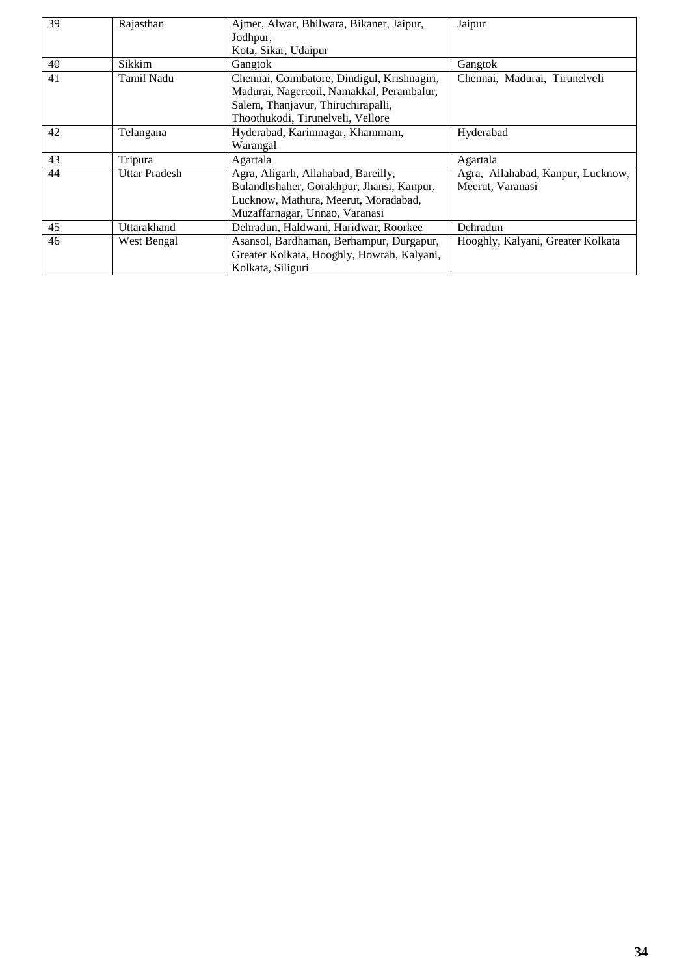| 39 | Rajasthan            | Ajmer, Alwar, Bhilwara, Bikaner, Jaipur,<br>Jodhpur,<br>Kota, Sikar, Udaipur                                                                                        | Jaipur                                                |
|----|----------------------|---------------------------------------------------------------------------------------------------------------------------------------------------------------------|-------------------------------------------------------|
| 40 | Sikkim               | Gangtok                                                                                                                                                             | Gangtok                                               |
| 41 | Tamil Nadu           | Chennai, Coimbatore, Dindigul, Krishnagiri,<br>Madurai, Nagercoil, Namakkal, Perambalur,<br>Salem, Thanjavur, Thiruchirapalli,<br>Thoothukodi, Tirunelveli, Vellore | Chennai, Madurai, Tirunelveli                         |
| 42 | Telangana            | Hyderabad, Karimnagar, Khammam,<br>Warangal                                                                                                                         | Hyderabad                                             |
| 43 | Tripura              | Agartala                                                                                                                                                            | Agartala                                              |
| 44 | <b>Uttar Pradesh</b> | Agra, Aligarh, Allahabad, Bareilly,<br>Bulandhshaher, Gorakhpur, Jhansi, Kanpur,<br>Lucknow, Mathura, Meerut, Moradabad,<br>Muzaffarnagar, Unnao, Varanasi          | Agra, Allahabad, Kanpur, Lucknow,<br>Meerut, Varanasi |
| 45 | Uttarakhand          | Dehradun, Haldwani, Haridwar, Roorkee                                                                                                                               | Dehradun                                              |
| 46 | West Bengal          | Asansol, Bardhaman, Berhampur, Durgapur,<br>Greater Kolkata, Hooghly, Howrah, Kalyani,<br>Kolkata, Siliguri                                                         | Hooghly, Kalyani, Greater Kolkata                     |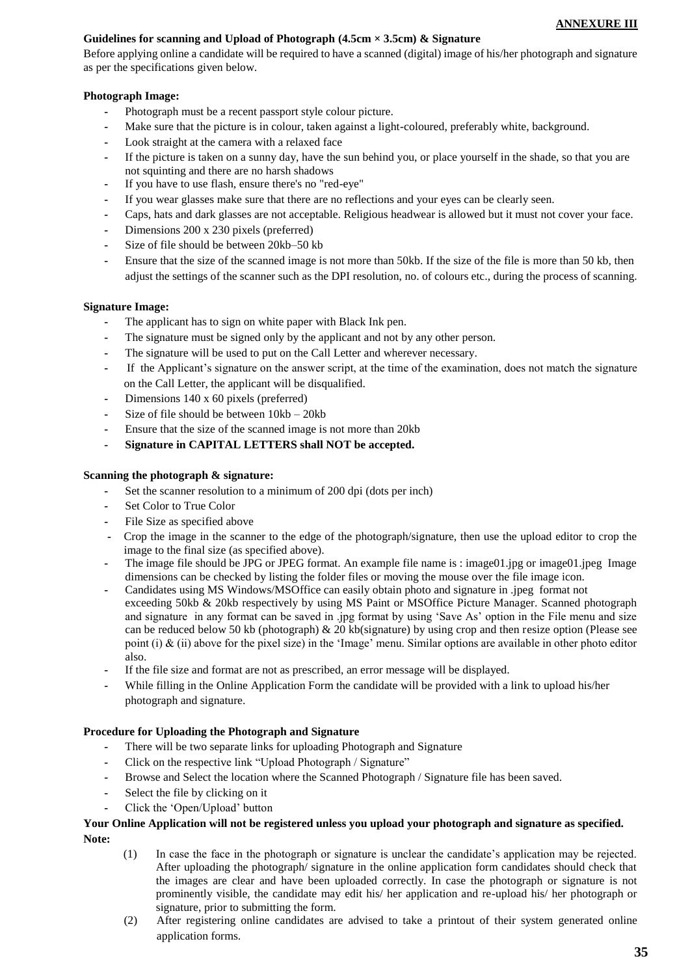#### **ANNEXURE III**

### **Guidelines for scanning and Upload of Photograph (4.5cm × 3.5cm) & Signature**

Before applying online a candidate will be required to have a scanned (digital) image of his/her photograph and signature as per the specifications given below.

## **Photograph Image:**

- **-** Photograph must be a recent passport style colour picture.
- Make sure that the picture is in colour, taken against a light-coloured, preferably white, background.
- **-** Look straight at the camera with a relaxed face
- **-** If the picture is taken on a sunny day, have the sun behind you, or place yourself in the shade, so that you are not squinting and there are no harsh shadows
- **-** If you have to use flash, ensure there's no "red-eye"
- **-** If you wear glasses make sure that there are no reflections and your eyes can be clearly seen.
- **-** Caps, hats and dark glasses are not acceptable. Religious headwear is allowed but it must not cover your face.
- **-** Dimensions 200 x 230 pixels (preferred)
- **-** Size of file should be between 20kb–50 kb
- **-** Ensure that the size of the scanned image is not more than 50kb. If the size of the file is more than 50 kb, then adjust the settings of the scanner such as the DPI resolution, no. of colours etc., during the process of scanning.

#### **Signature Image:**

- **-** The applicant has to sign on white paper with Black Ink pen.
- **-** The signature must be signed only by the applicant and not by any other person.
- **-** The signature will be used to put on the Call Letter and wherever necessary.
- **-** If the Applicant's signature on the answer script, at the time of the examination, does not match the signature on the Call Letter, the applicant will be disqualified.
- **-** Dimensions 140 x 60 pixels (preferred)
- **-** Size of file should be between 10kb 20kb
- **-** Ensure that the size of the scanned image is not more than 20kb
- **- Signature in CAPITAL LETTERS shall NOT be accepted.**

#### **Scanning the photograph & signature:**

- **-** Set the scanner resolution to a minimum of 200 dpi (dots per inch)
- **-** Set Color to True Color
- **-** File Size as specified above
- **-** Crop the image in the scanner to the edge of the photograph/signature, then use the upload editor to crop the image to the final size (as specified above).
- The image file should be JPG or JPEG format. An example file name is : image01.jpg or image01.jpeg Image dimensions can be checked by listing the folder files or moving the mouse over the file image icon.
- **-** Candidates using MS Windows/MSOffice can easily obtain photo and signature in .jpeg format not exceeding 50kb & 20kb respectively by using MS Paint or MSOffice Picture Manager. Scanned photograph and signature in any format can be saved in .jpg format by using 'Save As' option in the File menu and size can be reduced below 50 kb (photograph) & 20 kb(signature) by using crop and then resize option (Please see point (i)  $\&$  (ii) above for the pixel size) in the 'Image' menu. Similar options are available in other photo editor also.
- **-** If the file size and format are not as prescribed, an error message will be displayed.
- **-** While filling in the Online Application Form the candidate will be provided with a link to upload his/her photograph and signature.

#### **Procedure for Uploading the Photograph and Signature**

- **-** There will be two separate links for uploading Photograph and Signature
- **-** Click on the respective link "Upload Photograph / Signature"
- **-** Browse and Select the location where the Scanned Photograph / Signature file has been saved.
- **-** Select the file by clicking on it
- **-** Click the 'Open/Upload' button

### **Your Online Application will not be registered unless you upload your photograph and signature as specified. Note:**

- (1) In case the face in the photograph or signature is unclear the candidate's application may be rejected. After uploading the photograph/ signature in the online application form candidates should check that the images are clear and have been uploaded correctly. In case the photograph or signature is not prominently visible, the candidate may edit his/ her application and re-upload his/ her photograph or signature, prior to submitting the form.
- (2) After registering online candidates are advised to take a printout of their system generated online application forms.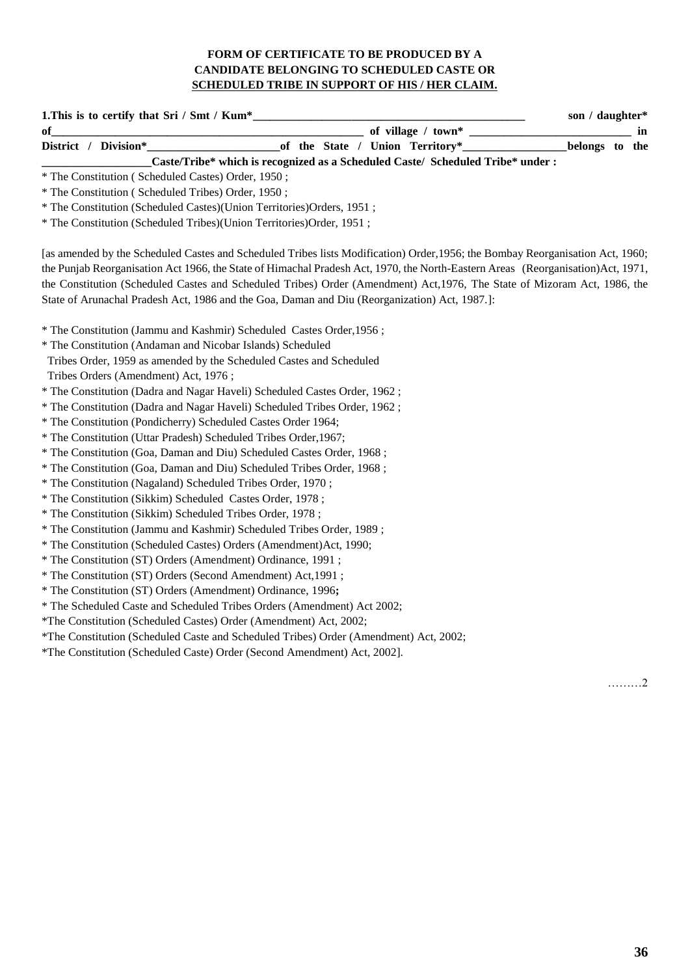# **FORM OF CERTIFICATE TO BE PRODUCED BY A CANDIDATE BELONGING TO SCHEDULED CASTE OR SCHEDULED TRIBE IN SUPPORT OF HIS / HER CLAIM.**

| 1. This is to certify that Sri / Smt / Kum*                                                                                      |                                                                                |                    | son / daughter*   |
|----------------------------------------------------------------------------------------------------------------------------------|--------------------------------------------------------------------------------|--------------------|-------------------|
| of                                                                                                                               |                                                                                | of village / town* | in                |
| District / Division*                                                                                                             | of the State / Union Territory*                                                |                    | belongs to<br>the |
|                                                                                                                                  | Caste/Tribe* which is recognized as a Scheduled Caste/ Scheduled Tribe* under: |                    |                   |
| * The Constitution (Scheduled Castes) Order, 1950;                                                                               |                                                                                |                    |                   |
| * The Constitution (Scheduled Tribes) Order, 1950;                                                                               |                                                                                |                    |                   |
| * The Constitution (Scheduled Castes)(Union Territories)Orders, 1951;                                                            |                                                                                |                    |                   |
| * The Constitution (Scheduled Tribes)(Union Territories)Order, 1951;                                                             |                                                                                |                    |                   |
| [as amended by the Scheduled Castes and Scheduled Tribes lists Modification) Order, 1956; the Bombay Reorganisation Act, 1960;   |                                                                                |                    |                   |
| the Punjab Reorganisation Act 1966, the State of Himachal Pradesh Act, 1970, the North-Eastern Areas (Reorganisation) Act, 1971, |                                                                                |                    |                   |
| the Constitution (Scheduled Castes and Scheduled Tribes) Order (Amendment) Act, 1976, The State of Mizoram Act, 1986, the        |                                                                                |                    |                   |
| State of Arunachal Pradesh Act, 1986 and the Goa, Daman and Diu (Reorganization) Act, 1987.]:                                    |                                                                                |                    |                   |
| * The Constitution (Jammu and Kashmir) Scheduled Castes Order, 1956;                                                             |                                                                                |                    |                   |
| * The Constitution (Andaman and Nicobar Islands) Scheduled                                                                       |                                                                                |                    |                   |
| Tribes Order, 1959 as amended by the Scheduled Castes and Scheduled                                                              |                                                                                |                    |                   |
| Tribes Orders (Amendment) Act, 1976;                                                                                             |                                                                                |                    |                   |
| * The Constitution (Dadra and Nagar Haveli) Scheduled Castes Order, 1962;                                                        |                                                                                |                    |                   |
| * The Constitution (Dadra and Nagar Haveli) Scheduled Tribes Order, 1962;                                                        |                                                                                |                    |                   |
| * The Constitution (Pondicherry) Scheduled Castes Order 1964;                                                                    |                                                                                |                    |                   |
| * The Constitution (Uttar Pradesh) Scheduled Tribes Order, 1967;                                                                 |                                                                                |                    |                   |
| * The Constitution (Goa, Daman and Diu) Scheduled Castes Order, 1968;                                                            |                                                                                |                    |                   |
| * The Constitution (Goa, Daman and Diu) Scheduled Tribes Order, 1968;                                                            |                                                                                |                    |                   |
| * The Constitution (Nagaland) Scheduled Tribes Order, 1970;                                                                      |                                                                                |                    |                   |
| * The Constitution (Sikkim) Scheduled Castes Order, 1978;                                                                        |                                                                                |                    |                   |
| * The Constitution (Sikkim) Scheduled Tribes Order, 1978;                                                                        |                                                                                |                    |                   |
| * The Constitution (Jammu and Kashmir) Scheduled Tribes Order, 1989;                                                             |                                                                                |                    |                   |
| * The Constitution (Scheduled Castes) Orders (Amendment) Act, 1990;                                                              |                                                                                |                    |                   |
| * The Constitution (ST) Orders (Amendment) Ordinance, 1991;                                                                      |                                                                                |                    |                   |
| * The Constitution (ST) Orders (Second Amendment) Act, 1991;                                                                     |                                                                                |                    |                   |
| * The Constitution (ST) Orders (Amendment) Ordinance, 1996;                                                                      |                                                                                |                    |                   |
| * The Scheduled Caste and Scheduled Tribes Orders (Amendment) Act 2002;                                                          |                                                                                |                    |                   |
| *The Constitution (Scheduled Castes) Order (Amendment) Act, 2002;                                                                |                                                                                |                    |                   |
| *The Constitution (Scheduled Caste and Scheduled Tribes) Order (Amendment) Act, 2002;                                            |                                                                                |                    |                   |
| *The Constitution (Scheduled Caste) Order (Second Amendment) Act, 2002].                                                         |                                                                                |                    |                   |
|                                                                                                                                  |                                                                                |                    | . 2               |
|                                                                                                                                  |                                                                                |                    |                   |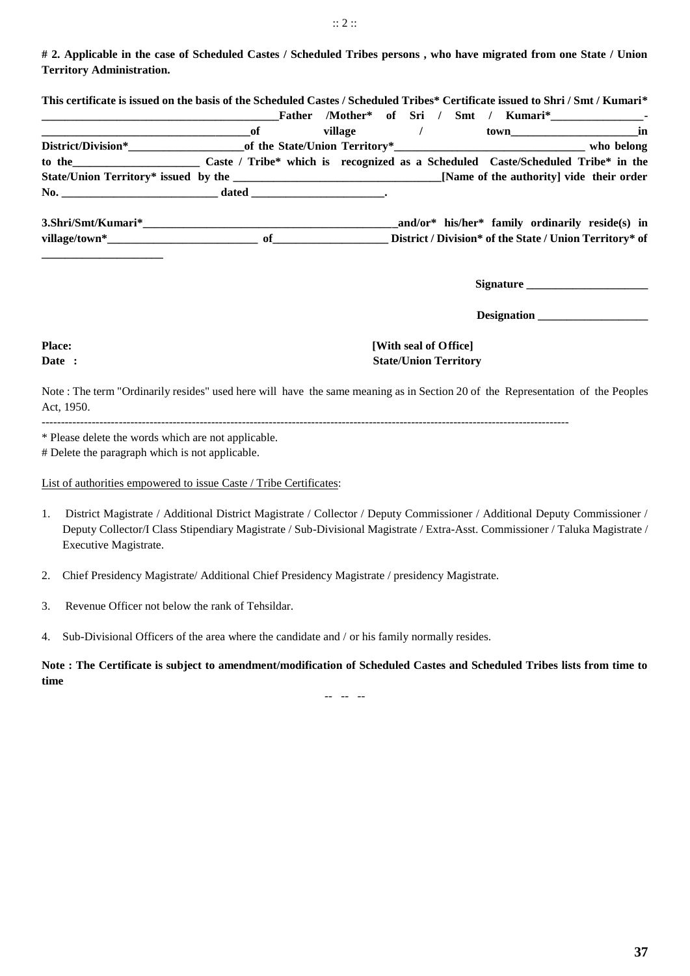**# 2. Applicable in the case of Scheduled Castes / Scheduled Tribes persons , who have migrated from one State / Union Territory Administration.**

| $\overline{\phantom{a}}$ of                                                            |  | village / |  |  | town in   |
|----------------------------------------------------------------------------------------|--|-----------|--|--|-----------|
|                                                                                        |  |           |  |  |           |
| to the Caste / Tribe* which is recognized as a Scheduled Caste/Scheduled Tribe* in the |  |           |  |  |           |
|                                                                                        |  |           |  |  |           |
|                                                                                        |  |           |  |  |           |
|                                                                                        |  |           |  |  |           |
|                                                                                        |  |           |  |  |           |
|                                                                                        |  |           |  |  |           |
|                                                                                        |  |           |  |  | Signature |

 **Designation \_\_\_\_\_\_\_\_\_\_\_\_\_\_\_\_\_\_\_**

# **Place:** [With seal of Office] **Date :** State/Union Territory

Note : The term "Ordinarily resides" used here will have the same meaning as in Section 20 of the Representation of the Peoples Act, 1950.

-----------------------------------------------------------------------------------------------------------------------------------------

\* Please delete the words which are not applicable.

# Delete the paragraph which is not applicable.

List of authorities empowered to issue Caste / Tribe Certificates:

- 1. District Magistrate / Additional District Magistrate / Collector / Deputy Commissioner / Additional Deputy Commissioner / Deputy Collector/I Class Stipendiary Magistrate / Sub-Divisional Magistrate / Extra-Asst. Commissioner / Taluka Magistrate / Executive Magistrate.
- 2. Chief Presidency Magistrate/ Additional Chief Presidency Magistrate / presidency Magistrate.
- 3. Revenue Officer not below the rank of Tehsildar.

4. Sub-Divisional Officers of the area where the candidate and / or his family normally resides.

**Note : The Certificate is subject to amendment/modification of Scheduled Castes and Scheduled Tribes lists from time to time**

-- -- --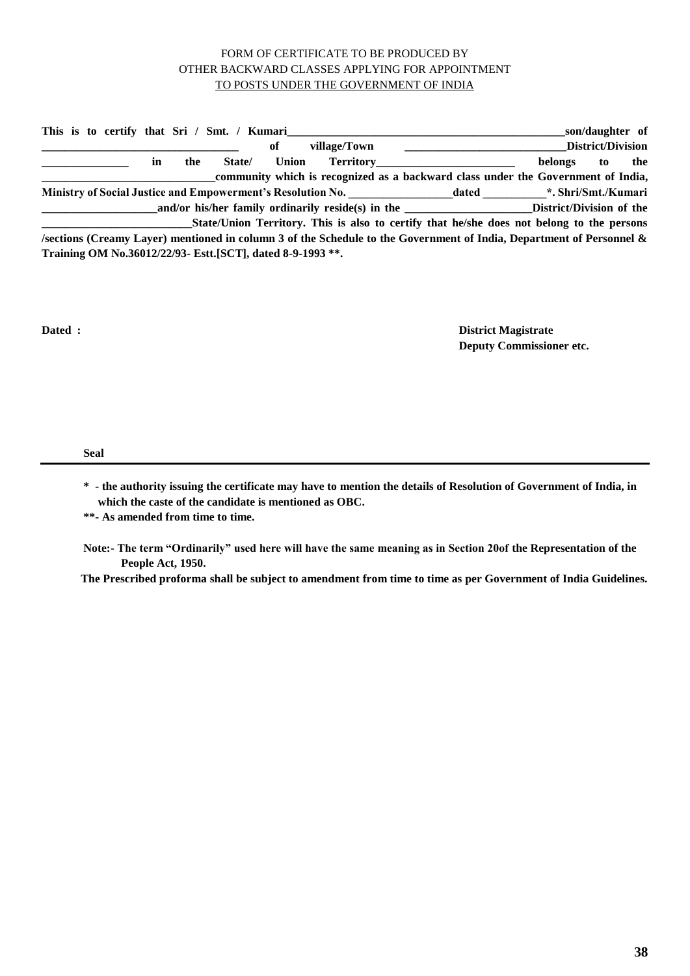## FORM OF CERTIFICATE TO BE PRODUCED BY OTHER BACKWARD CLASSES APPLYING FOR APPOINTMENT TO POSTS UNDER THE GOVERNMENT OF INDIA

|                                                                                           |  |  |   |     | This is to certify that Sri / Smt. / Kumari                 |       |              |                                                                                                                      |  |                           | son/daughter of          |     |
|-------------------------------------------------------------------------------------------|--|--|---|-----|-------------------------------------------------------------|-------|--------------|----------------------------------------------------------------------------------------------------------------------|--|---------------------------|--------------------------|-----|
|                                                                                           |  |  |   |     |                                                             | оf    | village/Town |                                                                                                                      |  |                           | <b>District/Division</b> |     |
|                                                                                           |  |  | m | the | State/                                                      | Union |              | <b>Territory Contract Property Contract Property</b>                                                                 |  | belongs                   | to                       | the |
|                                                                                           |  |  |   |     |                                                             |       |              | community which is recognized as a backward class under the Government of India,                                     |  |                           |                          |     |
|                                                                                           |  |  |   |     |                                                             |       |              | <b>Ministry of Social Justice and Empowerment's Resolution No.</b>                                                   |  | dated *. Shri/Smt./Kumari |                          |     |
|                                                                                           |  |  |   |     |                                                             |       |              | and/or his/her family ordinarily reside(s) in the ____________________________District/Division of the               |  |                           |                          |     |
| State/Union Territory. This is also to certify that he/she does not belong to the persons |  |  |   |     |                                                             |       |              |                                                                                                                      |  |                           |                          |     |
|                                                                                           |  |  |   |     |                                                             |       |              | /sections (Creamy Layer) mentioned in column 3 of the Schedule to the Government of India, Department of Personnel & |  |                           |                          |     |
|                                                                                           |  |  |   |     | Training OM No.36012/22/93- Estt. [SCT], dated 8-9-1993 **. |       |              |                                                                                                                      |  |                           |                          |     |

**Dated : District Magistrate Deputy Commissioner etc.**

**Seal** 

**\* - the authority issuing the certificate may have to mention the details of Resolution of Government of India, in which the caste of the candidate is mentioned as OBC.**

**\*\*- As amended from time to time.**

**Note:- The term "Ordinarily" used here will have the same meaning as in Section 20of the Representation of the People Act, 1950.** 

**The Prescribed proforma shall be subject to amendment from time to time as per Government of India Guidelines.**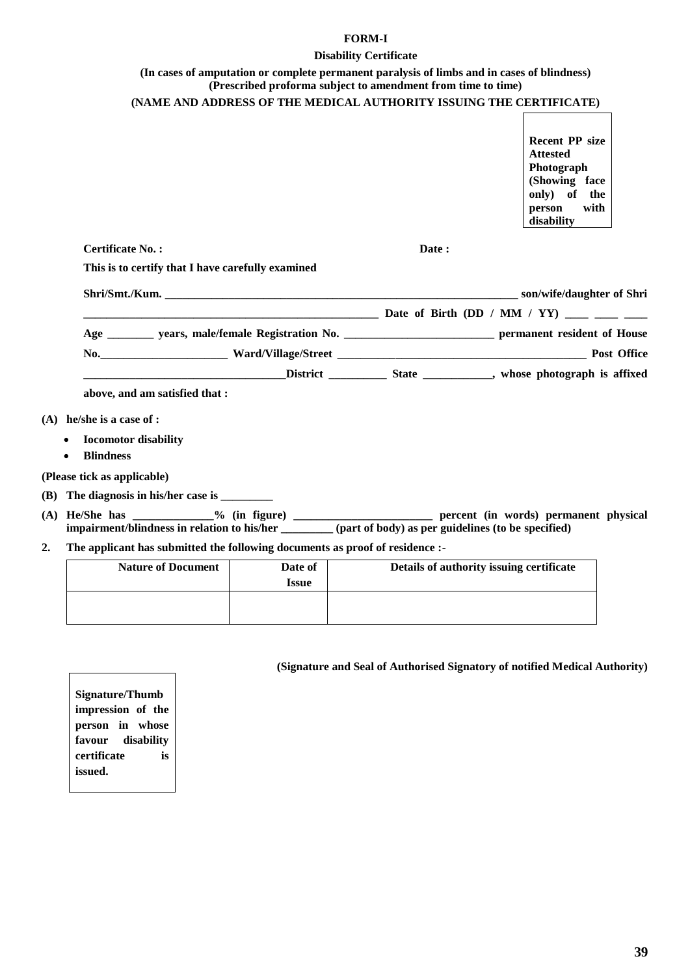### **FORM-I**

#### **Disability Certificate**

### **(In cases of amputation or complete permanent paralysis of limbs and in cases of blindness) (Prescribed proforma subject to amendment from time to time) (NAME AND ADDRESS OF THE MEDICAL AUTHORITY ISSUING THE CERTIFICATE)**

**Recent PP size Attested Photograph (Showing face only) of the person with disability**

**Certificate No. : Date : Date :** 

**This is to certify that I have carefully examined**

| Shri/Smt./Kum.                                                | son/wife/daughter of Shri                   |  |  |  |  |
|---------------------------------------------------------------|---------------------------------------------|--|--|--|--|
|                                                               | Date of Birth (DD / MM / YY) ____ ___ ___   |  |  |  |  |
| Age                                                           | permanent resident of House                 |  |  |  |  |
| $\bf No.$<br><u> 1980 - Jan Barbara Barbara, prima popula</u> | <b>Post Office</b>                          |  |  |  |  |
| <b>District</b>                                               | whose photograph is affixed<br><b>State</b> |  |  |  |  |

**above, and am satisfied that :**

- **(A) he/she is a case of :** 
	- **Iocomotor disability**
	- **Blindness**

**(Please tick as applicable)**

- **(B) The diagnosis in his/her case is \_\_\_\_\_\_\_\_\_**
- **(A) He/She has \_\_\_\_\_\_\_\_\_\_\_\_\_\_% (in figure) \_\_\_\_\_\_\_\_\_\_\_\_\_\_\_\_\_\_\_\_\_\_\_\_ percent (in words) permanent physical impairment/blindness in relation to his/her \_\_\_\_\_\_\_\_\_ (part of body) as per guidelines (to be specified)**
- **2. The applicant has submitted the following documents as proof of residence :-**

| <b>Nature of Document</b> | Date of<br><b>Issue</b> | Details of authority issuing certificate |
|---------------------------|-------------------------|------------------------------------------|
|                           |                         |                                          |

**(Signature and Seal of Authorised Signatory of notified Medical Authority)**

**Signature/Thumb impression of the person in whose favour disability certificate is issued.**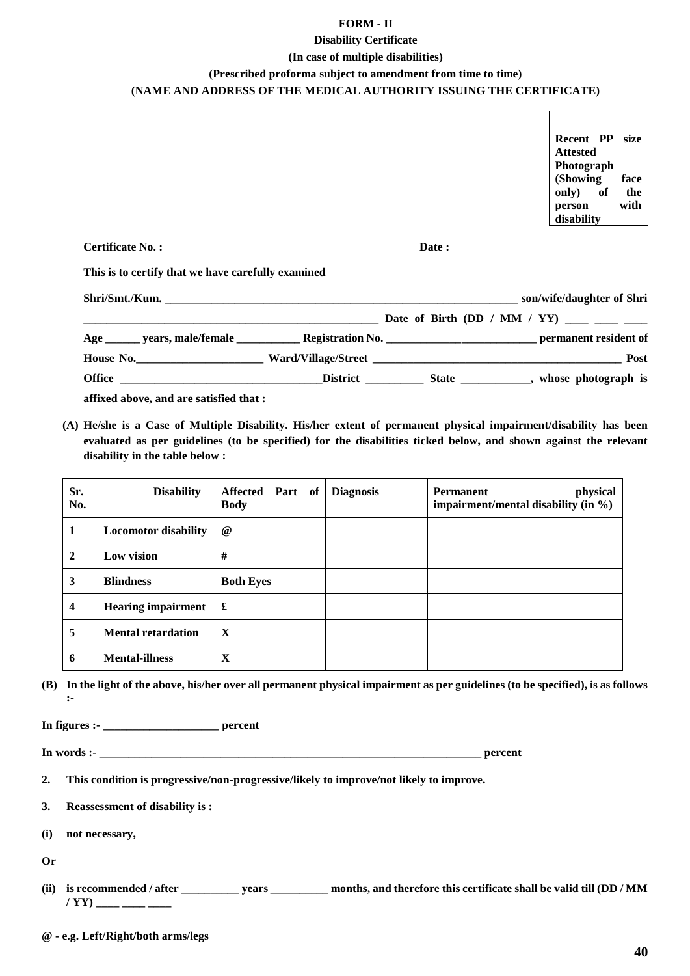### **FORM - II**

# **Disability Certificate**

# **(In case of multiple disabilities) (Prescribed proforma subject to amendment from time to time) (NAME AND ADDRESS OF THE MEDICAL AUTHORITY ISSUING THE CERTIFICATE)**

**Recent PP size Attested Photograph (Showing face only) of the person with disability Certificate No. : Date : This is to certify that we have carefully examined**

| Shri/Smt./Kum.                          |  | son/wife/daughter of Shri                 |
|-----------------------------------------|--|-------------------------------------------|
|                                         |  | Date of Birth (DD / MM / YY) ____ ___ ___ |
|                                         |  |                                           |
|                                         |  | <b>Post</b>                               |
|                                         |  |                                           |
| affixed above, and are satisfied that : |  |                                           |

**(A) He/she is a Case of Multiple Disability. His/her extent of permanent physical impairment/disability has been evaluated as per guidelines (to be specified) for the disabilities ticked below, and shown against the relevant disability in the table below :** 

| Sr.<br>No.   | <b>Disability</b>           | Affected Part of<br><b>Body</b> | <b>Diagnosis</b> | <b>Permanent</b><br>physical<br>impairment/mental disability (in $\%$ ) |
|--------------|-----------------------------|---------------------------------|------------------|-------------------------------------------------------------------------|
| 1            | <b>Locomotor disability</b> | $\omega$                        |                  |                                                                         |
| $\mathbf{2}$ | Low vision                  | #                               |                  |                                                                         |
| 3            | <b>Blindness</b>            | <b>Both Eyes</b>                |                  |                                                                         |
| 4            | <b>Hearing impairment</b>   | £                               |                  |                                                                         |
| 5            | <b>Mental retardation</b>   | $\mathbf X$                     |                  |                                                                         |
| 6            | <b>Mental-illness</b>       | X                               |                  |                                                                         |

**(B) In the light of the above, his/her over all permanent physical impairment as per guidelines (to be specified), is as follows :-**

**In figures :- \_\_\_\_\_\_\_\_\_\_\_\_\_\_\_\_\_\_\_\_ percent**

**In words :- \_\_\_\_\_\_\_\_\_\_\_\_\_\_\_\_\_\_\_\_\_\_\_\_\_\_\_\_\_\_\_\_\_\_\_\_\_\_\_\_\_\_\_\_\_\_\_\_\_\_\_\_\_\_\_\_\_\_\_\_\_\_\_\_\_\_ percent**

- **2. This condition is progressive/non-progressive/likely to improve/not likely to improve.**
- **3. Reassessment of disability is :**
- **(i) not necessary,**

**Or**

**(ii) is recommended / after \_\_\_\_\_\_\_\_\_\_ years \_\_\_\_\_\_\_\_\_\_ months, and therefore this certificate shall be valid till (DD / MM / YY) \_\_\_\_ \_\_\_\_ \_\_\_\_**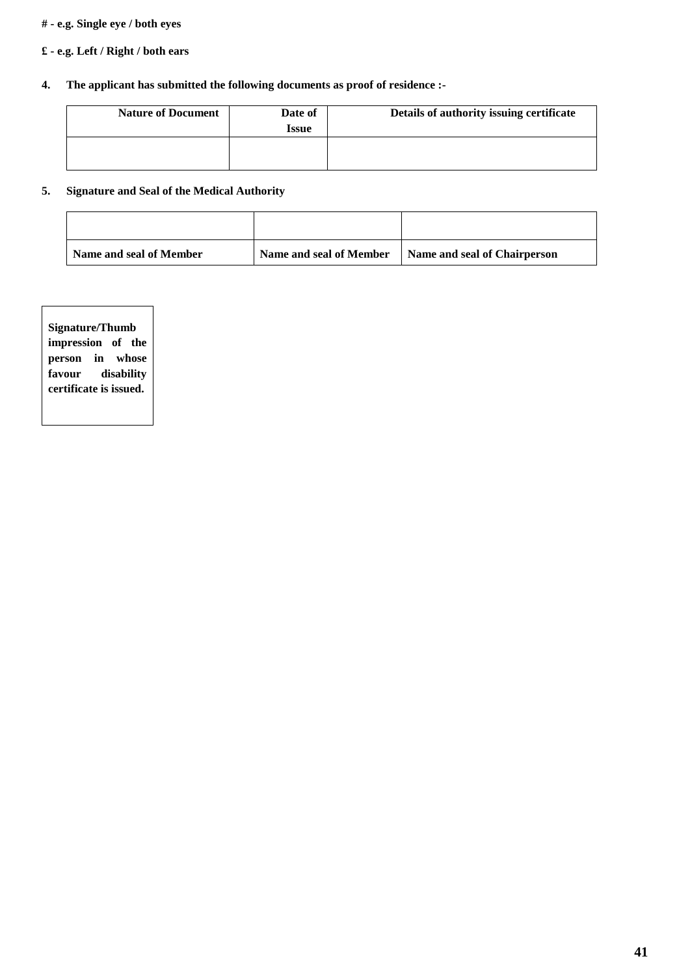### **# - e.g. Single eye / both eyes**

# **£ - e.g. Left / Right / both ears**

# **4. The applicant has submitted the following documents as proof of residence :-**

| <b>Nature of Document</b> | Date of<br><b>Issue</b> | Details of authority issuing certificate |
|---------------------------|-------------------------|------------------------------------------|
|                           |                         |                                          |

# **5. Signature and Seal of the Medical Authority**

| Name and seal of Member | Name and seal of Member |                              |
|-------------------------|-------------------------|------------------------------|
|                         |                         | Name and seal of Chairperson |

| <b>Signature/Thumb</b> |  |  |            |  |  |
|------------------------|--|--|------------|--|--|
| impression of the      |  |  |            |  |  |
| person in whose        |  |  |            |  |  |
| favour                 |  |  | disability |  |  |
| certificate is issued. |  |  |            |  |  |
|                        |  |  |            |  |  |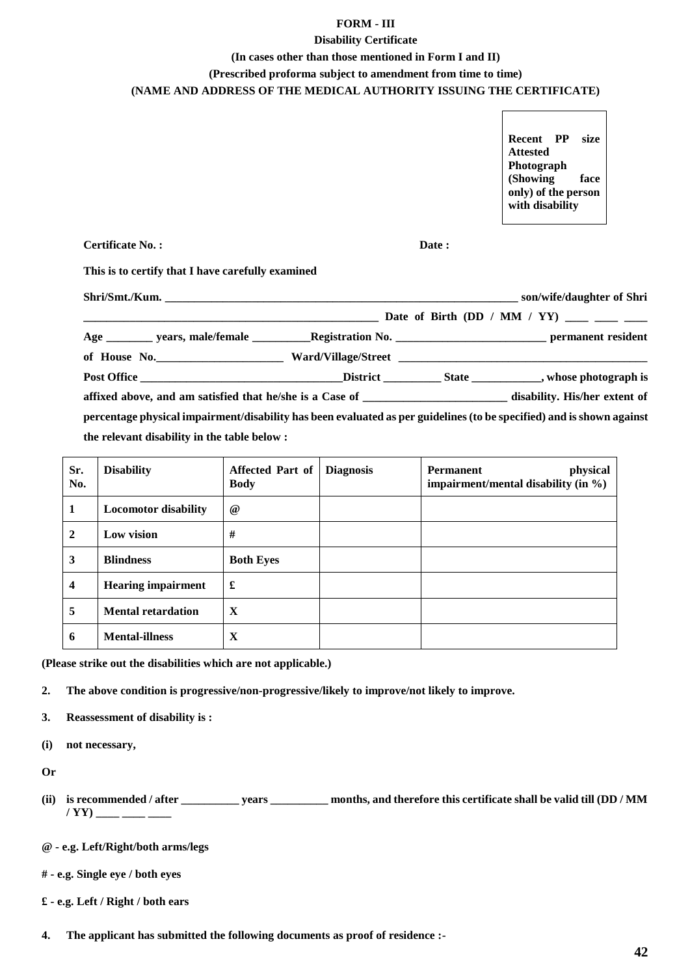#### **FORM - III**

#### **Disability Certificate**

#### **(In cases other than those mentioned in Form I and II)**

# **(Prescribed proforma subject to amendment from time to time)**

### **(NAME AND ADDRESS OF THE MEDICAL AUTHORITY ISSUING THE CERTIFICATE)**

**Recent PP size Attested Photograph (Showing face only) of the person with disability**

**Certificate No. : Date :**

**This is to certify that I have carefully examined**

| affixed above, and am satisfied that he/she is a Case of ________________________ disability. His/her extent of       |  |  |
|-----------------------------------------------------------------------------------------------------------------------|--|--|
| percentage physical impairment/disability has been evaluated as per guidelines (to be specified) and is shown against |  |  |
| the relevant disability in the table below :                                                                          |  |  |

| Sr.<br>No.              | <b>Disability</b>           | <b>Affected Part of</b><br><b>Body</b> | <b>Diagnosis</b> | physical<br><b>Permanent</b><br>impairment/mental disability (in %) |
|-------------------------|-----------------------------|----------------------------------------|------------------|---------------------------------------------------------------------|
| 1                       | <b>Locomotor disability</b> | $^{\circ}$                             |                  |                                                                     |
| $\overline{2}$          | Low vision                  | #                                      |                  |                                                                     |
| 3                       | <b>Blindness</b>            | <b>Both Eyes</b>                       |                  |                                                                     |
| $\overline{\mathbf{4}}$ | <b>Hearing impairment</b>   | £                                      |                  |                                                                     |
| 5                       | <b>Mental retardation</b>   | X                                      |                  |                                                                     |
| 6                       | <b>Mental-illness</b>       | X                                      |                  |                                                                     |

**(Please strike out the disabilities which are not applicable.)**

- **2. The above condition is progressive/non-progressive/likely to improve/not likely to improve.**
- **3. Reassessment of disability is :**
- **(i) not necessary,**
- **Or**
- **(ii) is recommended / after \_\_\_\_\_\_\_\_\_\_ years \_\_\_\_\_\_\_\_\_\_ months, and therefore this certificate shall be valid till (DD / MM / YY) \_\_\_\_ \_\_\_\_ \_\_\_\_**
- **@ - e.g. Left/Right/both arms/legs**
- **# - e.g. Single eye / both eyes**
- **£ - e.g. Left / Right / both ears**
- **4. The applicant has submitted the following documents as proof of residence :-**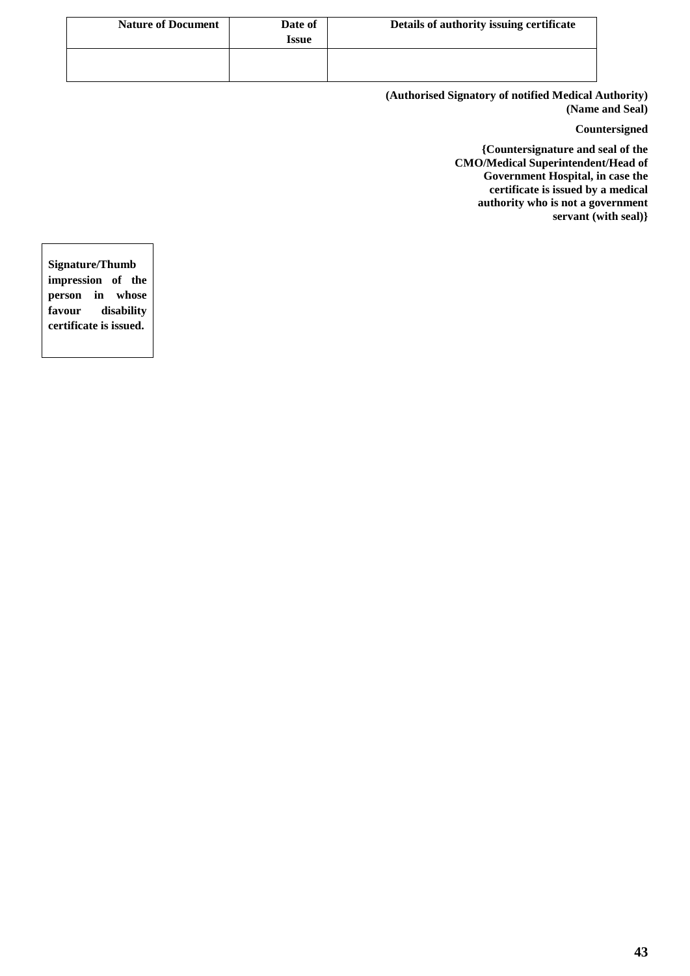| <b>Nature of Document</b> | Date of<br><b>Issue</b> | Details of authority issuing certificate |
|---------------------------|-------------------------|------------------------------------------|
|                           |                         |                                          |

**(Authorised Signatory of notified Medical Authority) (Name and Seal)**

**Countersigned**

**{Countersignature and seal of the CMO/Medical Superintendent/Head of Government Hospital, in case the certificate is issued by a medical authority who is not a government servant (with seal)}**

**Signature/Thumb impression of the person in whose favour disability certificate is issued.**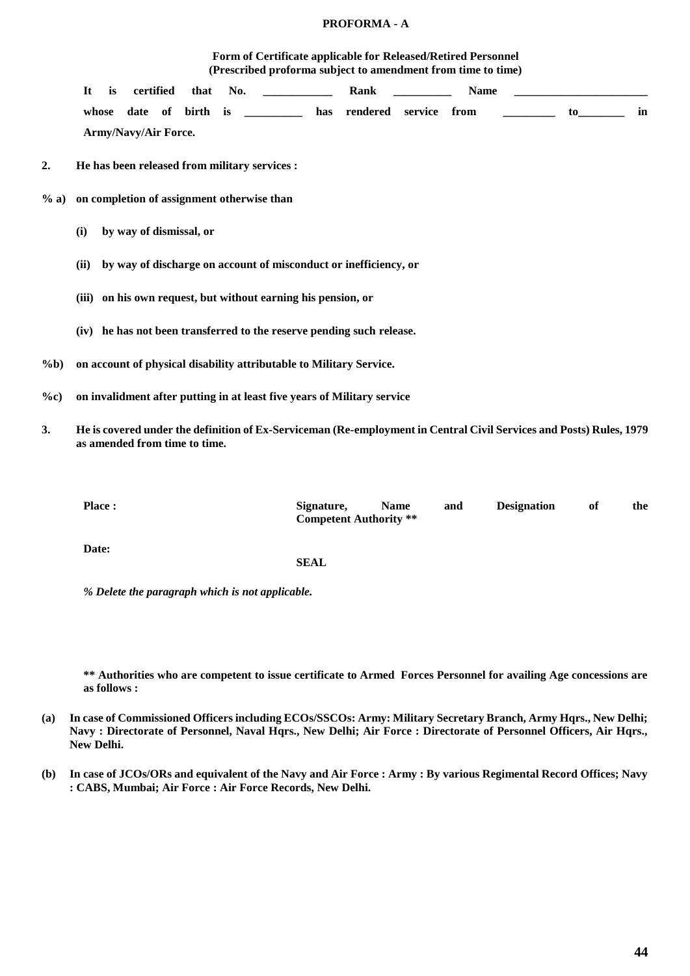#### **PROFORMA - A**

#### **Form of Certificate applicable for Released/Retired Personnel (Prescribed proforma subject to amendment from time to time)**

|         | certified<br>Rank<br>It<br>is<br>that<br>No.<br><b>Name</b>                |  |  |  |  |  |  |  |
|---------|----------------------------------------------------------------------------|--|--|--|--|--|--|--|
|         | whose date of birth is __________ has rendered service from<br>to to<br>in |  |  |  |  |  |  |  |
|         | Army/Navy/Air Force.                                                       |  |  |  |  |  |  |  |
| 2.      | He has been released from military services :                              |  |  |  |  |  |  |  |
| $\%$ a) | on completion of assignment otherwise than                                 |  |  |  |  |  |  |  |
|         | by way of dismissal, or<br>(i)                                             |  |  |  |  |  |  |  |
|         | by way of discharge on account of misconduct or inefficiency, or<br>(ii)   |  |  |  |  |  |  |  |
|         | (iii) on his own request, but without earning his pension, or              |  |  |  |  |  |  |  |
|         | (iv) he has not been transferred to the reserve pending such release.      |  |  |  |  |  |  |  |
| $\%b)$  | on account of physical disability attributable to Military Service.        |  |  |  |  |  |  |  |
| $\%c)$  | on invalidment after putting in at least five years of Military service    |  |  |  |  |  |  |  |

**3. He is covered under the definition of Ex-Serviceman (Re-employment in Central Civil Services and Posts) Rules, 1979 as amended from time to time.**

| <b>Place:</b> | Signature,<br><b>Competent Authority</b> ** | <b>Name</b> | and | <b>Designation</b> | of | the |
|---------------|---------------------------------------------|-------------|-----|--------------------|----|-----|
| Date:         | <b>SEAL</b>                                 |             |     |                    |    |     |

*% Delete the paragraph which is not applicable.*

**\*\* Authorities who are competent to issue certificate to Armed Forces Personnel for availing Age concessions are as follows :**

- **(a) In case of Commissioned Officers including ECOs/SSCOs: Army: Military Secretary Branch, Army Hqrs., New Delhi; Navy : Directorate of Personnel, Naval Hqrs., New Delhi; Air Force : Directorate of Personnel Officers, Air Hqrs., New Delhi.**
- **(b) In case of JCOs/ORs and equivalent of the Navy and Air Force : Army : By various Regimental Record Offices; Navy : CABS, Mumbai; Air Force : Air Force Records, New Delhi.**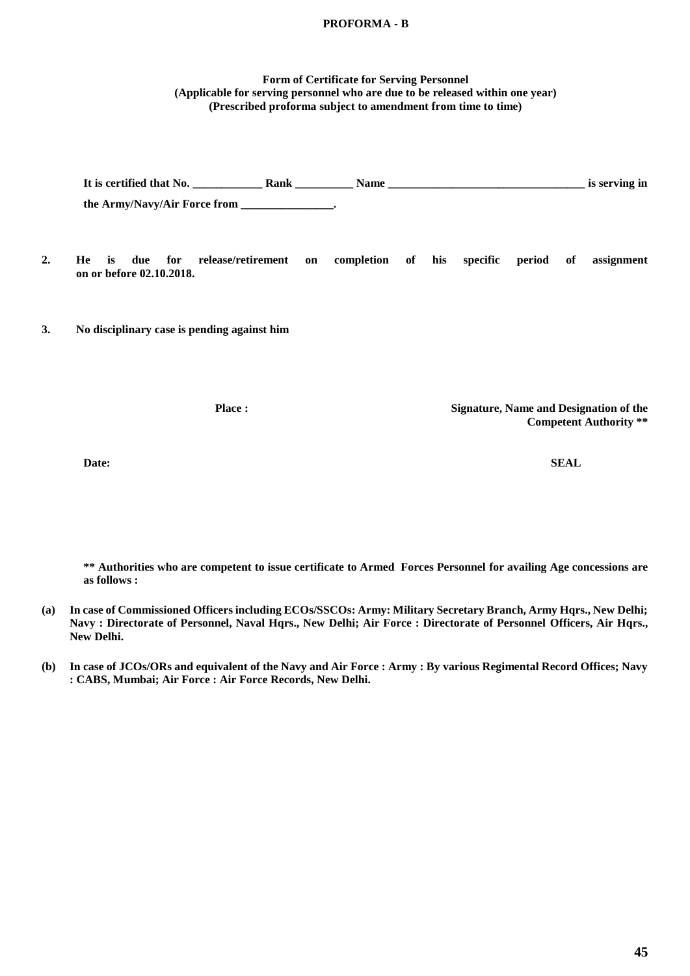## **PROFORMA - B**

#### **Form of Certificate for Serving Personnel (Applicable for serving personnel who are due to be released within one year) (Prescribed proforma subject to amendment from time to time)**

**It is certified that No. \_\_\_\_\_\_\_\_\_\_\_\_ Rank \_\_\_\_\_\_\_\_\_\_ Name \_\_\_\_\_\_\_\_\_\_\_\_\_\_\_\_\_\_\_\_\_\_\_\_\_\_\_\_\_\_\_\_\_\_ is serving in the Army/Navy/Air Force from \_\_\_\_\_\_\_\_\_\_\_\_\_\_\_\_.**

- **2. He is due for release/retirement on completion of his specific period of assignment on or before 02.10.2018.**
- **3. No disciplinary case is pending against him**

**Place : Signature, Name and Designation of the Competent Authority \*\***

**Date: SEAL**

**as follows :**

**\*\* Authorities who are competent to issue certificate to Armed Forces Personnel for availing Age concessions are** 

- **(a) In case of Commissioned Officers including ECOs/SSCOs: Army: Military Secretary Branch, Army Hqrs., New Delhi; Navy : Directorate of Personnel, Naval Hqrs., New Delhi; Air Force : Directorate of Personnel Officers, Air Hqrs., New Delhi.**
- **(b) In case of JCOs/ORs and equivalent of the Navy and Air Force : Army : By various Regimental Record Offices; Navy : CABS, Mumbai; Air Force : Air Force Records, New Delhi.**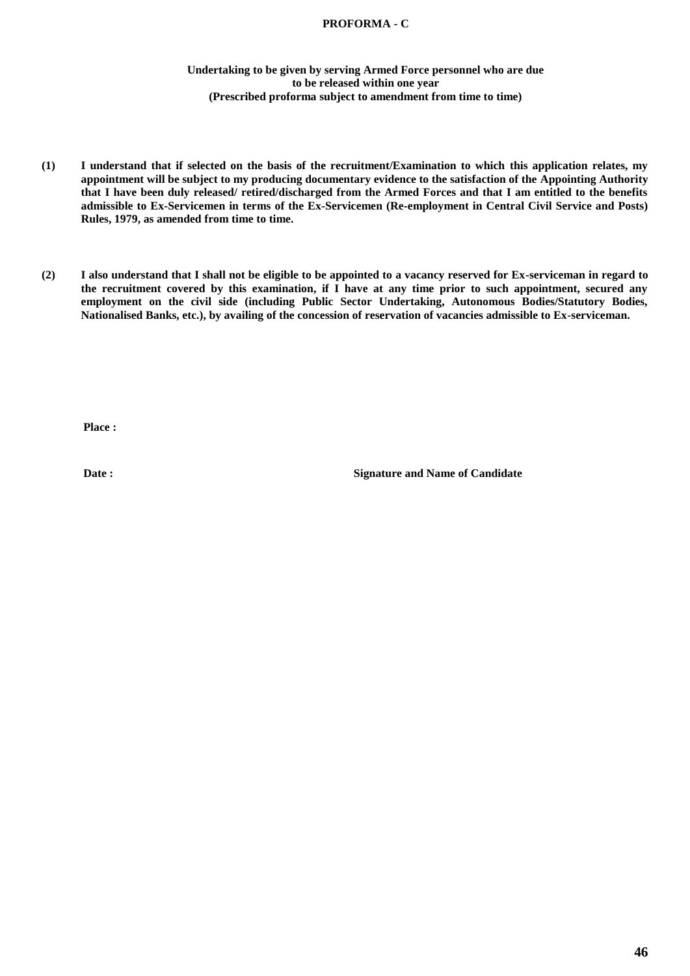### **PROFORMA - C**

#### **Undertaking to be given by serving Armed Force personnel who are due to be released within one year (Prescribed proforma subject to amendment from time to time)**

- **(1) I understand that if selected on the basis of the recruitment/Examination to which this application relates, my appointment will be subject to my producing documentary evidence to the satisfaction of the Appointing Authority that I have been duly released/ retired/discharged from the Armed Forces and that I am entitled to the benefits admissible to Ex-Servicemen in terms of the Ex-Servicemen (Re-employment in Central Civil Service and Posts) Rules, 1979, as amended from time to time.**
- **(2) I also understand that I shall not be eligible to be appointed to a vacancy reserved for Ex-serviceman in regard to the recruitment covered by this examination, if I have at any time prior to such appointment, secured any employment on the civil side (including Public Sector Undertaking, Autonomous Bodies/Statutory Bodies, Nationalised Banks, etc.), by availing of the concession of reservation of vacancies admissible to Ex-serviceman.**

**Place :** 

**Date :** Signature and Name of Candidate